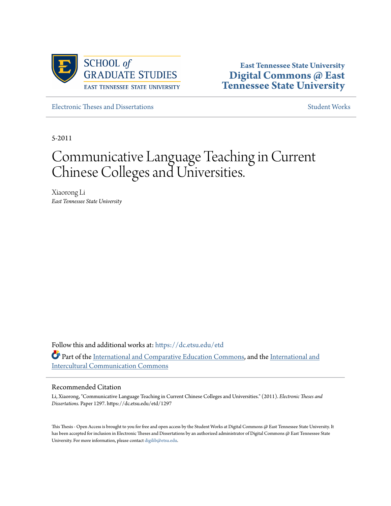

**East Tennessee State University [Digital Commons @ East](https://dc.etsu.edu?utm_source=dc.etsu.edu%2Fetd%2F1297&utm_medium=PDF&utm_campaign=PDFCoverPages) [Tennessee State University](https://dc.etsu.edu?utm_source=dc.etsu.edu%2Fetd%2F1297&utm_medium=PDF&utm_campaign=PDFCoverPages)**

[Electronic Theses and Dissertations](https://dc.etsu.edu/etd?utm_source=dc.etsu.edu%2Fetd%2F1297&utm_medium=PDF&utm_campaign=PDFCoverPages) [Student Works](https://dc.etsu.edu/student-works?utm_source=dc.etsu.edu%2Fetd%2F1297&utm_medium=PDF&utm_campaign=PDFCoverPages) Student Works Student Works

5-2011

# Communicative Language Teaching in Current Chinese Colleges and Universities.

Xiaorong Li *East Tennessee State University*

Follow this and additional works at: [https://dc.etsu.edu/etd](https://dc.etsu.edu/etd?utm_source=dc.etsu.edu%2Fetd%2F1297&utm_medium=PDF&utm_campaign=PDFCoverPages) Part of the [International and Comparative Education Commons,](http://network.bepress.com/hgg/discipline/797?utm_source=dc.etsu.edu%2Fetd%2F1297&utm_medium=PDF&utm_campaign=PDFCoverPages) and the [International and](http://network.bepress.com/hgg/discipline/331?utm_source=dc.etsu.edu%2Fetd%2F1297&utm_medium=PDF&utm_campaign=PDFCoverPages) [Intercultural Communication Commons](http://network.bepress.com/hgg/discipline/331?utm_source=dc.etsu.edu%2Fetd%2F1297&utm_medium=PDF&utm_campaign=PDFCoverPages)

#### Recommended Citation

Li, Xiaorong, "Communicative Language Teaching in Current Chinese Colleges and Universities." (2011). *Electronic Theses and Dissertations.* Paper 1297. https://dc.etsu.edu/etd/1297

This Thesis - Open Access is brought to you for free and open access by the Student Works at Digital Commons @ East Tennessee State University. It has been accepted for inclusion in Electronic Theses and Dissertations by an authorized administrator of Digital Commons @ East Tennessee State University. For more information, please contact [digilib@etsu.edu.](mailto:digilib@etsu.edu)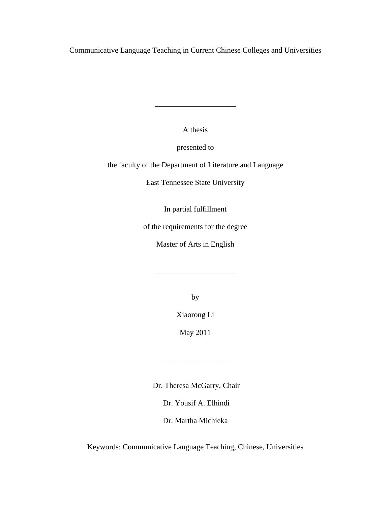Communicative Language Teaching in Current Chinese Colleges and Universities

A thesis

\_\_\_\_\_\_\_\_\_\_\_\_\_\_\_\_\_\_\_\_\_

presented to

the faculty of the Department of Literature and Language

East Tennessee State University

In partial fulfillment

of the requirements for the degree

Master of Arts in English

\_\_\_\_\_\_\_\_\_\_\_\_\_\_\_\_\_\_\_\_\_

by

Xiaorong Li

May 2011

\_\_\_\_\_\_\_\_\_\_\_\_\_\_\_\_\_\_\_\_\_

Dr. Theresa McGarry, Chair

Dr. Yousif A. Elhindi

Dr. Martha Michieka

Keywords: Communicative Language Teaching, Chinese, Universities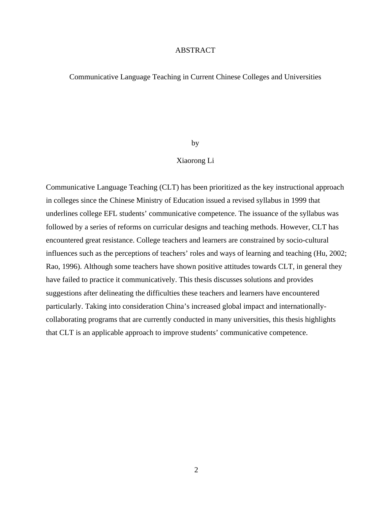### ABSTRACT

### Communicative Language Teaching in Current Chinese Colleges and Universities

#### by

### Xiaorong Li

Communicative Language Teaching (CLT) has been prioritized as the key instructional approach in colleges since the Chinese Ministry of Education issued a revised syllabus in 1999 that underlines college EFL students' communicative competence. The issuance of the syllabus was followed by a series of reforms on curricular designs and teaching methods. However, CLT has encountered great resistance. College teachers and learners are constrained by socio-cultural influences such as the perceptions of teachers' roles and ways of learning and teaching (Hu, 2002; Rao, 1996). Although some teachers have shown positive attitudes towards CLT, in general they have failed to practice it communicatively. This thesis discusses solutions and provides suggestions after delineating the difficulties these teachers and learners have encountered particularly. Taking into consideration China's increased global impact and internationallycollaborating programs that are currently conducted in many universities, this thesis highlights that CLT is an applicable approach to improve students' communicative competence.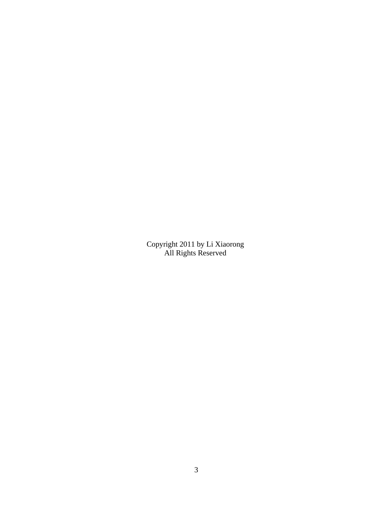Copyright 2011 by Li Xiaorong All Rights Reserved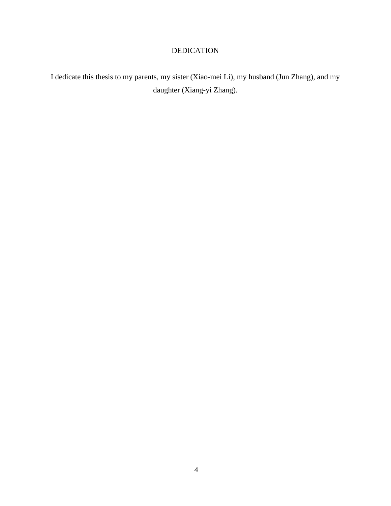# DEDICATION

I dedicate this thesis to my parents, my sister (Xiao-mei Li), my husband (Jun Zhang), and my daughter (Xiang-yi Zhang).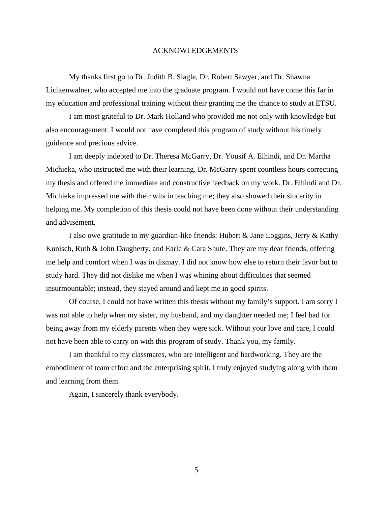#### ACKNOWLEDGEMENTS

My thanks first go to Dr. Judith B. Slagle, Dr. Robert Sawyer, and Dr. Shawna Lichtenwalner, who accepted me into the graduate program. I would not have come this far in my education and professional training without their granting me the chance to study at ETSU.

I am most grateful to Dr. Mark Holland who provided me not only with knowledge but also encouragement. I would not have completed this program of study without his timely guidance and precious advice.

I am deeply indebted to Dr. Theresa McGarry, Dr. Yousif A. Elhindi, and Dr. Martha Michieka, who instructed me with their learning. Dr. McGarry spent countless hours correcting my thesis and offered me immediate and constructive feedback on my work. Dr. Elhindi and Dr. Michieka impressed me with their wits in teaching me; they also showed their sincerity in helping me. My completion of this thesis could not have been done without their understanding and advisement.

I also owe gratitude to my guardian-like friends: Hubert & Jane Loggins, Jerry & Kathy Kunisch, Ruth & John Daugherty, and Earle & Cara Shute. They are my dear friends, offering me help and comfort when I was in dismay. I did not know how else to return their favor but to study hard. They did not dislike me when I was whining about difficulties that seemed insurmountable; instead, they stayed around and kept me in good spirits.

Of course, I could not have written this thesis without my family's support. I am sorry I was not able to help when my sister, my husband, and my daughter needed me; I feel bad for being away from my elderly parents when they were sick. Without your love and care, I could not have been able to carry on with this program of study. Thank you, my family.

I am thankful to my classmates, who are intelligent and hardworking. They are the embodiment of team effort and the enterprising spirit. I truly enjoyed studying along with them and learning from them.

Again, I sincerely thank everybody.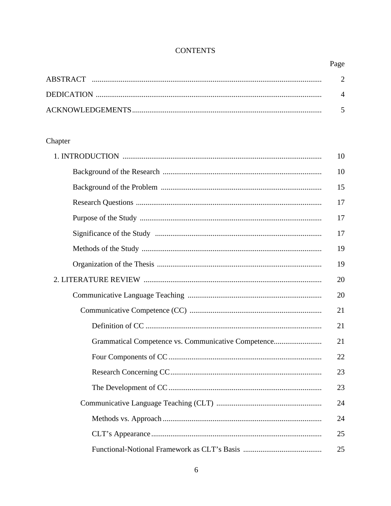# **CONTENTS**

# Page

# Chapter

|                                                     | 10 |
|-----------------------------------------------------|----|
|                                                     | 10 |
|                                                     | 15 |
|                                                     | 17 |
|                                                     | 17 |
|                                                     | 17 |
|                                                     | 19 |
|                                                     | 19 |
|                                                     | 20 |
|                                                     | 20 |
|                                                     | 21 |
|                                                     | 21 |
| Grammatical Competence vs. Communicative Competence | 21 |
|                                                     | 22 |
|                                                     | 23 |
|                                                     | 23 |
|                                                     | 24 |
|                                                     | 24 |
|                                                     | 25 |
|                                                     | 25 |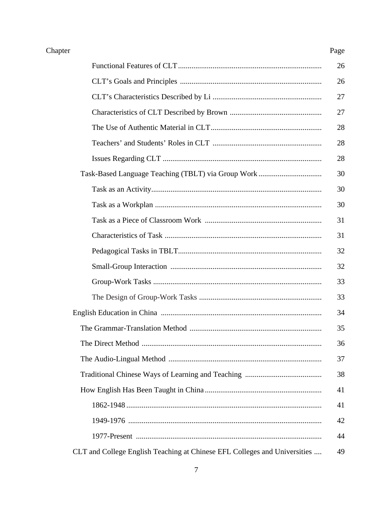# Chapter

|                                                                           | 26 |
|---------------------------------------------------------------------------|----|
|                                                                           | 26 |
|                                                                           | 27 |
|                                                                           | 27 |
|                                                                           | 28 |
|                                                                           | 28 |
|                                                                           | 28 |
|                                                                           | 30 |
|                                                                           | 30 |
|                                                                           | 30 |
|                                                                           | 31 |
|                                                                           | 31 |
|                                                                           | 32 |
|                                                                           | 32 |
|                                                                           | 33 |
|                                                                           | 33 |
|                                                                           | 34 |
|                                                                           | 35 |
|                                                                           | 36 |
|                                                                           | 37 |
|                                                                           | 38 |
|                                                                           | 41 |
|                                                                           | 41 |
|                                                                           | 42 |
|                                                                           | 44 |
| CLT and College English Teaching at Chinese EFL Colleges and Universities | 49 |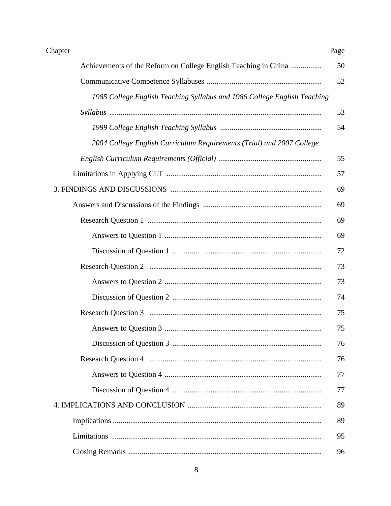| Chapter                                                                  | Page |
|--------------------------------------------------------------------------|------|
| Achievements of the Reform on College English Teaching in China          | 50   |
|                                                                          | 52   |
| 1985 College English Teaching Syllabus and 1986 College English Teaching |      |
|                                                                          | 53   |
|                                                                          | 54   |
| 2004 College English Curriculum Requirements (Trial) and 2007 College    |      |
|                                                                          | 55   |
|                                                                          | 57   |
|                                                                          | 69   |
|                                                                          | 69   |
|                                                                          | 69   |
|                                                                          | 69   |
|                                                                          | 72   |
|                                                                          | 73   |
|                                                                          | 73   |
|                                                                          | 74   |
|                                                                          | 75   |
|                                                                          | 75   |
|                                                                          | 76   |
|                                                                          | 76   |
|                                                                          | 77   |
|                                                                          | 77   |
|                                                                          | 89   |
|                                                                          | 89   |
|                                                                          | 95   |
|                                                                          | 96   |

## $\,8\,$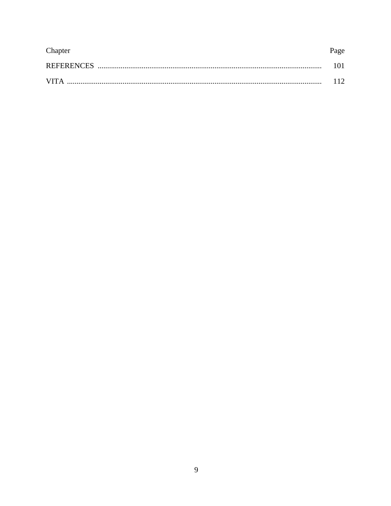| Chapter     | Page |
|-------------|------|
|             | 101. |
| <b>VITA</b> | 112  |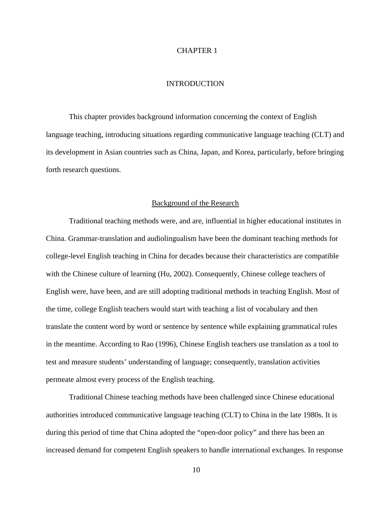#### CHAPTER 1

#### INTRODUCTION

This chapter provides background information concerning the context of English language teaching, introducing situations regarding communicative language teaching (CLT) and its development in Asian countries such as China, Japan, and Korea, particularly, before bringing forth research questions.

#### Background of the Research

Traditional teaching methods were, and are, influential in higher educational institutes in China. Grammar-translation and audiolingualism have been the dominant teaching methods for college-level English teaching in China for decades because their characteristics are compatible with the Chinese culture of learning (Hu, 2002). Consequently, Chinese college teachers of English were, have been, and are still adopting traditional methods in teaching English. Most of the time, college English teachers would start with teaching a list of vocabulary and then translate the content word by word or sentence by sentence while explaining grammatical rules in the meantime. According to Rao (1996), Chinese English teachers use translation as a tool to test and measure students' understanding of language; consequently, translation activities permeate almost every process of the English teaching.

Traditional Chinese teaching methods have been challenged since Chinese educational authorities introduced communicative language teaching (CLT) to China in the late 1980s. It is during this period of time that China adopted the "open-door policy" and there has been an increased demand for competent English speakers to handle international exchanges. In response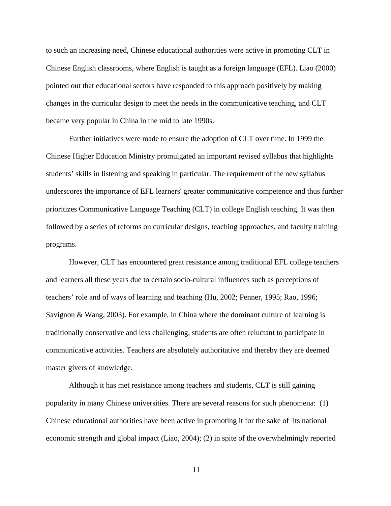to such an increasing need, Chinese educational authorities were active in promoting CLT in Chinese English classrooms, where English is taught as a foreign language (EFL). Liao (2000) pointed out that educational sectors have responded to this approach positively by making changes in the curricular design to meet the needs in the communicative teaching, and CLT became very popular in China in the mid to late 1990s.

Further initiatives were made to ensure the adoption of CLT over time. In 1999 the Chinese Higher Education Ministry promulgated an important revised syllabus that highlights students' skills in listening and speaking in particular. The requirement of the new syllabus underscores the importance of EFL learners' greater communicative competence and thus further prioritizes Communicative Language Teaching (CLT) in college English teaching. It was then followed by a series of reforms on curricular designs, teaching approaches, and faculty training programs.

However, CLT has encountered great resistance among traditional EFL college teachers and learners all these years due to certain socio-cultural influences such as perceptions of teachers' role and of ways of learning and teaching (Hu, 2002; Penner, 1995; Rao, 1996; Savignon & Wang, 2003). For example, in China where the dominant culture of learning is traditionally conservative and less challenging, students are often reluctant to participate in communicative activities. Teachers are absolutely authoritative and thereby they are deemed master givers of knowledge.

Although it has met resistance among teachers and students, CLT is still gaining popularity in many Chinese universities. There are several reasons for such phenomena: (1) Chinese educational authorities have been active in promoting it for the sake of its national economic strength and global impact (Liao, 2004); (2) in spite of the overwhelmingly reported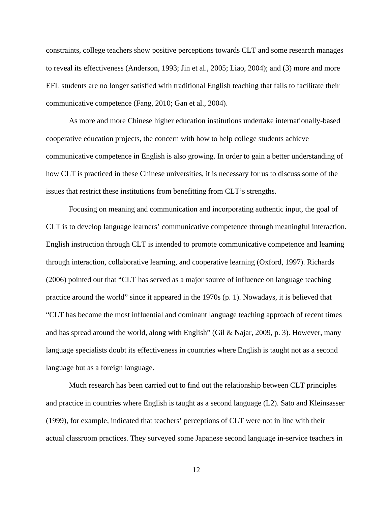constraints, college teachers show positive perceptions towards CLT and some research manages to reveal its effectiveness (Anderson, 1993; Jin et al., 2005; Liao, 2004); and (3) more and more EFL students are no longer satisfied with traditional English teaching that fails to facilitate their communicative competence (Fang, 2010; Gan et al., 2004).

As more and more Chinese higher education institutions undertake internationally-based cooperative education projects, the concern with how to help college students achieve communicative competence in English is also growing. In order to gain a better understanding of how CLT is practiced in these Chinese universities, it is necessary for us to discuss some of the issues that restrict these institutions from benefitting from CLT's strengths.

Focusing on meaning and communication and incorporating authentic input, the goal of CLT is to develop language learners' communicative competence through meaningful interaction. English instruction through CLT is intended to promote communicative competence and learning through interaction, collaborative learning, and cooperative learning (Oxford, 1997). Richards (2006) pointed out that "CLT has served as a major source of influence on language teaching practice around the world" since it appeared in the 1970s (p. 1). Nowadays, it is believed that "CLT has become the most influential and dominant language teaching approach of recent times and has spread around the world, along with English" (Gil & Najar, 2009, p. 3). However, many language specialists doubt its effectiveness in countries where English is taught not as a second language but as a foreign language.

Much research has been carried out to find out the relationship between CLT principles and practice in countries where English is taught as a second language (L2). Sato and Kleinsasser (1999), for example, indicated that teachers' perceptions of CLT were not in line with their actual classroom practices. They surveyed some Japanese second language in-service teachers in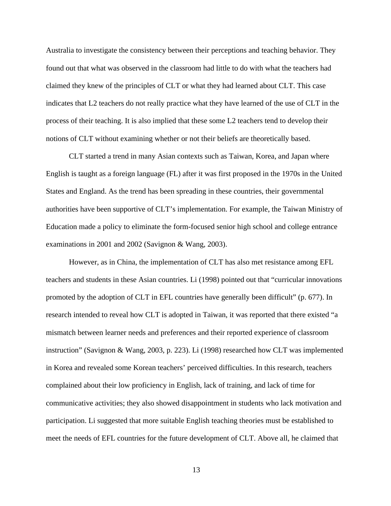Australia to investigate the consistency between their perceptions and teaching behavior. They found out that what was observed in the classroom had little to do with what the teachers had claimed they knew of the principles of CLT or what they had learned about CLT. This case indicates that L2 teachers do not really practice what they have learned of the use of CLT in the process of their teaching. It is also implied that these some L2 teachers tend to develop their notions of CLT without examining whether or not their beliefs are theoretically based.

CLT started a trend in many Asian contexts such as Taiwan, Korea, and Japan where English is taught as a foreign language (FL) after it was first proposed in the 1970s in the United States and England. As the trend has been spreading in these countries, their governmental authorities have been supportive of CLT's implementation. For example, the Taiwan Ministry of Education made a policy to eliminate the form-focused senior high school and college entrance examinations in 2001 and 2002 (Savignon & Wang, 2003).

However, as in China, the implementation of CLT has also met resistance among EFL teachers and students in these Asian countries. Li (1998) pointed out that "curricular innovations promoted by the adoption of CLT in EFL countries have generally been difficult" (p. 677). In research intended to reveal how CLT is adopted in Taiwan, it was reported that there existed "a mismatch between learner needs and preferences and their reported experience of classroom instruction" (Savignon & Wang, 2003, p. 223). Li (1998) researched how CLT was implemented in Korea and revealed some Korean teachers' perceived difficulties. In this research, teachers complained about their low proficiency in English, lack of training, and lack of time for communicative activities; they also showed disappointment in students who lack motivation and participation. Li suggested that more suitable English teaching theories must be established to meet the needs of EFL countries for the future development of CLT. Above all, he claimed that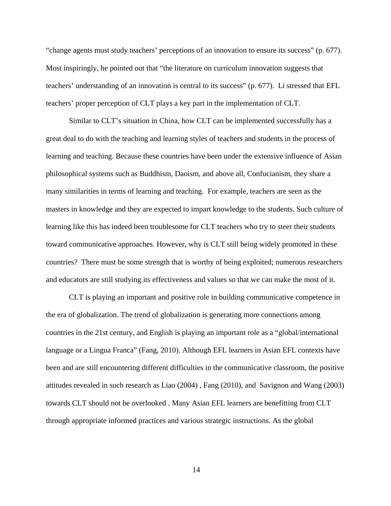"change agents must study teachers' perceptions of an innovation to ensure its success" (p. 677). Most inspiringly, he pointed out that "the literature on curriculum innovation suggests that teachers' understanding of an innovation is central to its success" (p. 677). Li stressed that EFL teachers' proper perception of CLT plays a key part in the implementation of CLT.

Similar to CLT's situation in China, how CLT can be implemented successfully has a great deal to do with the teaching and learning styles of teachers and students in the process of learning and teaching. Because these countries have been under the extensive influence of Asian philosophical systems such as Buddhism, Daoism, and above all, Confucianism, they share a many similarities in terms of learning and teaching. For example, teachers are seen as the masters in knowledge and they are expected to impart knowledge to the students. Such culture of learning like this has indeed been troublesome for CLT teachers who try to steer their students toward communicative approaches. However, why is CLT still being widely promoted in these countries? There must be some strength that is worthy of being exploited; numerous researchers and educators are still studying its effectiveness and values so that we can make the most of it.

CLT is playing an important and positive role in building communicative competence in the era of globalization. The trend of globalization is generating more connections among countries in the 21st century, and English is playing an important role as a "global/international language or a Lingua Franca" (Fang, 2010). Although EFL learners in Asian EFL contexts have been and are still encountering different difficulties in the communicative classroom, the positive attitudes revealed in such research as Liao (2004) , Fang (2010), and Savignon and Wang (2003) towards CLT should not be overlooked . Many Asian EFL learners are benefitting from CLT through appropriate informed practices and various strategic instructions. As the global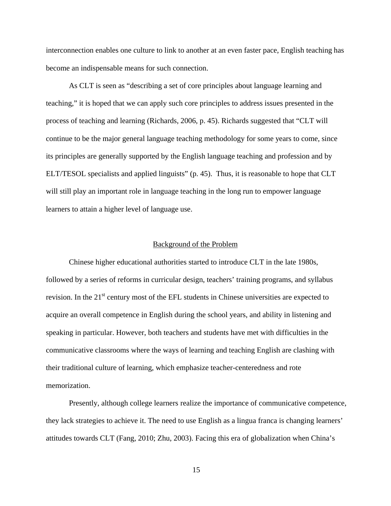interconnection enables one culture to link to another at an even faster pace, English teaching has become an indispensable means for such connection.

As CLT is seen as "describing a set of core principles about language learning and teaching," it is hoped that we can apply such core principles to address issues presented in the process of teaching and learning (Richards, 2006, p. 45). Richards suggested that "CLT will continue to be the major general language teaching methodology for some years to come, since its principles are generally supported by the English language teaching and profession and by ELT/TESOL specialists and applied linguists" (p. 45). Thus, it is reasonable to hope that CLT will still play an important role in language teaching in the long run to empower language learners to attain a higher level of language use.

#### Background of the Problem

Chinese higher educational authorities started to introduce CLT in the late 1980s, followed by a series of reforms in curricular design, teachers' training programs, and syllabus revision. In the 21<sup>st</sup> century most of the EFL students in Chinese universities are expected to acquire an overall competence in English during the school years, and ability in listening and speaking in particular. However, both teachers and students have met with difficulties in the communicative classrooms where the ways of learning and teaching English are clashing with their traditional culture of learning, which emphasize teacher-centeredness and rote memorization.

Presently, although college learners realize the importance of communicative competence, they lack strategies to achieve it. The need to use English as a lingua franca is changing learners' attitudes towards CLT (Fang, 2010; Zhu, 2003). Facing this era of globalization when China's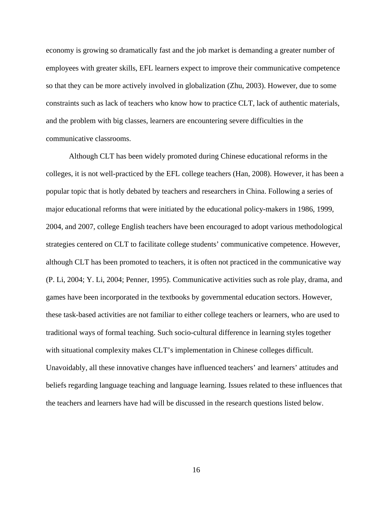economy is growing so dramatically fast and the job market is demanding a greater number of employees with greater skills, EFL learners expect to improve their communicative competence so that they can be more actively involved in globalization (Zhu, 2003). However, due to some constraints such as lack of teachers who know how to practice CLT, lack of authentic materials, and the problem with big classes, learners are encountering severe difficulties in the communicative classrooms.

Although CLT has been widely promoted during Chinese educational reforms in the colleges, it is not well-practiced by the EFL college teachers (Han, 2008). However, it has been a popular topic that is hotly debated by teachers and researchers in China. Following a series of major educational reforms that were initiated by the educational policy-makers in 1986, 1999, 2004, and 2007, college English teachers have been encouraged to adopt various methodological strategies centered on CLT to facilitate college students' communicative competence. However, although CLT has been promoted to teachers, it is often not practiced in the communicative way (P. Li, 2004; Y. Li, 2004; Penner, 1995). Communicative activities such as role play, drama, and games have been incorporated in the textbooks by governmental education sectors. However, these task-based activities are not familiar to either college teachers or learners, who are used to traditional ways of formal teaching. Such socio-cultural difference in learning styles together with situational complexity makes CLT's implementation in Chinese colleges difficult. Unavoidably, all these innovative changes have influenced teachers' and learners' attitudes and beliefs regarding language teaching and language learning. Issues related to these influences that the teachers and learners have had will be discussed in the research questions listed below.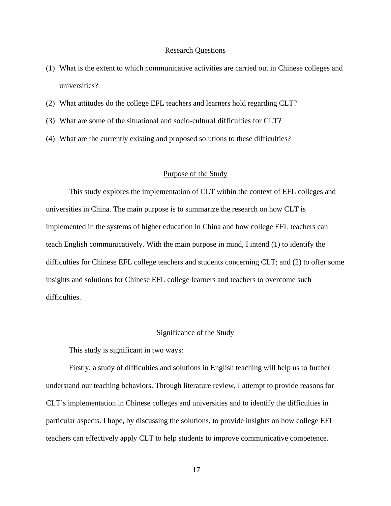#### Research Questions

- (1) What is the extent to which communicative activities are carried out in Chinese colleges and universities?
- (2) What attitudes do the college EFL teachers and learners hold regarding CLT?
- (3) What are some of the situational and socio-cultural difficulties for CLT?
- (4) What are the currently existing and proposed solutions to these difficulties?

#### Purpose of the Study

This study explores the implementation of CLT within the context of EFL colleges and universities in China. The main purpose is to summarize the research on how CLT is implemented in the systems of higher education in China and how college EFL teachers can teach English communicatively. With the main purpose in mind, I intend (1) to identify the difficulties for Chinese EFL college teachers and students concerning CLT; and (2) to offer some insights and solutions for Chinese EFL college learners and teachers to overcome such difficulties.

#### Significance of the Study

This study is significant in two ways:

Firstly, a study of difficulties and solutions in English teaching will help us to further understand our teaching behaviors. Through literature review, I attempt to provide reasons for CLT's implementation in Chinese colleges and universities and to identify the difficulties in particular aspects. I hope, by discussing the solutions, to provide insights on how college EFL teachers can effectively apply CLT to help students to improve communicative competence.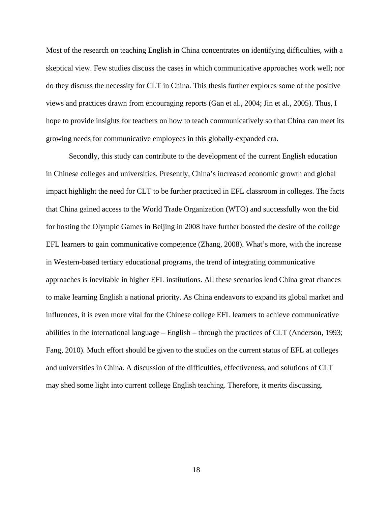Most of the research on teaching English in China concentrates on identifying difficulties, with a skeptical view. Few studies discuss the cases in which communicative approaches work well; nor do they discuss the necessity for CLT in China. This thesis further explores some of the positive views and practices drawn from encouraging reports (Gan et al., 2004; Jin et al., 2005). Thus, I hope to provide insights for teachers on how to teach communicatively so that China can meet its growing needs for communicative employees in this globally-expanded era.

Secondly, this study can contribute to the development of the current English education in Chinese colleges and universities. Presently, China's increased economic growth and global impact highlight the need for CLT to be further practiced in EFL classroom in colleges. The facts that China gained access to the World Trade Organization (WTO) and successfully won the bid for hosting the Olympic Games in Beijing in 2008 have further boosted the desire of the college EFL learners to gain communicative competence (Zhang, 2008). What's more, with the increase in Western-based tertiary educational programs, the trend of integrating communicative approaches is inevitable in higher EFL institutions. All these scenarios lend China great chances to make learning English a national priority. As China endeavors to expand its global market and influences, it is even more vital for the Chinese college EFL learners to achieve communicative abilities in the international language – English – through the practices of CLT (Anderson, 1993; Fang, 2010). Much effort should be given to the studies on the current status of EFL at colleges and universities in China. A discussion of the difficulties, effectiveness, and solutions of CLT may shed some light into current college English teaching. Therefore, it merits discussing.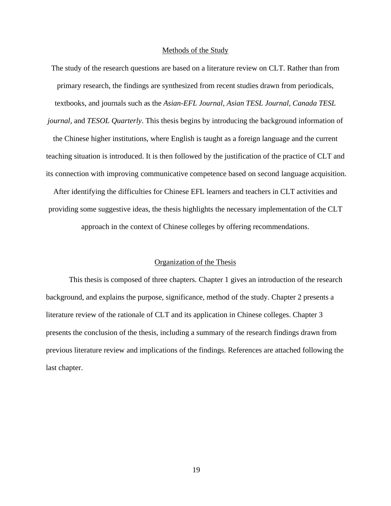#### Methods of the Study

The study of the research questions are based on a literature review on CLT. Rather than from primary research, the findings are synthesized from recent studies drawn from periodicals, textbooks, and journals such as the *Asian-EFL Journal*, *Asian TESL Journal*, *Canada TESL journal*, and *TESOL Quarterly*. This thesis begins by introducing the background information of

the Chinese higher institutions, where English is taught as a foreign language and the current teaching situation is introduced. It is then followed by the justification of the practice of CLT and its connection with improving communicative competence based on second language acquisition.

After identifying the difficulties for Chinese EFL learners and teachers in CLT activities and providing some suggestive ideas, the thesis highlights the necessary implementation of the CLT approach in the context of Chinese colleges by offering recommendations.

#### Organization of the Thesis

This thesis is composed of three chapters. Chapter 1 gives an introduction of the research background, and explains the purpose, significance, method of the study. Chapter 2 presents a literature review of the rationale of CLT and its application in Chinese colleges. Chapter 3 presents the conclusion of the thesis, including a summary of the research findings drawn from previous literature review and implications of the findings. References are attached following the last chapter.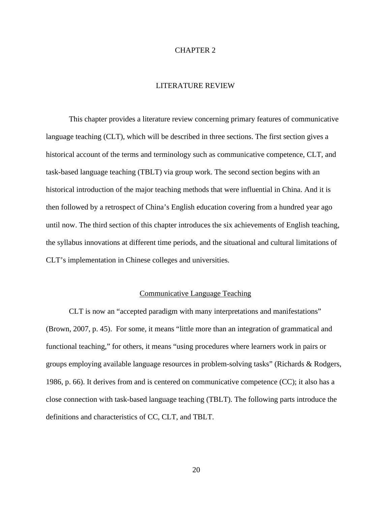#### CHAPTER 2

### LITERATURE REVIEW

This chapter provides a literature review concerning primary features of communicative language teaching (CLT), which will be described in three sections. The first section gives a historical account of the terms and terminology such as communicative competence, CLT, and task-based language teaching (TBLT) via group work. The second section begins with an historical introduction of the major teaching methods that were influential in China. And it is then followed by a retrospect of China's English education covering from a hundred year ago until now. The third section of this chapter introduces the six achievements of English teaching, the syllabus innovations at different time periods, and the situational and cultural limitations of CLT's implementation in Chinese colleges and universities.

#### Communicative Language Teaching

CLT is now an "accepted paradigm with many interpretations and manifestations" (Brown, 2007, p. 45). For some, it means "little more than an integration of grammatical and functional teaching," for others, it means "using procedures where learners work in pairs or groups employing available language resources in problem-solving tasks" (Richards & Rodgers, 1986, p. 66). It derives from and is centered on communicative competence (CC); it also has a close connection with task-based language teaching (TBLT). The following parts introduce the definitions and characteristics of CC, CLT, and TBLT.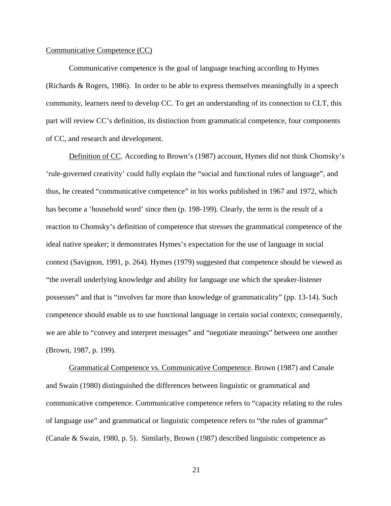#### Communicative Competence (CC)

Communicative competence is the goal of language teaching according to Hymes (Richards & Rogers, 1986). In order to be able to express themselves meaningfully in a speech community, learners need to develop CC. To get an understanding of its connection to CLT, this part will review CC's definition, its distinction from grammatical competence, four components of CC, and research and development.

Definition of CC. According to Brown's (1987) account, Hymes did not think Chomsky's 'rule-governed creativity' could fully explain the "social and functional rules of language", and thus, he created "communicative competence" in his works published in 1967 and 1972, which has become a 'household word' since then (p. 198-199). Clearly, the term is the result of a reaction to Chomsky's definition of competence that stresses the grammatical competence of the ideal native speaker; it demonstrates Hymes's expectation for the use of language in social context (Savignon, 1991, p. 264). Hymes (1979) suggested that competence should be viewed as "the overall underlying knowledge and ability for language use which the speaker-listener possesses" and that is "involves far more than knowledge of grammaticality" (pp. 13-14). Such competence should enable us to use functional language in certain social contexts; consequently, we are able to "convey and interpret messages" and "negotiate meanings" between one another (Brown, 1987, p. 199).

Grammatical Competence vs. Communicative Competence. Brown (1987) and Canale and Swain (1980) distinguished the differences between linguistic or grammatical and communicative competence. Communicative competence refers to "capacity relating to the rules of language use" and grammatical or linguistic competence refers to "the rules of grammar" (Canale & Swain, 1980, p. 5). Similarly, Brown (1987) described linguistic competence as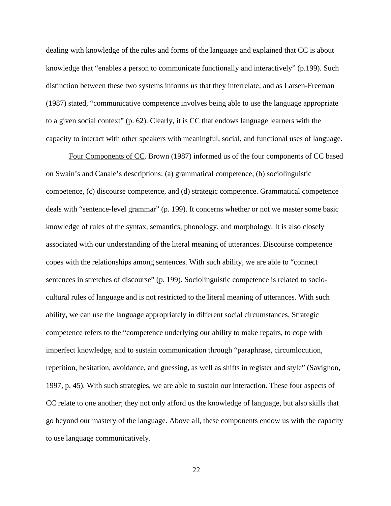dealing with knowledge of the rules and forms of the language and explained that CC is about knowledge that "enables a person to communicate functionally and interactively" (p.199). Such distinction between these two systems informs us that they interrelate; and as Larsen-Freeman (1987) stated, "communicative competence involves being able to use the language appropriate to a given social context" (p. 62). Clearly, it is CC that endows language learners with the capacity to interact with other speakers with meaningful, social, and functional uses of language.

Four Components of CC. Brown (1987) informed us of the four components of CC based on Swain's and Canale's descriptions: (a) grammatical competence, (b) sociolinguistic competence, (c) discourse competence, and (d) strategic competence. Grammatical competence deals with "sentence-level grammar" (p. 199). It concerns whether or not we master some basic knowledge of rules of the syntax, semantics, phonology, and morphology. It is also closely associated with our understanding of the literal meaning of utterances. Discourse competence copes with the relationships among sentences. With such ability, we are able to "connect sentences in stretches of discourse" (p. 199). Sociolinguistic competence is related to sociocultural rules of language and is not restricted to the literal meaning of utterances. With such ability, we can use the language appropriately in different social circumstances. Strategic competence refers to the "competence underlying our ability to make repairs, to cope with imperfect knowledge, and to sustain communication through "paraphrase, circumlocution, repetition, hesitation, avoidance, and guessing, as well as shifts in register and style" (Savignon, 1997, p. 45). With such strategies, we are able to sustain our interaction. These four aspects of CC relate to one another; they not only afford us the knowledge of language, but also skills that go beyond our mastery of the language. Above all, these components endow us with the capacity to use language communicatively.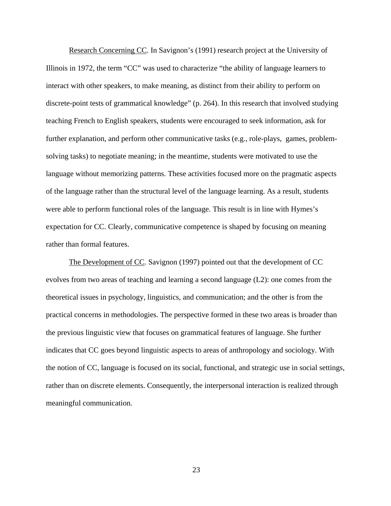Research Concerning CC. In Savignon's (1991) research project at the University of Illinois in 1972, the term "CC" was used to characterize "the ability of language learners to interact with other speakers, to make meaning, as distinct from their ability to perform on discrete-point tests of grammatical knowledge" (p. 264). In this research that involved studying teaching French to English speakers, students were encouraged to seek information, ask for further explanation, and perform other communicative tasks (e.g., role-plays, games, problemsolving tasks) to negotiate meaning; in the meantime, students were motivated to use the language without memorizing patterns. These activities focused more on the pragmatic aspects of the language rather than the structural level of the language learning. As a result, students were able to perform functional roles of the language. This result is in line with Hymes's expectation for CC. Clearly, communicative competence is shaped by focusing on meaning rather than formal features.

The Development of CC. Savignon (1997) pointed out that the development of CC evolves from two areas of teaching and learning a second language (L2): one comes from the theoretical issues in psychology, linguistics, and communication; and the other is from the practical concerns in methodologies. The perspective formed in these two areas is broader than the previous linguistic view that focuses on grammatical features of language. She further indicates that CC goes beyond linguistic aspects to areas of anthropology and sociology. With the notion of CC, language is focused on its social, functional, and strategic use in social settings, rather than on discrete elements. Consequently, the interpersonal interaction is realized through meaningful communication.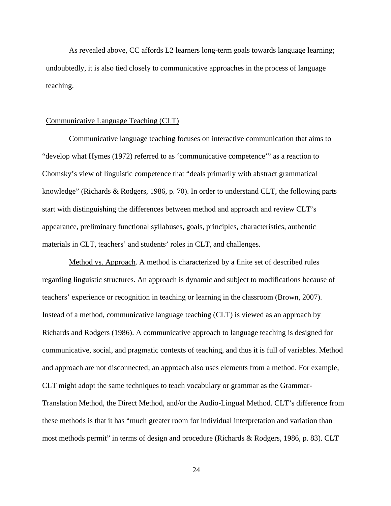As revealed above, CC affords L2 learners long-term goals towards language learning; undoubtedly, it is also tied closely to communicative approaches in the process of language teaching.

### Communicative Language Teaching (CLT)

Communicative language teaching focuses on interactive communication that aims to "develop what Hymes (1972) referred to as 'communicative competence'" as a reaction to Chomsky's view of linguistic competence that "deals primarily with abstract grammatical knowledge" (Richards & Rodgers, 1986, p. 70). In order to understand CLT, the following parts start with distinguishing the differences between method and approach and review CLT's appearance, preliminary functional syllabuses, goals, principles, characteristics, authentic materials in CLT, teachers' and students' roles in CLT, and challenges.

Method vs. Approach. A method is characterized by a finite set of described rules regarding linguistic structures. An approach is dynamic and subject to modifications because of teachers' experience or recognition in teaching or learning in the classroom (Brown, 2007). Instead of a method, communicative language teaching (CLT) is viewed as an approach by Richards and Rodgers (1986). A communicative approach to language teaching is designed for communicative, social, and pragmatic contexts of teaching, and thus it is full of variables. Method and approach are not disconnected; an approach also uses elements from a method. For example, CLT might adopt the same techniques to teach vocabulary or grammar as the Grammar-Translation Method, the Direct Method, and/or the Audio-Lingual Method. CLT's difference from these methods is that it has "much greater room for individual interpretation and variation than most methods permit" in terms of design and procedure (Richards & Rodgers, 1986, p. 83). CLT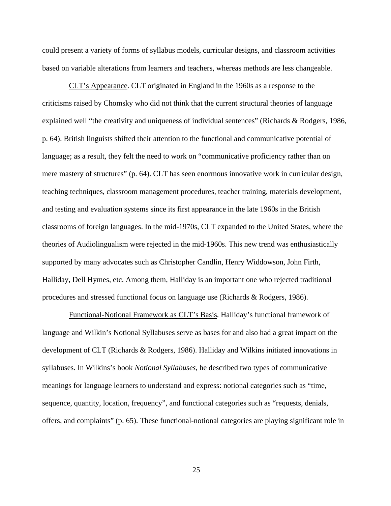could present a variety of forms of syllabus models, curricular designs, and classroom activities based on variable alterations from learners and teachers, whereas methods are less changeable.

CLT's Appearance. CLT originated in England in the 1960s as a response to the criticisms raised by Chomsky who did not think that the current structural theories of language explained well "the creativity and uniqueness of individual sentences" (Richards & Rodgers, 1986, p. 64). British linguists shifted their attention to the functional and communicative potential of language; as a result, they felt the need to work on "communicative proficiency rather than on mere mastery of structures" (p. 64). CLT has seen enormous innovative work in curricular design, teaching techniques, classroom management procedures, teacher training, materials development, and testing and evaluation systems since its first appearance in the late 1960s in the British classrooms of foreign languages. In the mid-1970s, CLT expanded to the United States, where the theories of Audiolingualism were rejected in the mid-1960s. This new trend was enthusiastically supported by many advocates such as Christopher Candlin, Henry Widdowson, John Firth, Halliday, Dell Hymes, etc. Among them, Halliday is an important one who rejected traditional procedures and stressed functional focus on language use (Richards & Rodgers, 1986).

Functional-Notional Framework as CLT's Basis. Halliday's functional framework of language and Wilkin's Notional Syllabuses serve as bases for and also had a great impact on the development of CLT (Richards & Rodgers, 1986). Halliday and Wilkins initiated innovations in syllabuses. In Wilkins's book *Notional Syllabuses*, he described two types of communicative meanings for language learners to understand and express: notional categories such as "time, sequence, quantity, location, frequency", and functional categories such as "requests, denials, offers, and complaints" (p. 65). These functional-notional categories are playing significant role in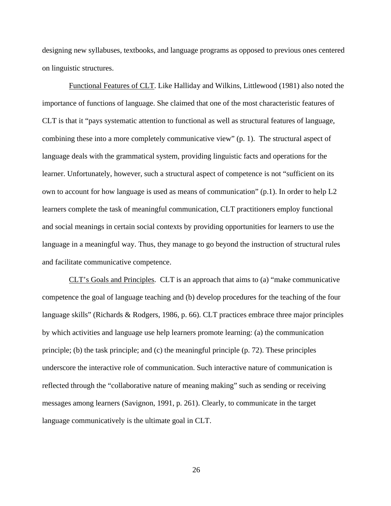designing new syllabuses, textbooks, and language programs as opposed to previous ones centered on linguistic structures.

Functional Features of CLT. Like Halliday and Wilkins, Littlewood (1981) also noted the importance of functions of language. She claimed that one of the most characteristic features of CLT is that it "pays systematic attention to functional as well as structural features of language, combining these into a more completely communicative view" (p. 1). The structural aspect of language deals with the grammatical system, providing linguistic facts and operations for the learner. Unfortunately, however, such a structural aspect of competence is not "sufficient on its own to account for how language is used as means of communication"  $(p,1)$ . In order to help L2 learners complete the task of meaningful communication, CLT practitioners employ functional and social meanings in certain social contexts by providing opportunities for learners to use the language in a meaningful way. Thus, they manage to go beyond the instruction of structural rules and facilitate communicative competence.

CLT's Goals and Principles. CLT is an approach that aims to (a) "make communicative competence the goal of language teaching and (b) develop procedures for the teaching of the four language skills" (Richards & Rodgers, 1986, p. 66). CLT practices embrace three major principles by which activities and language use help learners promote learning: (a) the communication principle; (b) the task principle; and (c) the meaningful principle (p. 72). These principles underscore the interactive role of communication. Such interactive nature of communication is reflected through the "collaborative nature of meaning making" such as sending or receiving messages among learners (Savignon, 1991, p. 261). Clearly, to communicate in the target language communicatively is the ultimate goal in CLT.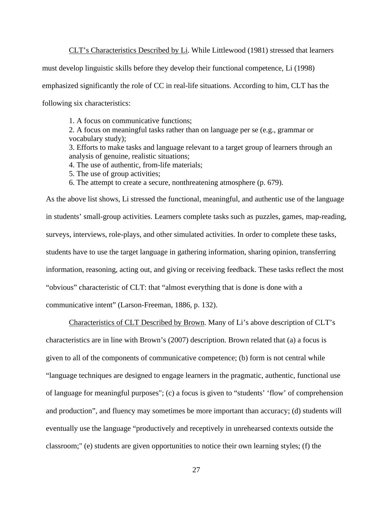CLT's Characteristics Described by Li. While Littlewood (1981) stressed that learners

must develop linguistic skills before they develop their functional competence, Li (1998)

emphasized significantly the role of CC in real-life situations. According to him, CLT has the

following six characteristics:

1. A focus on communicative functions;

2. A focus on meaningful tasks rather than on language per se (e.g., grammar or vocabulary study);

3. Efforts to make tasks and language relevant to a target group of learners through an analysis of genuine, realistic situations;

4. The use of authentic, from-life materials;

5. The use of group activities;

6. The attempt to create a secure, nonthreatening atmosphere (p. 679).

As the above list shows, Li stressed the functional, meaningful, and authentic use of the language in students' small-group activities. Learners complete tasks such as puzzles, games, map-reading, surveys, interviews, role-plays, and other simulated activities. In order to complete these tasks, students have to use the target language in gathering information, sharing opinion, transferring information, reasoning, acting out, and giving or receiving feedback. These tasks reflect the most "obvious" characteristic of CLT: that "almost everything that is done is done with a communicative intent" (Larson-Freeman, 1886, p. 132).

Characteristics of CLT Described by Brown. Many of Li's above description of CLT's characteristics are in line with Brown's (2007) description. Brown related that (a) a focus is given to all of the components of communicative competence; (b) form is not central while "language techniques are designed to engage learners in the pragmatic, authentic, functional use of language for meaningful purposes"; (c) a focus is given to "students' 'flow' of comprehension and production", and fluency may sometimes be more important than accuracy; (d) students will eventually use the language "productively and receptively in unrehearsed contexts outside the classroom;" (e) students are given opportunities to notice their own learning styles; (f) the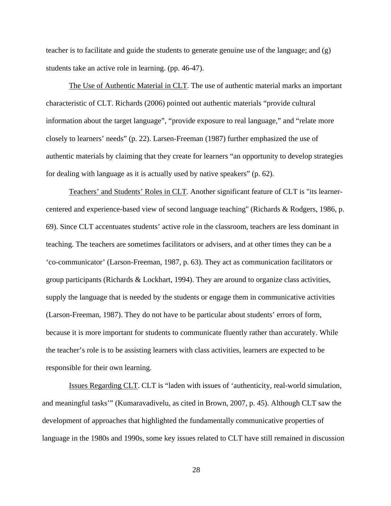teacher is to facilitate and guide the students to generate genuine use of the language; and  $(g)$ students take an active role in learning. (pp. 46-47).

The Use of Authentic Material in CLT. The use of authentic material marks an important characteristic of CLT. Richards (2006) pointed out authentic materials "provide cultural information about the target language", "provide exposure to real language," and "relate more closely to learners' needs" (p. 22). Larsen-Freeman (1987) further emphasized the use of authentic materials by claiming that they create for learners "an opportunity to develop strategies for dealing with language as it is actually used by native speakers" (p. 62).

Teachers' and Students' Roles in CLT. Another significant feature of CLT is "its learnercentered and experience-based view of second language teaching" (Richards & Rodgers, 1986, p. 69). Since CLT accentuates students' active role in the classroom, teachers are less dominant in teaching. The teachers are sometimes facilitators or advisers, and at other times they can be a 'co-communicator' (Larson-Freeman, 1987, p. 63). They act as communication facilitators or group participants (Richards & Lockhart, 1994). They are around to organize class activities, supply the language that is needed by the students or engage them in communicative activities (Larson-Freeman, 1987). They do not have to be particular about students' errors of form, because it is more important for students to communicate fluently rather than accurately. While the teacher's role is to be assisting learners with class activities, learners are expected to be responsible for their own learning.

Issues Regarding CLT. CLT is "laden with issues of 'authenticity, real-world simulation, and meaningful tasks'" (Kumaravadivelu, as cited in Brown, 2007, p. 45). Although CLT saw the development of approaches that highlighted the fundamentally communicative properties of language in the 1980s and 1990s, some key issues related to CLT have still remained in discussion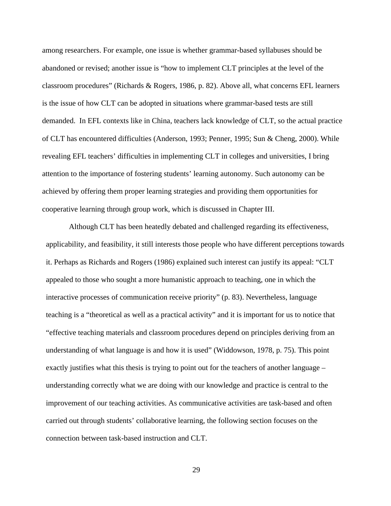among researchers. For example, one issue is whether grammar-based syllabuses should be abandoned or revised; another issue is "how to implement CLT principles at the level of the classroom procedures" (Richards & Rogers, 1986, p. 82). Above all, what concerns EFL learners is the issue of how CLT can be adopted in situations where grammar-based tests are still demanded. In EFL contexts like in China, teachers lack knowledge of CLT, so the actual practice of CLT has encountered difficulties (Anderson, 1993; Penner, 1995; Sun & Cheng, 2000). While revealing EFL teachers' difficulties in implementing CLT in colleges and universities, I bring attention to the importance of fostering students' learning autonomy. Such autonomy can be achieved by offering them proper learning strategies and providing them opportunities for cooperative learning through group work, which is discussed in Chapter III.

Although CLT has been heatedly debated and challenged regarding its effectiveness, applicability, and feasibility, it still interests those people who have different perceptions towards it. Perhaps as Richards and Rogers (1986) explained such interest can justify its appeal: "CLT appealed to those who sought a more humanistic approach to teaching, one in which the interactive processes of communication receive priority" (p. 83). Nevertheless, language teaching is a "theoretical as well as a practical activity" and it is important for us to notice that "effective teaching materials and classroom procedures depend on principles deriving from an understanding of what language is and how it is used" (Widdowson, 1978, p. 75). This point exactly justifies what this thesis is trying to point out for the teachers of another language – understanding correctly what we are doing with our knowledge and practice is central to the improvement of our teaching activities. As communicative activities are task-based and often carried out through students' collaborative learning, the following section focuses on the connection between task-based instruction and CLT.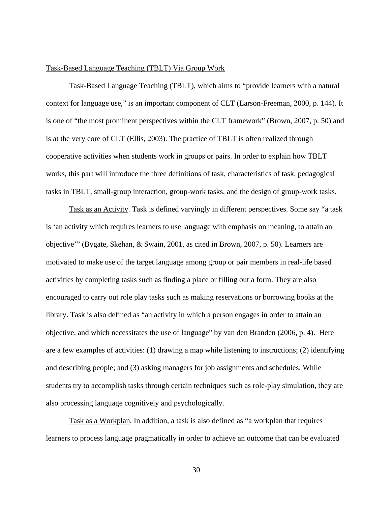#### Task-Based Language Teaching (TBLT) Via Group Work

Task-Based Language Teaching (TBLT), which aims to "provide learners with a natural context for language use," is an important component of CLT (Larson-Freeman, 2000, p. 144). It is one of "the most prominent perspectives within the CLT framework" (Brown, 2007, p. 50) and is at the very core of CLT (Ellis, 2003). The practice of TBLT is often realized through cooperative activities when students work in groups or pairs. In order to explain how TBLT works, this part will introduce the three definitions of task, characteristics of task, pedagogical tasks in TBLT, small-group interaction, group-work tasks, and the design of group-work tasks.

Task as an Activity. Task is defined varyingly in different perspectives. Some say "a task is 'an activity which requires learners to use language with emphasis on meaning, to attain an objective'" (Bygate, Skehan, & Swain, 2001, as cited in Brown, 2007, p. 50). Learners are motivated to make use of the target language among group or pair members in real-life based activities by completing tasks such as finding a place or filling out a form. They are also encouraged to carry out role play tasks such as making reservations or borrowing books at the library. Task is also defined as "an activity in which a person engages in order to attain an objective, and which necessitates the use of language" by van den Branden (2006, p. 4). Here are a few examples of activities: (1) drawing a map while listening to instructions; (2) identifying and describing people; and (3) asking managers for job assignments and schedules. While students try to accomplish tasks through certain techniques such as role-play simulation, they are also processing language cognitively and psychologically.

Task as a Workplan. In addition, a task is also defined as "a workplan that requires learners to process language pragmatically in order to achieve an outcome that can be evaluated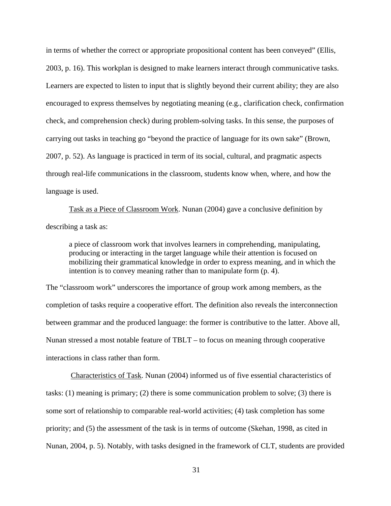in terms of whether the correct or appropriate propositional content has been conveyed" (Ellis, 2003, p. 16). This workplan is designed to make learners interact through communicative tasks. Learners are expected to listen to input that is slightly beyond their current ability; they are also encouraged to express themselves by negotiating meaning (e.g., clarification check, confirmation check, and comprehension check) during problem-solving tasks. In this sense, the purposes of carrying out tasks in teaching go "beyond the practice of language for its own sake" (Brown, 2007, p. 52). As language is practiced in term of its social, cultural, and pragmatic aspects through real-life communications in the classroom, students know when, where, and how the language is used.

Task as a Piece of Classroom Work. Nunan (2004) gave a conclusive definition by describing a task as:

a piece of classroom work that involves learners in comprehending, manipulating, producing or interacting in the target language while their attention is focused on mobilizing their grammatical knowledge in order to express meaning, and in which the intention is to convey meaning rather than to manipulate form (p. 4).

The "classroom work" underscores the importance of group work among members, as the completion of tasks require a cooperative effort. The definition also reveals the interconnection between grammar and the produced language: the former is contributive to the latter. Above all, Nunan stressed a most notable feature of TBLT – to focus on meaning through cooperative interactions in class rather than form.

Characteristics of Task. Nunan (2004) informed us of five essential characteristics of tasks: (1) meaning is primary; (2) there is some communication problem to solve; (3) there is some sort of relationship to comparable real-world activities; (4) task completion has some priority; and (5) the assessment of the task is in terms of outcome (Skehan, 1998, as cited in Nunan, 2004, p. 5). Notably, with tasks designed in the framework of CLT, students are provided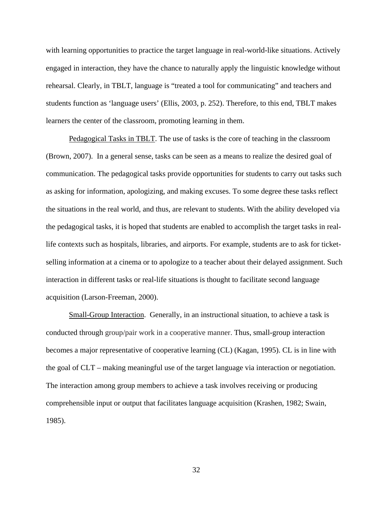with learning opportunities to practice the target language in real-world-like situations. Actively engaged in interaction, they have the chance to naturally apply the linguistic knowledge without rehearsal. Clearly, in TBLT, language is "treated a tool for communicating" and teachers and students function as 'language users' (Ellis, 2003, p. 252). Therefore, to this end, TBLT makes learners the center of the classroom, promoting learning in them.

Pedagogical Tasks in TBLT. The use of tasks is the core of teaching in the classroom (Brown, 2007). In a general sense, tasks can be seen as a means to realize the desired goal of communication. The pedagogical tasks provide opportunities for students to carry out tasks such as asking for information, apologizing, and making excuses. To some degree these tasks reflect the situations in the real world, and thus, are relevant to students. With the ability developed via the pedagogical tasks, it is hoped that students are enabled to accomplish the target tasks in reallife contexts such as hospitals, libraries, and airports. For example, students are to ask for ticketselling information at a cinema or to apologize to a teacher about their delayed assignment. Such interaction in different tasks or real-life situations is thought to facilitate second language acquisition (Larson-Freeman, 2000).

Small-Group Interaction. Generally, in an instructional situation, to achieve a task is conducted through group/pair work in a cooperative manner. Thus, small-group interaction becomes a major representative of cooperative learning (CL) (Kagan, 1995). CL is in line with the goal of CLT – making meaningful use of the target language via interaction or negotiation. The interaction among group members to achieve a task involves receiving or producing comprehensible input or output that facilitates language acquisition (Krashen, 1982; Swain, 1985).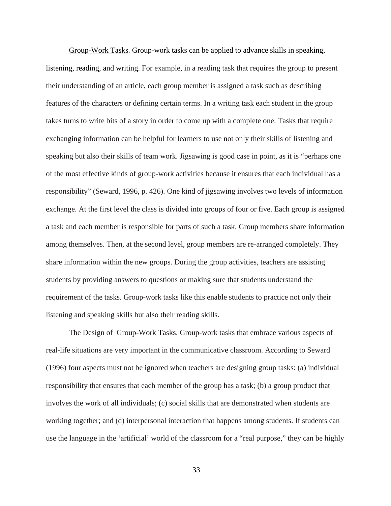Group-Work Tasks. Group-work tasks can be applied to advance skills in speaking, listening, reading, and writing. For example, in a reading task that requires the group to present their understanding of an article, each group member is assigned a task such as describing features of the characters or defining certain terms. In a writing task each student in the group takes turns to write bits of a story in order to come up with a complete one. Tasks that require exchanging information can be helpful for learners to use not only their skills of listening and speaking but also their skills of team work. Jigsawing is good case in point, as it is "perhaps one of the most effective kinds of group-work activities because it ensures that each individual has a responsibility" (Seward, 1996, p. 426). One kind of jigsawing involves two levels of information exchange. At the first level the class is divided into groups of four or five. Each group is assigned a task and each member is responsible for parts of such a task. Group members share information among themselves. Then, at the second level, group members are re-arranged completely. They share information within the new groups. During the group activities, teachers are assisting students by providing answers to questions or making sure that students understand the requirement of the tasks. Group-work tasks like this enable students to practice not only their listening and speaking skills but also their reading skills.

The Design of Group-Work Tasks. Group-work tasks that embrace various aspects of real-life situations are very important in the communicative classroom. According to Seward (1996) four aspects must not be ignored when teachers are designing group tasks: (a) individual responsibility that ensures that each member of the group has a task; (b) a group product that involves the work of all individuals; (c) social skills that are demonstrated when students are working together; and (d) interpersonal interaction that happens among students. If students can use the language in the 'artificial' world of the classroom for a "real purpose," they can be highly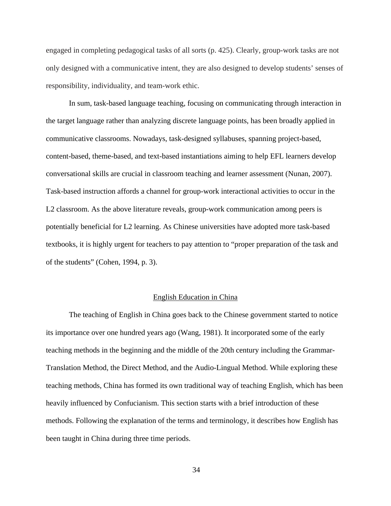engaged in completing pedagogical tasks of all sorts (p. 425). Clearly, group-work tasks are not only designed with a communicative intent, they are also designed to develop students' senses of responsibility, individuality, and team-work ethic.

In sum, task-based language teaching, focusing on communicating through interaction in the target language rather than analyzing discrete language points, has been broadly applied in communicative classrooms. Nowadays, task-designed syllabuses, spanning project-based, content-based, theme-based, and text-based instantiations aiming to help EFL learners develop conversational skills are crucial in classroom teaching and learner assessment (Nunan, 2007). Task-based instruction affords a channel for group-work interactional activities to occur in the L2 classroom. As the above literature reveals, group-work communication among peers is potentially beneficial for L2 learning. As Chinese universities have adopted more task-based textbooks, it is highly urgent for teachers to pay attention to "proper preparation of the task and of the students" (Cohen, 1994, p. 3).

#### English Education in China

The teaching of English in China goes back to the Chinese government started to notice its importance over one hundred years ago (Wang, 1981). It incorporated some of the early teaching methods in the beginning and the middle of the 20th century including the Grammar-Translation Method, the Direct Method, and the Audio-Lingual Method. While exploring these teaching methods, China has formed its own traditional way of teaching English, which has been heavily influenced by Confucianism. This section starts with a brief introduction of these methods. Following the explanation of the terms and terminology, it describes how English has been taught in China during three time periods.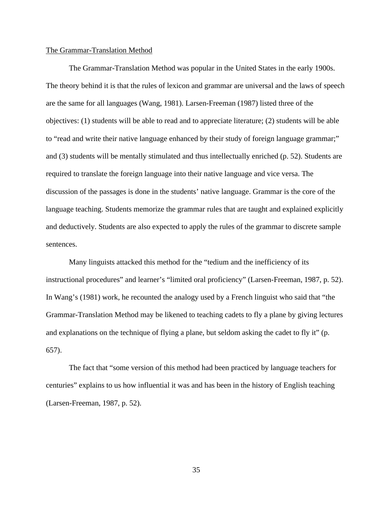#### The Grammar-Translation Method

The Grammar-Translation Method was popular in the United States in the early 1900s. The theory behind it is that the rules of lexicon and grammar are universal and the laws of speech are the same for all languages (Wang, 1981). Larsen-Freeman (1987) listed three of the objectives: (1) students will be able to read and to appreciate literature; (2) students will be able to "read and write their native language enhanced by their study of foreign language grammar;" and (3) students will be mentally stimulated and thus intellectually enriched (p. 52). Students are required to translate the foreign language into their native language and vice versa. The discussion of the passages is done in the students' native language. Grammar is the core of the language teaching. Students memorize the grammar rules that are taught and explained explicitly and deductively. Students are also expected to apply the rules of the grammar to discrete sample sentences.

Many linguists attacked this method for the "tedium and the inefficiency of its instructional procedures" and learner's "limited oral proficiency" (Larsen-Freeman, 1987, p. 52). In Wang's (1981) work, he recounted the analogy used by a French linguist who said that "the Grammar-Translation Method may be likened to teaching cadets to fly a plane by giving lectures and explanations on the technique of flying a plane, but seldom asking the cadet to fly it" (p. 657).

The fact that "some version of this method had been practiced by language teachers for centuries" explains to us how influential it was and has been in the history of English teaching (Larsen-Freeman, 1987, p. 52).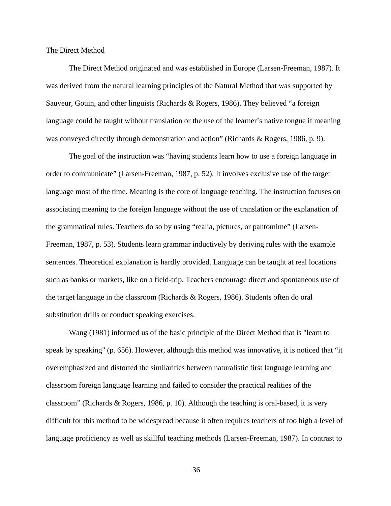### The Direct Method

The Direct Method originated and was established in Europe (Larsen-Freeman, 1987). It was derived from the natural learning principles of the Natural Method that was supported by Sauveur, Gouin, and other linguists (Richards & Rogers, 1986). They believed "a foreign language could be taught without translation or the use of the learner's native tongue if meaning was conveyed directly through demonstration and action" (Richards & Rogers, 1986, p. 9).

The goal of the instruction was "having students learn how to use a foreign language in order to communicate" (Larsen-Freeman, 1987, p. 52). It involves exclusive use of the target language most of the time. Meaning is the core of language teaching. The instruction focuses on associating meaning to the foreign language without the use of translation or the explanation of the grammatical rules. Teachers do so by using "realia, pictures, or pantomime" (Larsen-Freeman, 1987, p. 53). Students learn grammar inductively by deriving rules with the example sentences. Theoretical explanation is hardly provided. Language can be taught at real locations such as banks or markets, like on a field-trip. Teachers encourage direct and spontaneous use of the target language in the classroom (Richards & Rogers, 1986). Students often do oral substitution drills or conduct speaking exercises.

Wang (1981) informed us of the basic principle of the Direct Method that is "learn to speak by speaking" (p. 656). However, although this method was innovative, it is noticed that "it overemphasized and distorted the similarities between naturalistic first language learning and classroom foreign language learning and failed to consider the practical realities of the classroom" (Richards & Rogers, 1986, p. 10). Although the teaching is oral-based, it is very difficult for this method to be widespread because it often requires teachers of too high a level of language proficiency as well as skillful teaching methods (Larsen-Freeman, 1987). In contrast to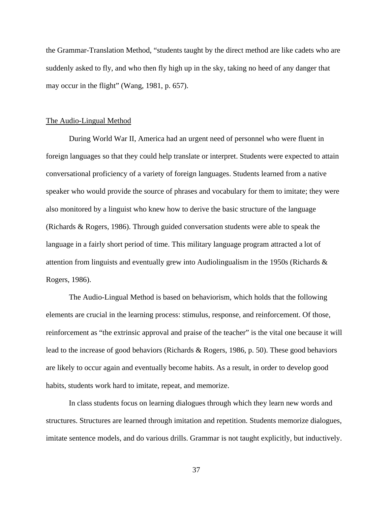the Grammar-Translation Method, "students taught by the direct method are like cadets who are suddenly asked to fly, and who then fly high up in the sky, taking no heed of any danger that may occur in the flight" (Wang, 1981, p. 657).

# The Audio-Lingual Method

During World War II, America had an urgent need of personnel who were fluent in foreign languages so that they could help translate or interpret. Students were expected to attain conversational proficiency of a variety of foreign languages. Students learned from a native speaker who would provide the source of phrases and vocabulary for them to imitate; they were also monitored by a linguist who knew how to derive the basic structure of the language (Richards & Rogers, 1986). Through guided conversation students were able to speak the language in a fairly short period of time. This military language program attracted a lot of attention from linguists and eventually grew into Audiolingualism in the 1950s (Richards & Rogers, 1986).

The Audio-Lingual Method is based on behaviorism, which holds that the following elements are crucial in the learning process: stimulus, response, and reinforcement. Of those, reinforcement as "the extrinsic approval and praise of the teacher" is the vital one because it will lead to the increase of good behaviors (Richards & Rogers, 1986, p. 50). These good behaviors are likely to occur again and eventually become habits. As a result, in order to develop good habits, students work hard to imitate, repeat, and memorize.

In class students focus on learning dialogues through which they learn new words and structures. Structures are learned through imitation and repetition. Students memorize dialogues, imitate sentence models, and do various drills. Grammar is not taught explicitly, but inductively.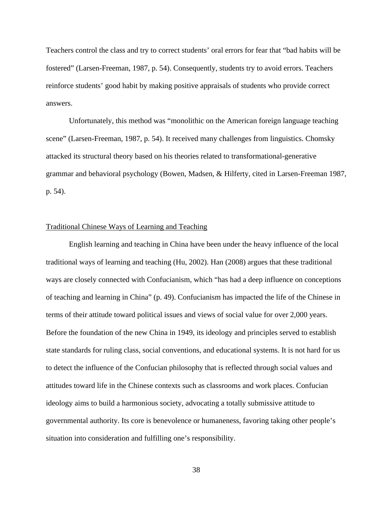Teachers control the class and try to correct students' oral errors for fear that "bad habits will be fostered" (Larsen-Freeman, 1987, p. 54). Consequently, students try to avoid errors. Teachers reinforce students' good habit by making positive appraisals of students who provide correct answers.

Unfortunately, this method was "monolithic on the American foreign language teaching scene" (Larsen-Freeman, 1987, p. 54). It received many challenges from linguistics. Chomsky attacked its structural theory based on his theories related to transformational-generative grammar and behavioral psychology (Bowen, Madsen, & Hilferty, cited in Larsen-Freeman 1987, p. 54).

### Traditional Chinese Ways of Learning and Teaching

English learning and teaching in China have been under the heavy influence of the local traditional ways of learning and teaching (Hu, 2002). Han (2008) argues that these traditional ways are closely connected with Confucianism, which "has had a deep influence on conceptions of teaching and learning in China" (p. 49). Confucianism has impacted the life of the Chinese in terms of their attitude toward political issues and views of social value for over 2,000 years. Before the foundation of the new China in 1949, its ideology and principles served to establish state standards for ruling class, social conventions, and educational systems. It is not hard for us to detect the influence of the Confucian philosophy that is reflected through social values and attitudes toward life in the Chinese contexts such as classrooms and work places. Confucian ideology aims to build a harmonious society, advocating a totally submissive attitude to governmental authority. Its core is benevolence or humaneness, favoring taking other people's situation into consideration and fulfilling one's responsibility.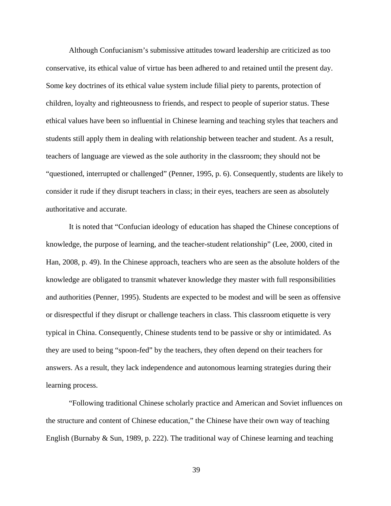Although Confucianism's submissive attitudes toward leadership are criticized as too conservative, its ethical value of virtue has been adhered to and retained until the present day. Some key doctrines of its ethical value system include filial piety to parents, protection of children, loyalty and righteousness to friends, and respect to people of superior status. These ethical values have been so influential in Chinese learning and teaching styles that teachers and students still apply them in dealing with relationship between teacher and student. As a result, teachers of language are viewed as the sole authority in the classroom; they should not be "questioned, interrupted or challenged" (Penner, 1995, p. 6). Consequently, students are likely to consider it rude if they disrupt teachers in class; in their eyes, teachers are seen as absolutely authoritative and accurate.

It is noted that "Confucian ideology of education has shaped the Chinese conceptions of knowledge, the purpose of learning, and the teacher-student relationship" (Lee, 2000, cited in Han, 2008, p. 49). In the Chinese approach, teachers who are seen as the absolute holders of the knowledge are obligated to transmit whatever knowledge they master with full responsibilities and authorities (Penner, 1995). Students are expected to be modest and will be seen as offensive or disrespectful if they disrupt or challenge teachers in class. This classroom etiquette is very typical in China. Consequently, Chinese students tend to be passive or shy or intimidated. As they are used to being "spoon-fed" by the teachers, they often depend on their teachers for answers. As a result, they lack independence and autonomous learning strategies during their learning process.

"Following traditional Chinese scholarly practice and American and Soviet influences on the structure and content of Chinese education," the Chinese have their own way of teaching English (Burnaby & Sun, 1989, p. 222). The traditional way of Chinese learning and teaching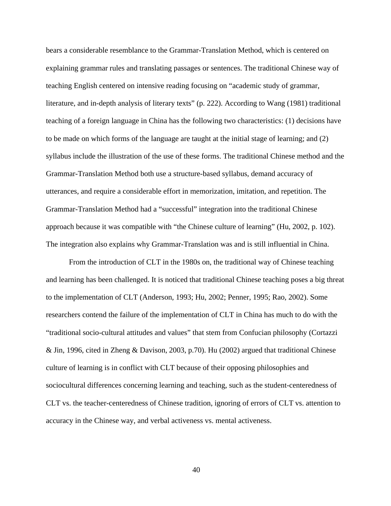bears a considerable resemblance to the Grammar-Translation Method, which is centered on explaining grammar rules and translating passages or sentences. The traditional Chinese way of teaching English centered on intensive reading focusing on "academic study of grammar, literature, and in-depth analysis of literary texts" (p. 222). According to Wang (1981) traditional teaching of a foreign language in China has the following two characteristics: (1) decisions have to be made on which forms of the language are taught at the initial stage of learning; and (2) syllabus include the illustration of the use of these forms. The traditional Chinese method and the Grammar-Translation Method both use a structure-based syllabus, demand accuracy of utterances, and require a considerable effort in memorization, imitation, and repetition. The Grammar-Translation Method had a "successful" integration into the traditional Chinese approach because it was compatible with "the Chinese culture of learning" (Hu, 2002, p. 102). The integration also explains why Grammar-Translation was and is still influential in China.

From the introduction of CLT in the 1980s on, the traditional way of Chinese teaching and learning has been challenged. It is noticed that traditional Chinese teaching poses a big threat to the implementation of CLT (Anderson, 1993; Hu, 2002; Penner, 1995; Rao, 2002). Some researchers contend the failure of the implementation of CLT in China has much to do with the "traditional socio-cultural attitudes and values" that stem from Confucian philosophy (Cortazzi & Jin, 1996, cited in Zheng & Davison, 2003, p.70). Hu (2002) argued that traditional Chinese culture of learning is in conflict with CLT because of their opposing philosophies and sociocultural differences concerning learning and teaching, such as the student-centeredness of CLT vs. the teacher-centeredness of Chinese tradition, ignoring of errors of CLT vs. attention to accuracy in the Chinese way, and verbal activeness vs. mental activeness.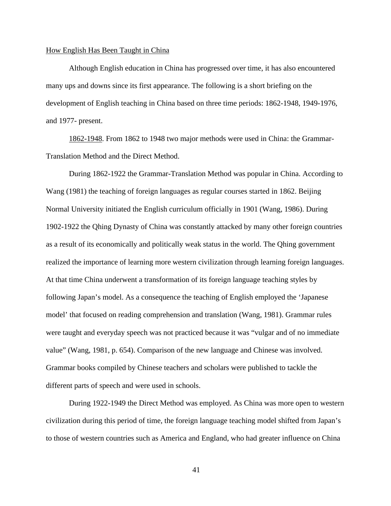### How English Has Been Taught in China

Although English education in China has progressed over time, it has also encountered many ups and downs since its first appearance. The following is a short briefing on the development of English teaching in China based on three time periods: 1862-1948, 1949-1976, and 1977- present.

1862-1948. From 1862 to 1948 two major methods were used in China: the Grammar-Translation Method and the Direct Method.

During 1862-1922 the Grammar-Translation Method was popular in China. According to Wang (1981) the teaching of foreign languages as regular courses started in 1862. Beijing Normal University initiated the English curriculum officially in 1901 (Wang, 1986). During 1902-1922 the Qhing Dynasty of China was constantly attacked by many other foreign countries as a result of its economically and politically weak status in the world. The Qhing government realized the importance of learning more western civilization through learning foreign languages. At that time China underwent a transformation of its foreign language teaching styles by following Japan's model. As a consequence the teaching of English employed the 'Japanese model' that focused on reading comprehension and translation (Wang, 1981). Grammar rules were taught and everyday speech was not practiced because it was "vulgar and of no immediate value" (Wang, 1981, p. 654). Comparison of the new language and Chinese was involved. Grammar books compiled by Chinese teachers and scholars were published to tackle the different parts of speech and were used in schools.

During 1922-1949 the Direct Method was employed. As China was more open to western civilization during this period of time, the foreign language teaching model shifted from Japan's to those of western countries such as America and England, who had greater influence on China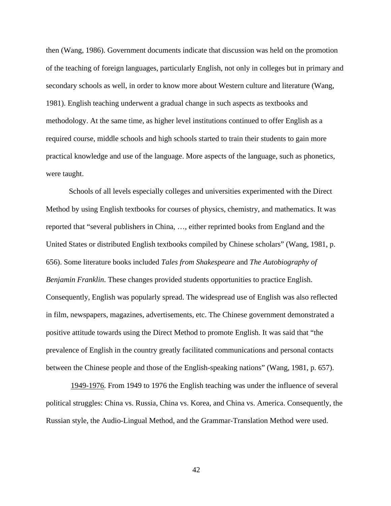then (Wang, 1986). Government documents indicate that discussion was held on the promotion of the teaching of foreign languages, particularly English, not only in colleges but in primary and secondary schools as well, in order to know more about Western culture and literature (Wang, 1981). English teaching underwent a gradual change in such aspects as textbooks and methodology. At the same time, as higher level institutions continued to offer English as a required course, middle schools and high schools started to train their students to gain more practical knowledge and use of the language. More aspects of the language, such as phonetics, were taught.

Schools of all levels especially colleges and universities experimented with the Direct Method by using English textbooks for courses of physics, chemistry, and mathematics. It was reported that "several publishers in China, …, either reprinted books from England and the United States or distributed English textbooks compiled by Chinese scholars" (Wang, 1981, p. 656). Some literature books included *Tales from Shakespeare* and *The Autobiography of Benjamin Franklin*. These changes provided students opportunities to practice English. Consequently, English was popularly spread. The widespread use of English was also reflected in film, newspapers, magazines, advertisements, etc. The Chinese government demonstrated a positive attitude towards using the Direct Method to promote English. It was said that "the prevalence of English in the country greatly facilitated communications and personal contacts between the Chinese people and those of the English-speaking nations" (Wang, 1981, p. 657).

1949-1976. From 1949 to 1976 the English teaching was under the influence of several political struggles: China vs. Russia, China vs. Korea, and China vs. America. Consequently, the Russian style, the Audio-Lingual Method, and the Grammar-Translation Method were used.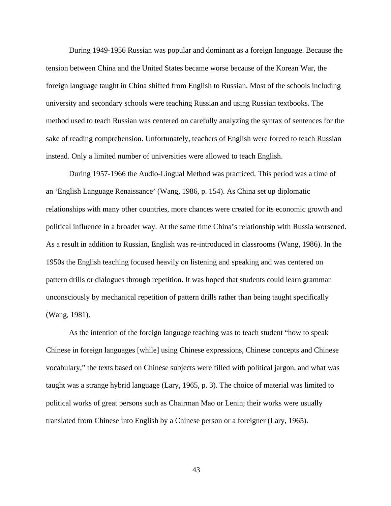During 1949-1956 Russian was popular and dominant as a foreign language. Because the tension between China and the United States became worse because of the Korean War, the foreign language taught in China shifted from English to Russian. Most of the schools including university and secondary schools were teaching Russian and using Russian textbooks. The method used to teach Russian was centered on carefully analyzing the syntax of sentences for the sake of reading comprehension. Unfortunately, teachers of English were forced to teach Russian instead. Only a limited number of universities were allowed to teach English.

During 1957-1966 the Audio-Lingual Method was practiced. This period was a time of an 'English Language Renaissance' (Wang, 1986, p. 154). As China set up diplomatic relationships with many other countries, more chances were created for its economic growth and political influence in a broader way. At the same time China's relationship with Russia worsened. As a result in addition to Russian, English was re-introduced in classrooms (Wang, 1986). In the 1950s the English teaching focused heavily on listening and speaking and was centered on pattern drills or dialogues through repetition. It was hoped that students could learn grammar unconsciously by mechanical repetition of pattern drills rather than being taught specifically (Wang, 1981).

As the intention of the foreign language teaching was to teach student "how to speak Chinese in foreign languages [while] using Chinese expressions, Chinese concepts and Chinese vocabulary," the texts based on Chinese subjects were filled with political jargon, and what was taught was a strange hybrid language (Lary, 1965, p. 3). The choice of material was limited to political works of great persons such as Chairman Mao or Lenin; their works were usually translated from Chinese into English by a Chinese person or a foreigner (Lary, 1965).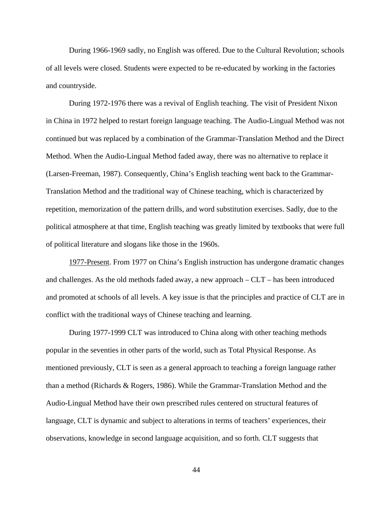During 1966-1969 sadly, no English was offered. Due to the Cultural Revolution; schools of all levels were closed. Students were expected to be re-educated by working in the factories and countryside.

During 1972-1976 there was a revival of English teaching. The visit of President Nixon in China in 1972 helped to restart foreign language teaching. The Audio-Lingual Method was not continued but was replaced by a combination of the Grammar-Translation Method and the Direct Method. When the Audio-Lingual Method faded away, there was no alternative to replace it (Larsen-Freeman, 1987). Consequently, China's English teaching went back to the Grammar-Translation Method and the traditional way of Chinese teaching, which is characterized by repetition, memorization of the pattern drills, and word substitution exercises. Sadly, due to the political atmosphere at that time, English teaching was greatly limited by textbooks that were full of political literature and slogans like those in the 1960s.

1977-Present. From 1977 on China's English instruction has undergone dramatic changes and challenges. As the old methods faded away, a new approach – CLT – has been introduced and promoted at schools of all levels. A key issue is that the principles and practice of CLT are in conflict with the traditional ways of Chinese teaching and learning.

During 1977-1999 CLT was introduced to China along with other teaching methods popular in the seventies in other parts of the world, such as Total Physical Response. As mentioned previously, CLT is seen as a general approach to teaching a foreign language rather than a method (Richards & Rogers, 1986). While the Grammar-Translation Method and the Audio-Lingual Method have their own prescribed rules centered on structural features of language, CLT is dynamic and subject to alterations in terms of teachers' experiences, their observations, knowledge in second language acquisition, and so forth. CLT suggests that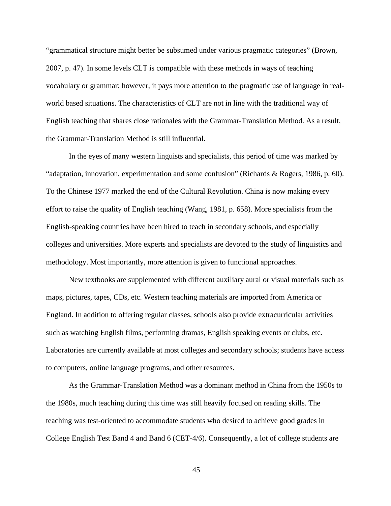"grammatical structure might better be subsumed under various pragmatic categories" (Brown, 2007, p. 47). In some levels CLT is compatible with these methods in ways of teaching vocabulary or grammar; however, it pays more attention to the pragmatic use of language in realworld based situations. The characteristics of CLT are not in line with the traditional way of English teaching that shares close rationales with the Grammar-Translation Method. As a result, the Grammar-Translation Method is still influential.

In the eyes of many western linguists and specialists, this period of time was marked by "adaptation, innovation, experimentation and some confusion" (Richards & Rogers, 1986, p. 60). To the Chinese 1977 marked the end of the Cultural Revolution. China is now making every effort to raise the quality of English teaching (Wang, 1981, p. 658). More specialists from the English-speaking countries have been hired to teach in secondary schools, and especially colleges and universities. More experts and specialists are devoted to the study of linguistics and methodology. Most importantly, more attention is given to functional approaches.

New textbooks are supplemented with different auxiliary aural or visual materials such as maps, pictures, tapes, CDs, etc. Western teaching materials are imported from America or England. In addition to offering regular classes, schools also provide extracurricular activities such as watching English films, performing dramas, English speaking events or clubs, etc. Laboratories are currently available at most colleges and secondary schools; students have access to computers, online language programs, and other resources.

As the Grammar-Translation Method was a dominant method in China from the 1950s to the 1980s, much teaching during this time was still heavily focused on reading skills. The teaching was test-oriented to accommodate students who desired to achieve good grades in College English Test Band 4 and Band 6 (CET-4/6). Consequently, a lot of college students are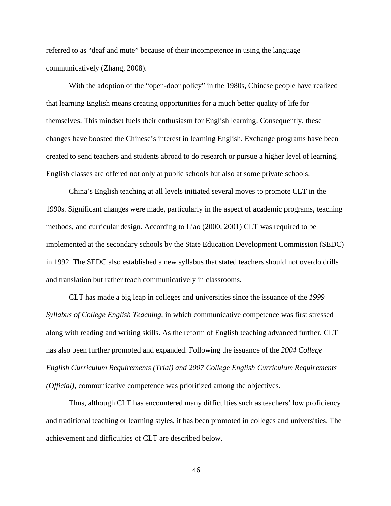referred to as "deaf and mute" because of their incompetence in using the language communicatively (Zhang, 2008).

With the adoption of the "open-door policy" in the 1980s, Chinese people have realized that learning English means creating opportunities for a much better quality of life for themselves. This mindset fuels their enthusiasm for English learning. Consequently, these changes have boosted the Chinese's interest in learning English. Exchange programs have been created to send teachers and students abroad to do research or pursue a higher level of learning. English classes are offered not only at public schools but also at some private schools.

China's English teaching at all levels initiated several moves to promote CLT in the 1990s. Significant changes were made, particularly in the aspect of academic programs, teaching methods, and curricular design. According to Liao (2000, 2001) CLT was required to be implemented at the secondary schools by the State Education Development Commission (SEDC) in 1992. The SEDC also established a new syllabus that stated teachers should not overdo drills and translation but rather teach communicatively in classrooms.

CLT has made a big leap in colleges and universities since the issuance of the *1999 Syllabus of College English Teaching*, in which communicative competence was first stressed along with reading and writing skills. As the reform of English teaching advanced further, CLT has also been further promoted and expanded. Following the issuance of the *2004 College English Curriculum Requirements (Trial) and 2007 College English Curriculum Requirements (Official),* communicative competence was prioritized among the objectives.

Thus, although CLT has encountered many difficulties such as teachers' low proficiency and traditional teaching or learning styles, it has been promoted in colleges and universities. The achievement and difficulties of CLT are described below.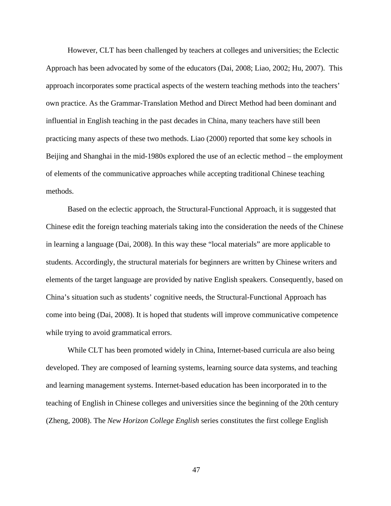However, CLT has been challenged by teachers at colleges and universities; the Eclectic Approach has been advocated by some of the educators (Dai, 2008; Liao, 2002; Hu, 2007). This approach incorporates some practical aspects of the western teaching methods into the teachers' own practice. As the Grammar-Translation Method and Direct Method had been dominant and influential in English teaching in the past decades in China, many teachers have still been practicing many aspects of these two methods. Liao (2000) reported that some key schools in Beijing and Shanghai in the mid-1980s explored the use of an eclectic method – the employment of elements of the communicative approaches while accepting traditional Chinese teaching methods.

Based on the eclectic approach, the Structural-Functional Approach, it is suggested that Chinese edit the foreign teaching materials taking into the consideration the needs of the Chinese in learning a language (Dai, 2008). In this way these "local materials" are more applicable to students. Accordingly, the structural materials for beginners are written by Chinese writers and elements of the target language are provided by native English speakers. Consequently, based on China's situation such as students' cognitive needs, the Structural-Functional Approach has come into being (Dai, 2008). It is hoped that students will improve communicative competence while trying to avoid grammatical errors.

While CLT has been promoted widely in China, Internet-based curricula are also being developed. They are composed of learning systems, learning source data systems, and teaching and learning management systems. Internet-based education has been incorporated in to the teaching of English in Chinese colleges and universities since the beginning of the 20th century (Zheng, 2008). The *New Horizon College English* series constitutes the first college English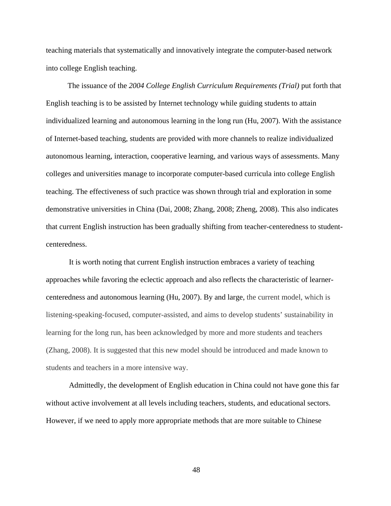teaching materials that systematically and innovatively integrate the computer-based network into college English teaching.

The issuance of the *2004 College English Curriculum Requirements (Trial)* put forth that English teaching is to be assisted by Internet technology while guiding students to attain individualized learning and autonomous learning in the long run (Hu, 2007). With the assistance of Internet-based teaching, students are provided with more channels to realize individualized autonomous learning, interaction, cooperative learning, and various ways of assessments. Many colleges and universities manage to incorporate computer-based curricula into college English teaching. The effectiveness of such practice was shown through trial and exploration in some demonstrative universities in China (Dai, 2008; Zhang, 2008; Zheng, 2008). This also indicates that current English instruction has been gradually shifting from teacher-centeredness to studentcenteredness.

It is worth noting that current English instruction embraces a variety of teaching approaches while favoring the eclectic approach and also reflects the characteristic of learnercenteredness and autonomous learning (Hu, 2007). By and large, the current model, which is listening-speaking-focused, computer-assisted, and aims to develop students' sustainability in learning for the long run, has been acknowledged by more and more students and teachers (Zhang, 2008). It is suggested that this new model should be introduced and made known to students and teachers in a more intensive way.

Admittedly, the development of English education in China could not have gone this far without active involvement at all levels including teachers, students, and educational sectors. However, if we need to apply more appropriate methods that are more suitable to Chinese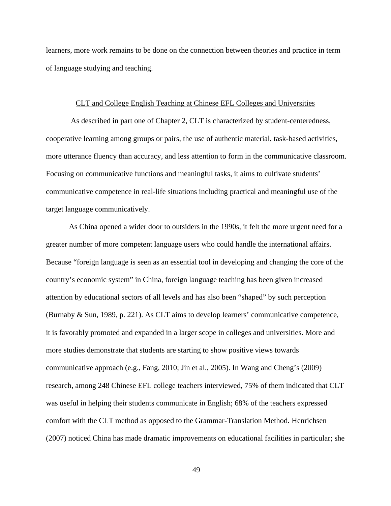learners, more work remains to be done on the connection between theories and practice in term of language studying and teaching.

### CLT and College English Teaching at Chinese EFL Colleges and Universities

As described in part one of Chapter 2, CLT is characterized by student-centeredness, cooperative learning among groups or pairs, the use of authentic material, task-based activities, more utterance fluency than accuracy, and less attention to form in the communicative classroom. Focusing on communicative functions and meaningful tasks, it aims to cultivate students' communicative competence in real-life situations including practical and meaningful use of the target language communicatively.

As China opened a wider door to outsiders in the 1990s, it felt the more urgent need for a greater number of more competent language users who could handle the international affairs. Because "foreign language is seen as an essential tool in developing and changing the core of the country's economic system" in China, foreign language teaching has been given increased attention by educational sectors of all levels and has also been "shaped" by such perception (Burnaby & Sun, 1989, p. 221). As CLT aims to develop learners' communicative competence, it is favorably promoted and expanded in a larger scope in colleges and universities. More and more studies demonstrate that students are starting to show positive views towards communicative approach (e.g., Fang, 2010; Jin et al., 2005). In Wang and Cheng's (2009) research, among 248 Chinese EFL college teachers interviewed, 75% of them indicated that CLT was useful in helping their students communicate in English; 68% of the teachers expressed comfort with the CLT method as opposed to the Grammar-Translation Method. Henrichsen (2007) noticed China has made dramatic improvements on educational facilities in particular; she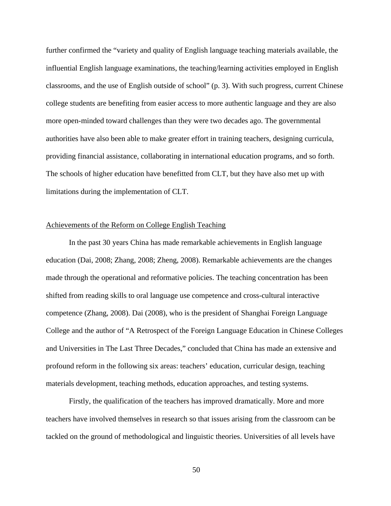further confirmed the "variety and quality of English language teaching materials available, the influential English language examinations, the teaching/learning activities employed in English classrooms, and the use of English outside of school" (p. 3). With such progress, current Chinese college students are benefiting from easier access to more authentic language and they are also more open-minded toward challenges than they were two decades ago. The governmental authorities have also been able to make greater effort in training teachers, designing curricula, providing financial assistance, collaborating in international education programs, and so forth. The schools of higher education have benefitted from CLT, but they have also met up with limitations during the implementation of CLT.

# Achievements of the Reform on College English Teaching

In the past 30 years China has made remarkable achievements in English language education (Dai, 2008; Zhang, 2008; Zheng, 2008). Remarkable achievements are the changes made through the operational and reformative policies. The teaching concentration has been shifted from reading skills to oral language use competence and cross-cultural interactive competence (Zhang, 2008). Dai (2008), who is the president of Shanghai Foreign Language College and the author of "A Retrospect of the Foreign Language Education in Chinese Colleges and Universities in The Last Three Decades," concluded that China has made an extensive and profound reform in the following six areas: teachers' education, curricular design, teaching materials development, teaching methods, education approaches, and testing systems.

Firstly, the qualification of the teachers has improved dramatically. More and more teachers have involved themselves in research so that issues arising from the classroom can be tackled on the ground of methodological and linguistic theories. Universities of all levels have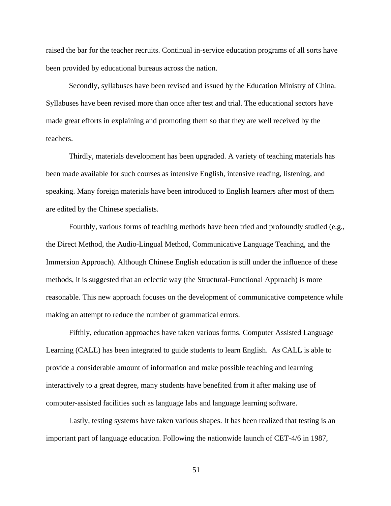raised the bar for the teacher recruits. Continual in-service education programs of all sorts have been provided by educational bureaus across the nation.

Secondly, syllabuses have been revised and issued by the Education Ministry of China. Syllabuses have been revised more than once after test and trial. The educational sectors have made great efforts in explaining and promoting them so that they are well received by the teachers.

Thirdly, materials development has been upgraded. A variety of teaching materials has been made available for such courses as intensive English, intensive reading, listening, and speaking. Many foreign materials have been introduced to English learners after most of them are edited by the Chinese specialists.

Fourthly, various forms of teaching methods have been tried and profoundly studied (e.g., the Direct Method, the Audio-Lingual Method, Communicative Language Teaching, and the Immersion Approach). Although Chinese English education is still under the influence of these methods, it is suggested that an eclectic way (the Structural-Functional Approach) is more reasonable. This new approach focuses on the development of communicative competence while making an attempt to reduce the number of grammatical errors.

Fifthly, education approaches have taken various forms. Computer Assisted Language Learning (CALL) has been integrated to guide students to learn English. As CALL is able to provide a considerable amount of information and make possible teaching and learning interactively to a great degree, many students have benefited from it after making use of computer-assisted facilities such as language labs and language learning software.

Lastly, testing systems have taken various shapes. It has been realized that testing is an important part of language education. Following the nationwide launch of CET-4/6 in 1987,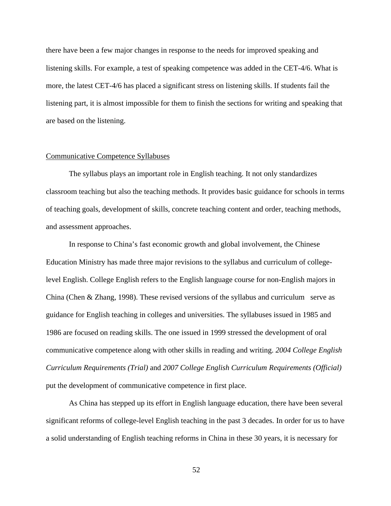there have been a few major changes in response to the needs for improved speaking and listening skills. For example, a test of speaking competence was added in the CET-4/6. What is more, the latest CET-4/6 has placed a significant stress on listening skills. If students fail the listening part, it is almost impossible for them to finish the sections for writing and speaking that are based on the listening.

### Communicative Competence Syllabuses

The syllabus plays an important role in English teaching. It not only standardizes classroom teaching but also the teaching methods. It provides basic guidance for schools in terms of teaching goals, development of skills, concrete teaching content and order, teaching methods, and assessment approaches.

In response to China's fast economic growth and global involvement, the Chinese Education Ministry has made three major revisions to the syllabus and curriculum of collegelevel English. College English refers to the English language course for non-English majors in China (Chen & Zhang, 1998). These revised versions of the syllabus and curriculum serve as guidance for English teaching in colleges and universities. The syllabuses issued in 1985 and 1986 are focused on reading skills. The one issued in 1999 stressed the development of oral communicative competence along with other skills in reading and writing. *2004 College English Curriculum Requirements (Trial)* and *2007 College English Curriculum Requirements (Official)*  put the development of communicative competence in first place.

As China has stepped up its effort in English language education, there have been several significant reforms of college-level English teaching in the past 3 decades. In order for us to have a solid understanding of English teaching reforms in China in these 30 years, it is necessary for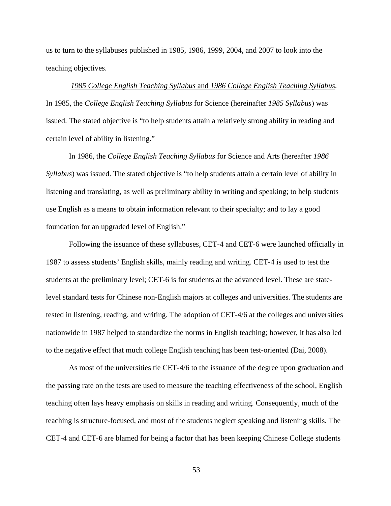us to turn to the syllabuses published in 1985, 1986, 1999, 2004, and 2007 to look into the teaching objectives.

# *1985 College English Teaching Syllabus* and *1986 College English Teaching Syllabus.* In 1985, the *College English Teaching Syllabus* for Science (hereinafter *1985 Syllabus*) was issued. The stated objective is "to help students attain a relatively strong ability in reading and certain level of ability in listening."

In 1986, the *College English Teaching Syllabus* for Science and Arts (hereafter *1986 Syllabus*) was issued. The stated objective is "to help students attain a certain level of ability in listening and translating, as well as preliminary ability in writing and speaking; to help students use English as a means to obtain information relevant to their specialty; and to lay a good foundation for an upgraded level of English."

Following the issuance of these syllabuses, CET-4 and CET-6 were launched officially in 1987 to assess students' English skills, mainly reading and writing. CET-4 is used to test the students at the preliminary level; CET-6 is for students at the advanced level. These are statelevel standard tests for Chinese non-English majors at colleges and universities. The students are tested in listening, reading, and writing. The adoption of CET-4/6 at the colleges and universities nationwide in 1987 helped to standardize the norms in English teaching; however, it has also led to the negative effect that much college English teaching has been test-oriented (Dai, 2008).

As most of the universities tie CET-4/6 to the issuance of the degree upon graduation and the passing rate on the tests are used to measure the teaching effectiveness of the school, English teaching often lays heavy emphasis on skills in reading and writing. Consequently, much of the teaching is structure-focused, and most of the students neglect speaking and listening skills. The CET-4 and CET-6 are blamed for being a factor that has been keeping Chinese College students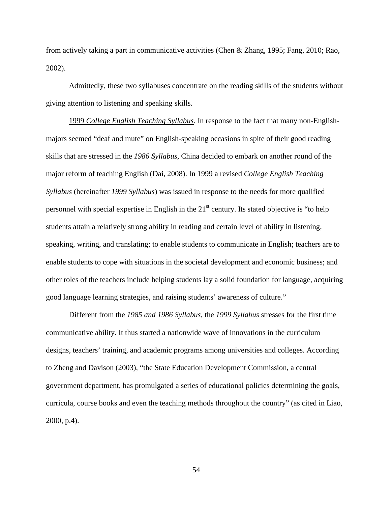from actively taking a part in communicative activities (Chen & Zhang, 1995; Fang, 2010; Rao, 2002).

Admittedly, these two syllabuses concentrate on the reading skills of the students without giving attention to listening and speaking skills.

1999 *College English Teaching Syllabus.* In response to the fact that many non-Englishmajors seemed "deaf and mute" on English-speaking occasions in spite of their good reading skills that are stressed in the *1986 Syllabus*, China decided to embark on another round of the major reform of teaching English (Dai, 2008). In 1999 a revised *College English Teaching Syllabus* (hereinafter *1999 Syllabus*) was issued in response to the needs for more qualified personnel with special expertise in English in the  $21<sup>st</sup>$  century. Its stated objective is "to help students attain a relatively strong ability in reading and certain level of ability in listening, speaking, writing, and translating; to enable students to communicate in English; teachers are to enable students to cope with situations in the societal development and economic business; and other roles of the teachers include helping students lay a solid foundation for language, acquiring good language learning strategies, and raising students' awareness of culture."

Different from the *1985 and 1986 Syllabus*, the *1999 Syllabus* stresses for the first time communicative ability. It thus started a nationwide wave of innovations in the curriculum designs, teachers' training, and academic programs among universities and colleges. According to Zheng and Davison (2003), "the State Education Development Commission, a central government department, has promulgated a series of educational policies determining the goals, curricula, course books and even the teaching methods throughout the country" (as cited in Liao, 2000, p.4).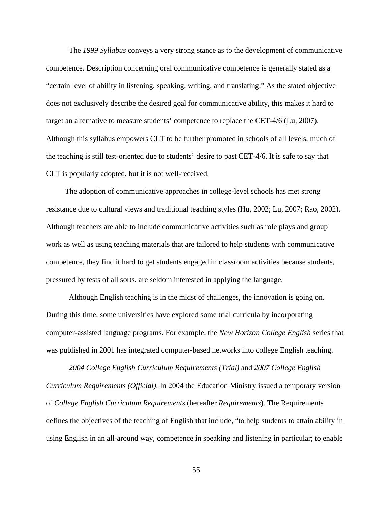The *1999 Syllabus* conveys a very strong stance as to the development of communicative competence. Description concerning oral communicative competence is generally stated as a "certain level of ability in listening, speaking, writing, and translating." As the stated objective does not exclusively describe the desired goal for communicative ability, this makes it hard to target an alternative to measure students' competence to replace the CET-4/6 (Lu, 2007). Although this syllabus empowers CLT to be further promoted in schools of all levels, much of the teaching is still test-oriented due to students' desire to past CET-4/6. It is safe to say that CLT is popularly adopted, but it is not well-received.

The adoption of communicative approaches in college-level schools has met strong resistance due to cultural views and traditional teaching styles (Hu, 2002; Lu, 2007; Rao, 2002). Although teachers are able to include communicative activities such as role plays and group work as well as using teaching materials that are tailored to help students with communicative competence, they find it hard to get students engaged in classroom activities because students, pressured by tests of all sorts, are seldom interested in applying the language.

Although English teaching is in the midst of challenges, the innovation is going on. During this time, some universities have explored some trial curricula by incorporating computer-assisted language programs. For example, the *New Horizon College English* series that was published in 2001 has integrated computer-based networks into college English teaching.

*2004 College English Curriculum Requirements (Trial)* and *2007 College English Curriculum Requirements (Official)*. In 2004 the Education Ministry issued a temporary version of *College English Curriculum Requirements* (hereafter *Requirements*). The Requirements defines the objectives of the teaching of English that include, "to help students to attain ability in using English in an all-around way, competence in speaking and listening in particular; to enable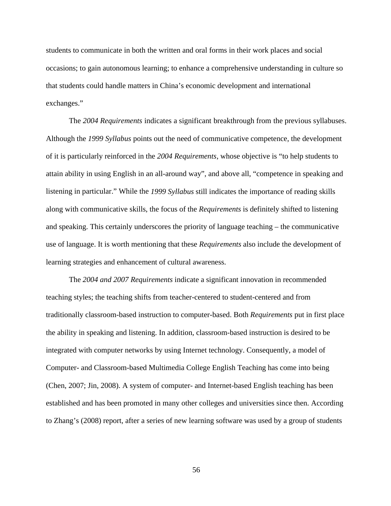students to communicate in both the written and oral forms in their work places and social occasions; to gain autonomous learning; to enhance a comprehensive understanding in culture so that students could handle matters in China's economic development and international exchanges."

The *2004 Requirements* indicates a significant breakthrough from the previous syllabuses. Although the *1999 Syllabus* points out the need of communicative competence, the development of it is particularly reinforced in the *2004 Requirements*, whose objective is "to help students to attain ability in using English in an all-around way", and above all, "competence in speaking and listening in particular." While the *1999 Syllabus* still indicates the importance of reading skills along with communicative skills, the focus of the *Requirements* is definitely shifted to listening and speaking. This certainly underscores the priority of language teaching – the communicative use of language. It is worth mentioning that these *Requirements* also include the development of learning strategies and enhancement of cultural awareness.

The *2004 and 2007 Requirements* indicate a significant innovation in recommended teaching styles; the teaching shifts from teacher-centered to student-centered and from traditionally classroom-based instruction to computer-based. Both *Requirements* put in first place the ability in speaking and listening. In addition, classroom-based instruction is desired to be integrated with computer networks by using Internet technology. Consequently, a model of Computer- and Classroom-based Multimedia College English Teaching has come into being (Chen, 2007; Jin, 2008). A system of computer- and Internet-based English teaching has been established and has been promoted in many other colleges and universities since then. According to Zhang's (2008) report, after a series of new learning software was used by a group of students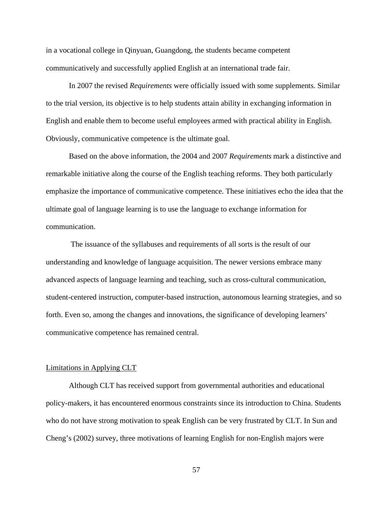in a vocational college in Qinyuan, Guangdong, the students became competent communicatively and successfully applied English at an international trade fair.

In 2007 the revised *Requirements* were officially issued with some supplements. Similar to the trial version, its objective is to help students attain ability in exchanging information in English and enable them to become useful employees armed with practical ability in English. Obviously, communicative competence is the ultimate goal.

Based on the above information, the 2004 and 2007 *Requirements* mark a distinctive and remarkable initiative along the course of the English teaching reforms. They both particularly emphasize the importance of communicative competence. These initiatives echo the idea that the ultimate goal of language learning is to use the language to exchange information for communication.

The issuance of the syllabuses and requirements of all sorts is the result of our understanding and knowledge of language acquisition. The newer versions embrace many advanced aspects of language learning and teaching, such as cross-cultural communication, student-centered instruction, computer-based instruction, autonomous learning strategies, and so forth. Even so, among the changes and innovations, the significance of developing learners' communicative competence has remained central.

#### Limitations in Applying CLT

Although CLT has received support from governmental authorities and educational policy-makers, it has encountered enormous constraints since its introduction to China. Students who do not have strong motivation to speak English can be very frustrated by CLT. In Sun and Cheng's (2002) survey, three motivations of learning English for non-English majors were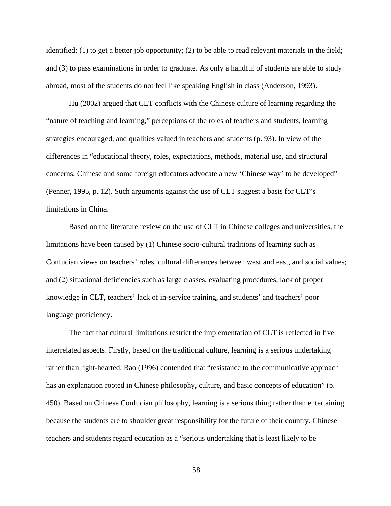identified: (1) to get a better job opportunity; (2) to be able to read relevant materials in the field; and (3) to pass examinations in order to graduate. As only a handful of students are able to study abroad, most of the students do not feel like speaking English in class (Anderson, 1993).

Hu (2002) argued that CLT conflicts with the Chinese culture of learning regarding the "nature of teaching and learning," perceptions of the roles of teachers and students, learning strategies encouraged, and qualities valued in teachers and students (p. 93). In view of the differences in "educational theory, roles, expectations, methods, material use, and structural concerns, Chinese and some foreign educators advocate a new 'Chinese way' to be developed" (Penner, 1995, p. 12). Such arguments against the use of CLT suggest a basis for CLT's limitations in China.

Based on the literature review on the use of CLT in Chinese colleges and universities, the limitations have been caused by (1) Chinese socio-cultural traditions of learning such as Confucian views on teachers' roles, cultural differences between west and east, and social values; and (2) situational deficiencies such as large classes, evaluating procedures, lack of proper knowledge in CLT, teachers' lack of in-service training, and students' and teachers' poor language proficiency.

The fact that cultural limitations restrict the implementation of CLT is reflected in five interrelated aspects. Firstly, based on the traditional culture, learning is a serious undertaking rather than light-hearted. Rao (1996) contended that "resistance to the communicative approach has an explanation rooted in Chinese philosophy, culture, and basic concepts of education" (p. 450). Based on Chinese Confucian philosophy, learning is a serious thing rather than entertaining because the students are to shoulder great responsibility for the future of their country. Chinese teachers and students regard education as a "serious undertaking that is least likely to be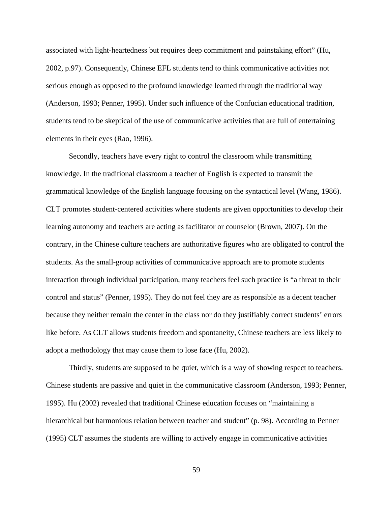associated with light-heartedness but requires deep commitment and painstaking effort" (Hu, 2002, p.97). Consequently, Chinese EFL students tend to think communicative activities not serious enough as opposed to the profound knowledge learned through the traditional way (Anderson, 1993; Penner, 1995). Under such influence of the Confucian educational tradition, students tend to be skeptical of the use of communicative activities that are full of entertaining elements in their eyes (Rao, 1996).

Secondly, teachers have every right to control the classroom while transmitting knowledge. In the traditional classroom a teacher of English is expected to transmit the grammatical knowledge of the English language focusing on the syntactical level (Wang, 1986). CLT promotes student-centered activities where students are given opportunities to develop their learning autonomy and teachers are acting as facilitator or counselor (Brown, 2007). On the contrary, in the Chinese culture teachers are authoritative figures who are obligated to control the students. As the small-group activities of communicative approach are to promote students interaction through individual participation, many teachers feel such practice is "a threat to their control and status" (Penner, 1995). They do not feel they are as responsible as a decent teacher because they neither remain the center in the class nor do they justifiably correct students' errors like before. As CLT allows students freedom and spontaneity, Chinese teachers are less likely to adopt a methodology that may cause them to lose face (Hu, 2002).

Thirdly, students are supposed to be quiet, which is a way of showing respect to teachers. Chinese students are passive and quiet in the communicative classroom (Anderson, 1993; Penner, 1995). Hu (2002) revealed that traditional Chinese education focuses on "maintaining a hierarchical but harmonious relation between teacher and student" (p. 98). According to Penner (1995) CLT assumes the students are willing to actively engage in communicative activities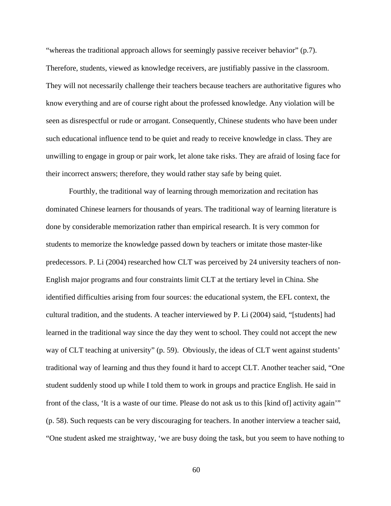"whereas the traditional approach allows for seemingly passive receiver behavior" (p.7). Therefore, students, viewed as knowledge receivers, are justifiably passive in the classroom. They will not necessarily challenge their teachers because teachers are authoritative figures who know everything and are of course right about the professed knowledge. Any violation will be seen as disrespectful or rude or arrogant. Consequently, Chinese students who have been under such educational influence tend to be quiet and ready to receive knowledge in class. They are unwilling to engage in group or pair work, let alone take risks. They are afraid of losing face for their incorrect answers; therefore, they would rather stay safe by being quiet.

Fourthly, the traditional way of learning through memorization and recitation has dominated Chinese learners for thousands of years. The traditional way of learning literature is done by considerable memorization rather than empirical research. It is very common for students to memorize the knowledge passed down by teachers or imitate those master-like predecessors. P. Li (2004) researched how CLT was perceived by 24 university teachers of non-English major programs and four constraints limit CLT at the tertiary level in China. She identified difficulties arising from four sources: the educational system, the EFL context, the cultural tradition, and the students. A teacher interviewed by P. Li (2004) said, "[students] had learned in the traditional way since the day they went to school. They could not accept the new way of CLT teaching at university" (p. 59). Obviously, the ideas of CLT went against students' traditional way of learning and thus they found it hard to accept CLT. Another teacher said, "One student suddenly stood up while I told them to work in groups and practice English. He said in front of the class, 'It is a waste of our time. Please do not ask us to this [kind of] activity again'" (p. 58). Such requests can be very discouraging for teachers. In another interview a teacher said, "One student asked me straightway, 'we are busy doing the task, but you seem to have nothing to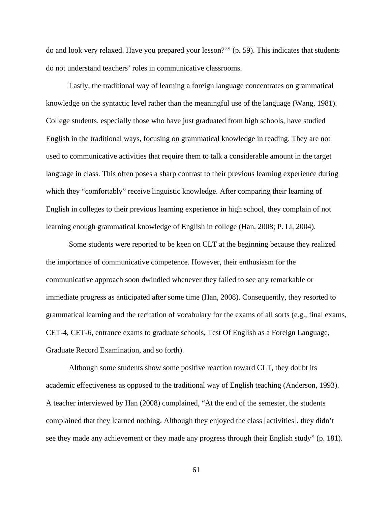do and look very relaxed. Have you prepared your lesson?'" (p. 59). This indicates that students do not understand teachers' roles in communicative classrooms.

Lastly, the traditional way of learning a foreign language concentrates on grammatical knowledge on the syntactic level rather than the meaningful use of the language (Wang, 1981). College students, especially those who have just graduated from high schools, have studied English in the traditional ways, focusing on grammatical knowledge in reading. They are not used to communicative activities that require them to talk a considerable amount in the target language in class. This often poses a sharp contrast to their previous learning experience during which they "comfortably" receive linguistic knowledge. After comparing their learning of English in colleges to their previous learning experience in high school, they complain of not learning enough grammatical knowledge of English in college (Han, 2008; P. Li, 2004).

Some students were reported to be keen on CLT at the beginning because they realized the importance of communicative competence. However, their enthusiasm for the communicative approach soon dwindled whenever they failed to see any remarkable or immediate progress as anticipated after some time (Han, 2008). Consequently, they resorted to grammatical learning and the recitation of vocabulary for the exams of all sorts (e.g., final exams, CET-4, CET-6, entrance exams to graduate schools, Test Of English as a Foreign Language, Graduate Record Examination, and so forth).

Although some students show some positive reaction toward CLT, they doubt its academic effectiveness as opposed to the traditional way of English teaching (Anderson, 1993). A teacher interviewed by Han (2008) complained, "At the end of the semester, the students complained that they learned nothing. Although they enjoyed the class [activities], they didn't see they made any achievement or they made any progress through their English study" (p. 181).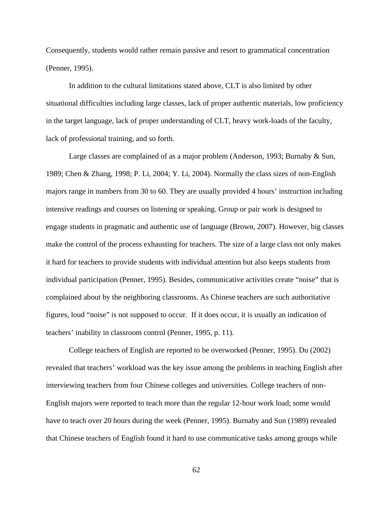Consequently, students would rather remain passive and resort to grammatical concentration (Penner, 1995).

In addition to the cultural limitations stated above, CLT is also limited by other situational difficulties including large classes, lack of proper authentic materials, low proficiency in the target language, lack of proper understanding of CLT, heavy work-loads of the faculty, lack of professional training, and so forth.

Large classes are complained of as a major problem (Anderson, 1993; Burnaby & Sun, 1989; Chen & Zhang, 1998; P. Li, 2004; Y. Li, 2004). Normally the class sizes of non-English majors range in numbers from 30 to 60. They are usually provided 4 hours' instruction including intensive readings and courses on listening or speaking. Group or pair work is designed to engage students in pragmatic and authentic use of language (Brown, 2007). However, big classes make the control of the process exhausting for teachers. The size of a large class not only makes it hard for teachers to provide students with individual attention but also keeps students from individual participation (Penner, 1995). Besides, communicative activities create "noise" that is complained about by the neighboring classrooms. As Chinese teachers are such authoritative figures, loud "noise" is not supposed to occur. If it does occur, it is usually an indication of teachers' inability in classroom control (Penner, 1995, p. 11).

College teachers of English are reported to be overworked (Penner, 1995). Du (2002) revealed that teachers' workload was the key issue among the problems in teaching English after interviewing teachers from four Chinese colleges and universities. College teachers of non-English majors were reported to teach more than the regular 12-hour work load; some would have to teach over 20 hours during the week (Penner, 1995). Burnaby and Sun (1989) revealed that Chinese teachers of English found it hard to use communicative tasks among groups while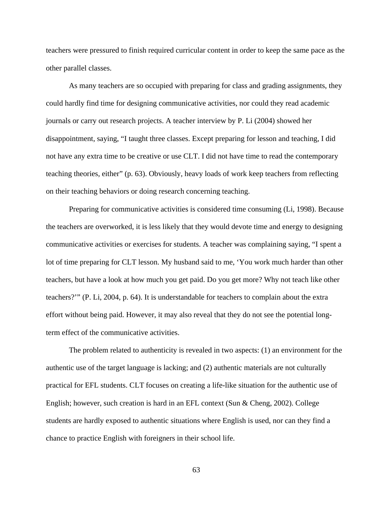teachers were pressured to finish required curricular content in order to keep the same pace as the other parallel classes.

As many teachers are so occupied with preparing for class and grading assignments, they could hardly find time for designing communicative activities, nor could they read academic journals or carry out research projects. A teacher interview by P. Li (2004) showed her disappointment, saying, "I taught three classes. Except preparing for lesson and teaching, I did not have any extra time to be creative or use CLT. I did not have time to read the contemporary teaching theories, either" (p. 63). Obviously, heavy loads of work keep teachers from reflecting on their teaching behaviors or doing research concerning teaching.

Preparing for communicative activities is considered time consuming (Li, 1998). Because the teachers are overworked, it is less likely that they would devote time and energy to designing communicative activities or exercises for students. A teacher was complaining saying, "I spent a lot of time preparing for CLT lesson. My husband said to me, 'You work much harder than other teachers, but have a look at how much you get paid. Do you get more? Why not teach like other teachers?'" (P. Li, 2004, p. 64). It is understandable for teachers to complain about the extra effort without being paid. However, it may also reveal that they do not see the potential longterm effect of the communicative activities.

The problem related to authenticity is revealed in two aspects: (1) an environment for the authentic use of the target language is lacking; and (2) authentic materials are not culturally practical for EFL students. CLT focuses on creating a life-like situation for the authentic use of English; however, such creation is hard in an EFL context (Sun & Cheng, 2002). College students are hardly exposed to authentic situations where English is used, nor can they find a chance to practice English with foreigners in their school life.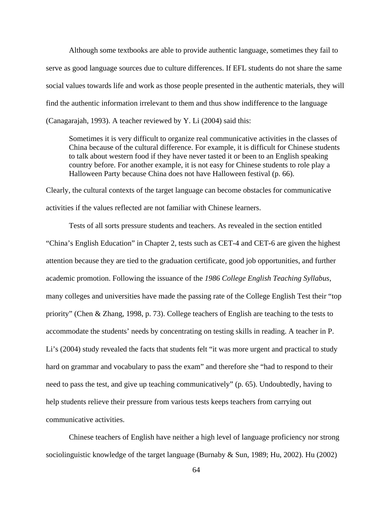Although some textbooks are able to provide authentic language, sometimes they fail to serve as good language sources due to culture differences. If EFL students do not share the same social values towards life and work as those people presented in the authentic materials, they will find the authentic information irrelevant to them and thus show indifference to the language (Canagarajah, 1993). A teacher reviewed by Y. Li (2004) said this:

Sometimes it is very difficult to organize real communicative activities in the classes of China because of the cultural difference. For example, it is difficult for Chinese students to talk about western food if they have never tasted it or been to an English speaking country before. For another example, it is not easy for Chinese students to role play a Halloween Party because China does not have Halloween festival (p. 66).

Clearly, the cultural contexts of the target language can become obstacles for communicative activities if the values reflected are not familiar with Chinese learners.

Tests of all sorts pressure students and teachers. As revealed in the section entitled "China's English Education" in Chapter 2, tests such as CET-4 and CET-6 are given the highest attention because they are tied to the graduation certificate, good job opportunities, and further academic promotion. Following the issuance of the *1986 College English Teaching Syllabus*, many colleges and universities have made the passing rate of the College English Test their "top priority" (Chen & Zhang, 1998, p. 73). College teachers of English are teaching to the tests to accommodate the students' needs by concentrating on testing skills in reading. A teacher in P. Li's (2004) study revealed the facts that students felt "it was more urgent and practical to study hard on grammar and vocabulary to pass the exam" and therefore she "had to respond to their need to pass the test, and give up teaching communicatively" (p. 65). Undoubtedly, having to help students relieve their pressure from various tests keeps teachers from carrying out communicative activities.

Chinese teachers of English have neither a high level of language proficiency nor strong sociolinguistic knowledge of the target language (Burnaby & Sun, 1989; Hu, 2002). Hu (2002)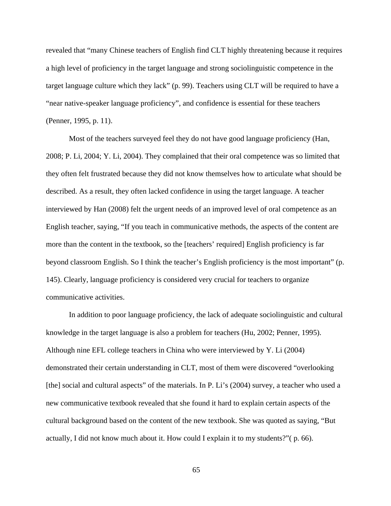revealed that "many Chinese teachers of English find CLT highly threatening because it requires a high level of proficiency in the target language and strong sociolinguistic competence in the target language culture which they lack" (p. 99). Teachers using CLT will be required to have a "near native-speaker language proficiency", and confidence is essential for these teachers (Penner, 1995, p. 11).

Most of the teachers surveyed feel they do not have good language proficiency (Han, 2008; P. Li, 2004; Y. Li, 2004). They complained that their oral competence was so limited that they often felt frustrated because they did not know themselves how to articulate what should be described. As a result, they often lacked confidence in using the target language. A teacher interviewed by Han (2008) felt the urgent needs of an improved level of oral competence as an English teacher, saying, "If you teach in communicative methods, the aspects of the content are more than the content in the textbook, so the [teachers' required] English proficiency is far beyond classroom English. So I think the teacher's English proficiency is the most important" (p. 145). Clearly, language proficiency is considered very crucial for teachers to organize communicative activities.

In addition to poor language proficiency, the lack of adequate sociolinguistic and cultural knowledge in the target language is also a problem for teachers (Hu, 2002; Penner, 1995). Although nine EFL college teachers in China who were interviewed by Y. Li (2004) demonstrated their certain understanding in CLT, most of them were discovered "overlooking [the] social and cultural aspects" of the materials. In P. Li's (2004) survey, a teacher who used a new communicative textbook revealed that she found it hard to explain certain aspects of the cultural background based on the content of the new textbook. She was quoted as saying, "But actually, I did not know much about it. How could I explain it to my students?"( p. 66).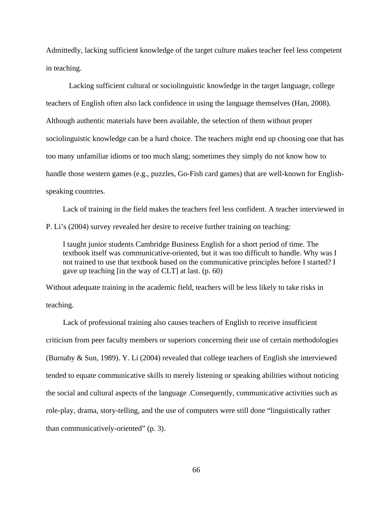Admittedly, lacking sufficient knowledge of the target culture makes teacher feel less competent in teaching.

Lacking sufficient cultural or sociolinguistic knowledge in the target language, college teachers of English often also lack confidence in using the language themselves (Han, 2008). Although authentic materials have been available, the selection of them without proper sociolinguistic knowledge can be a hard choice. The teachers might end up choosing one that has too many unfamiliar idioms or too much slang; sometimes they simply do not know how to handle those western games (e.g., puzzles, Go-Fish card games) that are well-known for Englishspeaking countries.

Lack of training in the field makes the teachers feel less confident. A teacher interviewed in P. Li's (2004) survey revealed her desire to receive further training on teaching:

I taught junior students Cambridge Business English for a short period of time. The textbook itself was communicative-oriented, but it was too difficult to handle. Why was I not trained to use that textbook based on the communicative principles before I started? I gave up teaching [in the way of CLT] at last. (p. 60)

Without adequate training in the academic field, teachers will be less likely to take risks in teaching.

Lack of professional training also causes teachers of English to receive insufficient criticism from peer faculty members or superiors concerning their use of certain methodologies (Burnaby & Sun, 1989). Y. Li (2004) revealed that college teachers of English she interviewed tended to equate communicative skills to merely listening or speaking abilities without noticing the social and cultural aspects of the language .Consequently, communicative activities such as role-play, drama, story-telling, and the use of computers were still done "linguistically rather than communicatively-oriented" (p. 3).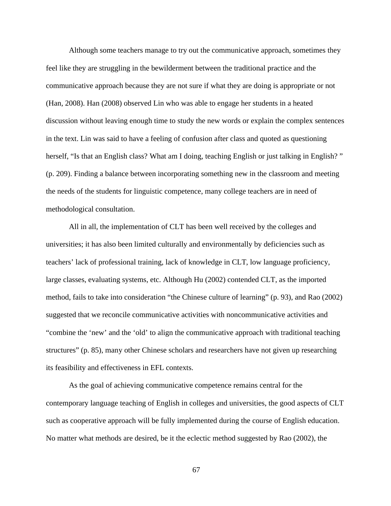Although some teachers manage to try out the communicative approach, sometimes they feel like they are struggling in the bewilderment between the traditional practice and the communicative approach because they are not sure if what they are doing is appropriate or not (Han, 2008). Han (2008) observed Lin who was able to engage her students in a heated discussion without leaving enough time to study the new words or explain the complex sentences in the text. Lin was said to have a feeling of confusion after class and quoted as questioning herself, "Is that an English class? What am I doing, teaching English or just talking in English?" (p. 209). Finding a balance between incorporating something new in the classroom and meeting the needs of the students for linguistic competence, many college teachers are in need of methodological consultation.

All in all, the implementation of CLT has been well received by the colleges and universities; it has also been limited culturally and environmentally by deficiencies such as teachers' lack of professional training, lack of knowledge in CLT, low language proficiency, large classes, evaluating systems, etc. Although Hu (2002) contended CLT, as the imported method, fails to take into consideration "the Chinese culture of learning" (p. 93), and Rao (2002) suggested that we reconcile communicative activities with noncommunicative activities and "combine the 'new' and the 'old' to align the communicative approach with traditional teaching structures" (p. 85), many other Chinese scholars and researchers have not given up researching its feasibility and effectiveness in EFL contexts.

As the goal of achieving communicative competence remains central for the contemporary language teaching of English in colleges and universities, the good aspects of CLT such as cooperative approach will be fully implemented during the course of English education. No matter what methods are desired, be it the eclectic method suggested by Rao (2002), the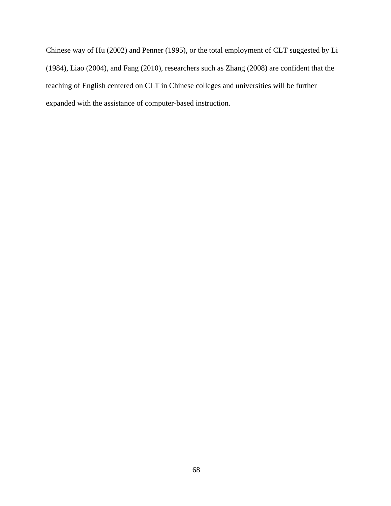Chinese way of Hu (2002) and Penner (1995), or the total employment of CLT suggested by Li (1984), Liao (2004), and Fang (2010), researchers such as Zhang (2008) are confident that the teaching of English centered on CLT in Chinese colleges and universities will be further expanded with the assistance of computer-based instruction.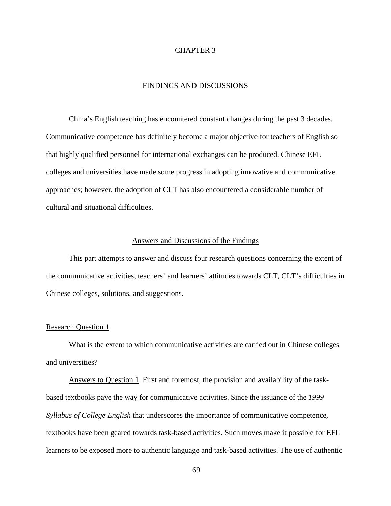## CHAPTER 3

# FINDINGS AND DISCUSSIONS

China's English teaching has encountered constant changes during the past 3 decades. Communicative competence has definitely become a major objective for teachers of English so that highly qualified personnel for international exchanges can be produced. Chinese EFL colleges and universities have made some progress in adopting innovative and communicative approaches; however, the adoption of CLT has also encountered a considerable number of cultural and situational difficulties.

### Answers and Discussions of the Findings

This part attempts to answer and discuss four research questions concerning the extent of the communicative activities, teachers' and learners' attitudes towards CLT, CLT's difficulties in Chinese colleges, solutions, and suggestions.

## Research Question 1

What is the extent to which communicative activities are carried out in Chinese colleges and universities?

Answers to Question 1. First and foremost, the provision and availability of the taskbased textbooks pave the way for communicative activities. Since the issuance of the *1999 Syllabus of College English* that underscores the importance of communicative competence*,* textbooks have been geared towards task-based activities. Such moves make it possible for EFL learners to be exposed more to authentic language and task-based activities. The use of authentic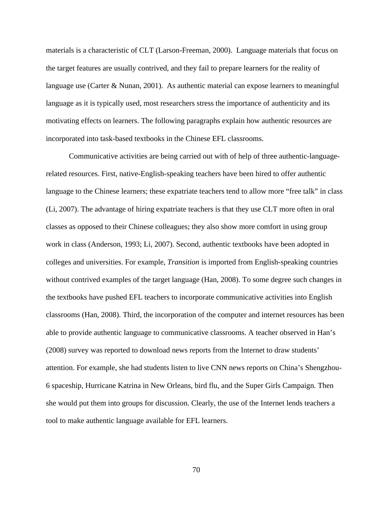materials is a characteristic of CLT (Larson-Freeman, 2000). Language materials that focus on the target features are usually contrived, and they fail to prepare learners for the reality of language use (Carter & Nunan, 2001). As authentic material can expose learners to meaningful language as it is typically used, most researchers stress the importance of authenticity and its motivating effects on learners. The following paragraphs explain how authentic resources are incorporated into task-based textbooks in the Chinese EFL classrooms.

Communicative activities are being carried out with of help of three authentic-languagerelated resources. First, native-English-speaking teachers have been hired to offer authentic language to the Chinese learners; these expatriate teachers tend to allow more "free talk" in class (Li, 2007). The advantage of hiring expatriate teachers is that they use CLT more often in oral classes as opposed to their Chinese colleagues; they also show more comfort in using group work in class (Anderson, 1993; Li, 2007). Second, authentic textbooks have been adopted in colleges and universities. For example, *Transition* is imported from English-speaking countries without contrived examples of the target language (Han, 2008). To some degree such changes in the textbooks have pushed EFL teachers to incorporate communicative activities into English classrooms (Han, 2008). Third, the incorporation of the computer and internet resources has been able to provide authentic language to communicative classrooms. A teacher observed in Han's (2008) survey was reported to download news reports from the Internet to draw students' attention. For example, she had students listen to live CNN news reports on China's Shengzhou-6 spaceship, Hurricane Katrina in New Orleans, bird flu, and the Super Girls Campaign. Then she would put them into groups for discussion. Clearly, the use of the Internet lends teachers a tool to make authentic language available for EFL learners.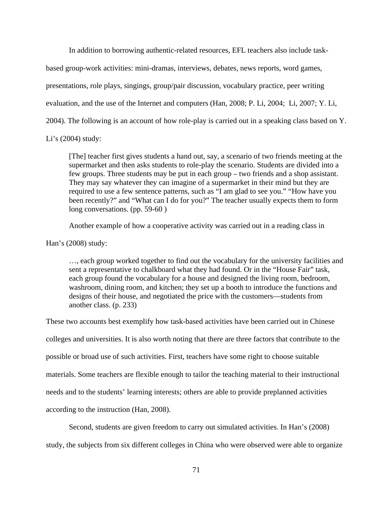In addition to borrowing authentic-related resources, EFL teachers also include task-

based group-work activities: mini-dramas, interviews, debates, news reports, word games,

presentations, role plays, singings, group/pair discussion, vocabulary practice, peer writing

evaluation, and the use of the Internet and computers (Han, 2008; P. Li, 2004; Li, 2007; Y. Li,

2004). The following is an account of how role-play is carried out in a speaking class based on Y.

Li's (2004) study:

[The] teacher first gives students a hand out, say, a scenario of two friends meeting at the supermarket and then asks students to role-play the scenario. Students are divided into a few groups. Three students may be put in each group – two friends and a shop assistant. They may say whatever they can imagine of a supermarket in their mind but they are required to use a few sentence patterns, such as "I am glad to see you." "How have you been recently?" and "What can I do for you?" The teacher usually expects them to form long conversations. (pp. 59-60 )

Another example of how a cooperative activity was carried out in a reading class in

Han's (2008) study:

…, each group worked together to find out the vocabulary for the university facilities and sent a representative to chalkboard what they had found. Or in the "House Fair" task, each group found the vocabulary for a house and designed the living room, bedroom, washroom, dining room, and kitchen; they set up a booth to introduce the functions and designs of their house, and negotiated the price with the customers—students from another class. (p. 233)

These two accounts best exemplify how task-based activities have been carried out in Chinese colleges and universities. It is also worth noting that there are three factors that contribute to the possible or broad use of such activities. First, teachers have some right to choose suitable materials. Some teachers are flexible enough to tailor the teaching material to their instructional needs and to the students' learning interests; others are able to provide preplanned activities according to the instruction (Han, 2008).

Second, students are given freedom to carry out simulated activities. In Han's (2008)

study, the subjects from six different colleges in China who were observed were able to organize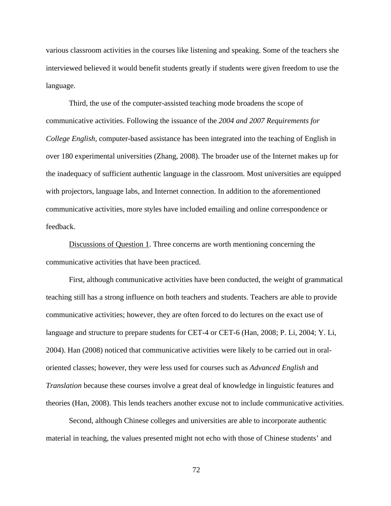various classroom activities in the courses like listening and speaking. Some of the teachers she interviewed believed it would benefit students greatly if students were given freedom to use the language.

Third, the use of the computer-assisted teaching mode broadens the scope of communicative activities. Following the issuance of the *2004 and 2007 Requirements for College English*, computer-based assistance has been integrated into the teaching of English in over 180 experimental universities (Zhang, 2008). The broader use of the Internet makes up for the inadequacy of sufficient authentic language in the classroom. Most universities are equipped with projectors, language labs, and Internet connection. In addition to the aforementioned communicative activities, more styles have included emailing and online correspondence or feedback.

Discussions of Question 1. Three concerns are worth mentioning concerning the communicative activities that have been practiced.

First, although communicative activities have been conducted, the weight of grammatical teaching still has a strong influence on both teachers and students. Teachers are able to provide communicative activities; however, they are often forced to do lectures on the exact use of language and structure to prepare students for CET-4 or CET-6 (Han, 2008; P. Li, 2004; Y. Li, 2004). Han (2008) noticed that communicative activities were likely to be carried out in oraloriented classes; however, they were less used for courses such as *Advanced English* and *Translation* because these courses involve a great deal of knowledge in linguistic features and theories (Han, 2008). This lends teachers another excuse not to include communicative activities.

Second, although Chinese colleges and universities are able to incorporate authentic material in teaching, the values presented might not echo with those of Chinese students' and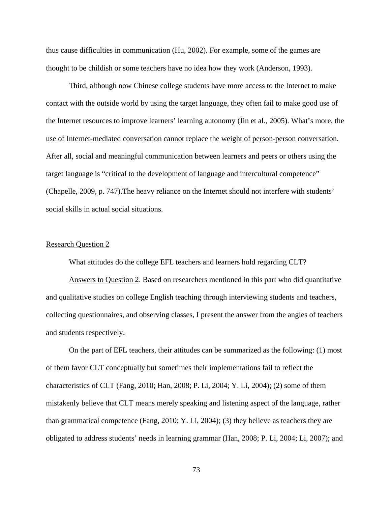thus cause difficulties in communication (Hu, 2002). For example, some of the games are thought to be childish or some teachers have no idea how they work (Anderson, 1993).

Third, although now Chinese college students have more access to the Internet to make contact with the outside world by using the target language, they often fail to make good use of the Internet resources to improve learners' learning autonomy (Jin et al., 2005). What's more, the use of Internet-mediated conversation cannot replace the weight of person-person conversation. After all, social and meaningful communication between learners and peers or others using the target language is "critical to the development of language and intercultural competence" (Chapelle, 2009, p. 747).The heavy reliance on the Internet should not interfere with students' social skills in actual social situations.

# Research Question 2

What attitudes do the college EFL teachers and learners hold regarding CLT?

Answers to Question 2. Based on researchers mentioned in this part who did quantitative and qualitative studies on college English teaching through interviewing students and teachers, collecting questionnaires, and observing classes, I present the answer from the angles of teachers and students respectively.

On the part of EFL teachers, their attitudes can be summarized as the following: (1) most of them favor CLT conceptually but sometimes their implementations fail to reflect the characteristics of CLT (Fang, 2010; Han, 2008; P. Li, 2004; Y. Li, 2004); (2) some of them mistakenly believe that CLT means merely speaking and listening aspect of the language, rather than grammatical competence (Fang, 2010; Y. Li, 2004); (3) they believe as teachers they are obligated to address students' needs in learning grammar (Han, 2008; P. Li, 2004; Li, 2007); and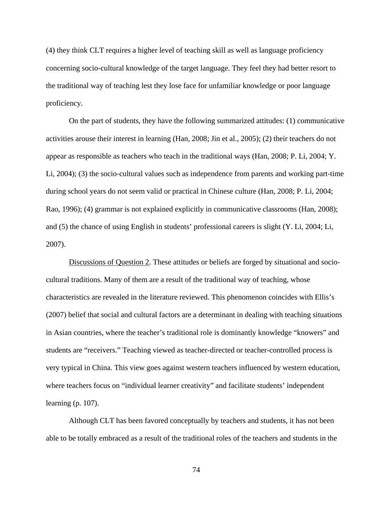(4) they think CLT requires a higher level of teaching skill as well as language proficiency concerning socio-cultural knowledge of the target language. They feel they had better resort to the traditional way of teaching lest they lose face for unfamiliar knowledge or poor language proficiency.

On the part of students, they have the following summarized attitudes: (1) communicative activities arouse their interest in learning (Han, 2008; Jin et al., 2005); (2) their teachers do not appear as responsible as teachers who teach in the traditional ways (Han, 2008; P. Li, 2004; Y. Li, 2004); (3) the socio-cultural values such as independence from parents and working part-time during school years do not seem valid or practical in Chinese culture (Han, 2008; P. Li, 2004; Rao, 1996); (4) grammar is not explained explicitly in communicative classrooms (Han, 2008); and (5) the chance of using English in students' professional careers is slight (Y. Li, 2004; Li, 2007).

Discussions of Question 2. These attitudes or beliefs are forged by situational and sociocultural traditions. Many of them are a result of the traditional way of teaching, whose characteristics are revealed in the literature reviewed. This phenomenon coincides with Ellis's (2007) belief that social and cultural factors are a determinant in dealing with teaching situations in Asian countries, where the teacher's traditional role is dominantly knowledge "knowers" and students are "receivers." Teaching viewed as teacher-directed or teacher-controlled process is very typical in China. This view goes against western teachers influenced by western education, where teachers focus on "individual learner creativity" and facilitate students' independent learning (p. 107).

Although CLT has been favored conceptually by teachers and students, it has not been able to be totally embraced as a result of the traditional roles of the teachers and students in the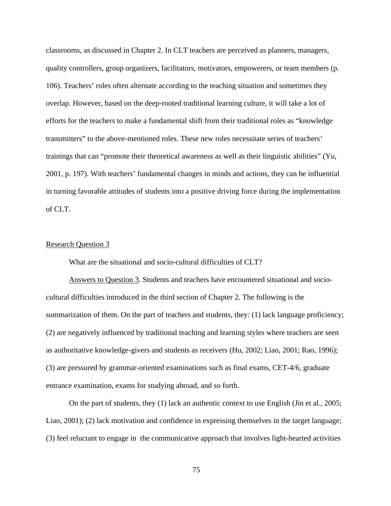classrooms, as discussed in Chapter 2. In CLT teachers are perceived as planners, managers, quality controllers, group organizers, facilitators, motivators, empowerers, or team members (p. 106). Teachers' roles often alternate according to the teaching situation and sometimes they overlap. However, based on the deep-rooted traditional learning culture, it will take a lot of efforts for the teachers to make a fundamental shift from their traditional roles as "knowledge transmitters" to the above-mentioned roles. These new roles necessitate series of teachers' trainings that can "promote their theoretical awareness as well as their linguistic abilities" (Yu, 2001, p. 197). With teachers' fundamental changes in minds and actions, they can be influential in turning favorable attitudes of students into a positive driving force during the implementation of CLT.

### Research Question 3

What are the situational and socio-cultural difficulties of CLT?

Answers to Question 3. Students and teachers have encountered situational and sociocultural difficulties introduced in the third section of Chapter 2. The following is the summarization of them. On the part of teachers and students, they: (1) lack language proficiency; (2) are negatively influenced by traditional teaching and learning styles where teachers are seen as authoritative knowledge-givers and students as receivers (Hu, 2002; Liao, 2001; Rao, 1996); (3) are pressured by grammar-oriented examinations such as final exams, CET-4/6, graduate entrance examination, exams for studying abroad, and so forth.

On the part of students, they (1) lack an authentic context to use English (Jin et al., 2005; Liao, 2001); (2) lack motivation and confidence in expressing themselves in the target language; (3) feel reluctant to engage in the communicative approach that involves light-hearted activities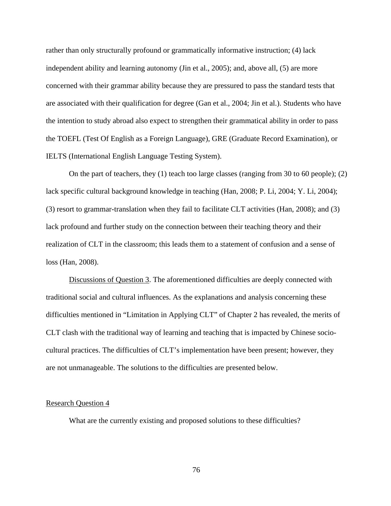rather than only structurally profound or grammatically informative instruction; (4) lack independent ability and learning autonomy (Jin et al., 2005); and, above all, (5) are more concerned with their grammar ability because they are pressured to pass the standard tests that are associated with their qualification for degree (Gan et al., 2004; Jin et al.). Students who have the intention to study abroad also expect to strengthen their grammatical ability in order to pass the TOEFL (Test Of English as a Foreign Language), GRE (Graduate Record Examination), or IELTS (International English Language Testing System).

On the part of teachers, they (1) teach too large classes (ranging from 30 to 60 people); (2) lack specific cultural background knowledge in teaching (Han, 2008; P. Li, 2004; Y. Li, 2004); (3) resort to grammar-translation when they fail to facilitate CLT activities (Han, 2008); and (3) lack profound and further study on the connection between their teaching theory and their realization of CLT in the classroom; this leads them to a statement of confusion and a sense of loss (Han, 2008).

Discussions of Question 3. The aforementioned difficulties are deeply connected with traditional social and cultural influences. As the explanations and analysis concerning these difficulties mentioned in "Limitation in Applying CLT" of Chapter 2 has revealed, the merits of CLT clash with the traditional way of learning and teaching that is impacted by Chinese sociocultural practices. The difficulties of CLT's implementation have been present; however, they are not unmanageable. The solutions to the difficulties are presented below.

### Research Question 4

What are the currently existing and proposed solutions to these difficulties?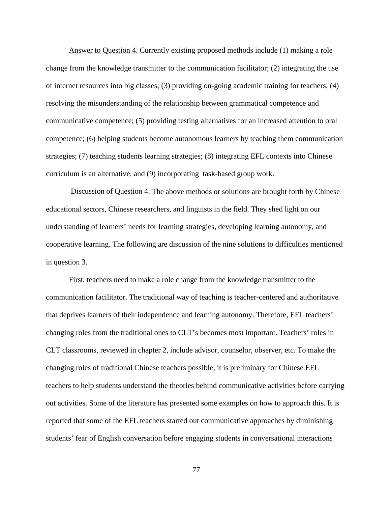Answer to Question 4. Currently existing proposed methods include (1) making a role change from the knowledge transmitter to the communication facilitator; (2) integrating the use of internet resources into big classes; (3) providing on-going academic training for teachers; (4) resolving the misunderstanding of the relationship between grammatical competence and communicative competence; (5) providing testing alternatives for an increased attention to oral competence; (6) helping students become autonomous learners by teaching them communication strategies; (7) teaching students learning strategies; (8) integrating EFL contexts into Chinese curriculum is an alternative, and (9) incorporating task-based group work.

Discussion of Question 4. The above methods or solutions are brought forth by Chinese educational sectors, Chinese researchers, and linguists in the field. They shed light on our understanding of learners' needs for learning strategies, developing learning autonomy, and cooperative learning. The following are discussion of the nine solutions to difficulties mentioned in question 3.

First, teachers need to make a role change from the knowledge transmitter to the communication facilitator. The traditional way of teaching is teacher-centered and authoritative that deprives learners of their independence and learning autonomy. Therefore, EFL teachers' changing roles from the traditional ones to CLT's becomes most important. Teachers' roles in CLT classrooms, reviewed in chapter 2, include advisor, counselor, observer, etc. To make the changing roles of traditional Chinese teachers possible, it is preliminary for Chinese EFL teachers to help students understand the theories behind communicative activities before carrying out activities. Some of the literature has presented some examples on how to approach this. It is reported that some of the EFL teachers started out communicative approaches by diminishing students' fear of English conversation before engaging students in conversational interactions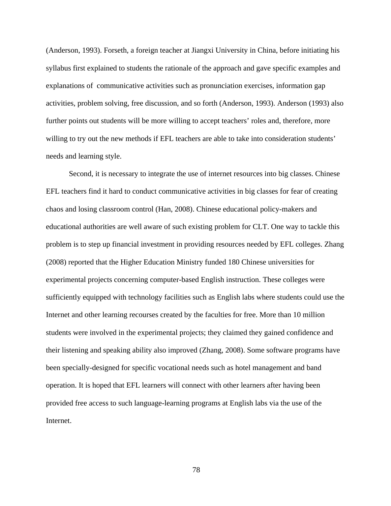(Anderson, 1993). Forseth, a foreign teacher at Jiangxi University in China, before initiating his syllabus first explained to students the rationale of the approach and gave specific examples and explanations of communicative activities such as pronunciation exercises, information gap activities, problem solving, free discussion, and so forth (Anderson, 1993). Anderson (1993) also further points out students will be more willing to accept teachers' roles and, therefore, more willing to try out the new methods if EFL teachers are able to take into consideration students' needs and learning style.

Second, it is necessary to integrate the use of internet resources into big classes. Chinese EFL teachers find it hard to conduct communicative activities in big classes for fear of creating chaos and losing classroom control (Han, 2008). Chinese educational policy-makers and educational authorities are well aware of such existing problem for CLT. One way to tackle this problem is to step up financial investment in providing resources needed by EFL colleges. Zhang (2008) reported that the Higher Education Ministry funded 180 Chinese universities for experimental projects concerning computer-based English instruction. These colleges were sufficiently equipped with technology facilities such as English labs where students could use the Internet and other learning recourses created by the faculties for free. More than 10 million students were involved in the experimental projects; they claimed they gained confidence and their listening and speaking ability also improved (Zhang, 2008). Some software programs have been specially-designed for specific vocational needs such as hotel management and band operation. It is hoped that EFL learners will connect with other learners after having been provided free access to such language-learning programs at English labs via the use of the Internet.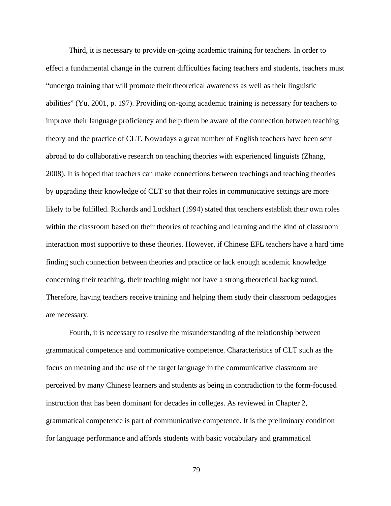Third, it is necessary to provide on-going academic training for teachers. In order to effect a fundamental change in the current difficulties facing teachers and students, teachers must "undergo training that will promote their theoretical awareness as well as their linguistic abilities" (Yu, 2001, p. 197). Providing on-going academic training is necessary for teachers to improve their language proficiency and help them be aware of the connection between teaching theory and the practice of CLT. Nowadays a great number of English teachers have been sent abroad to do collaborative research on teaching theories with experienced linguists (Zhang, 2008). It is hoped that teachers can make connections between teachings and teaching theories by upgrading their knowledge of CLT so that their roles in communicative settings are more likely to be fulfilled. Richards and Lockhart (1994) stated that teachers establish their own roles within the classroom based on their theories of teaching and learning and the kind of classroom interaction most supportive to these theories. However, if Chinese EFL teachers have a hard time finding such connection between theories and practice or lack enough academic knowledge concerning their teaching, their teaching might not have a strong theoretical background. Therefore, having teachers receive training and helping them study their classroom pedagogies are necessary.

Fourth, it is necessary to resolve the misunderstanding of the relationship between grammatical competence and communicative competence. Characteristics of CLT such as the focus on meaning and the use of the target language in the communicative classroom are perceived by many Chinese learners and students as being in contradiction to the form-focused instruction that has been dominant for decades in colleges. As reviewed in Chapter 2, grammatical competence is part of communicative competence. It is the preliminary condition for language performance and affords students with basic vocabulary and grammatical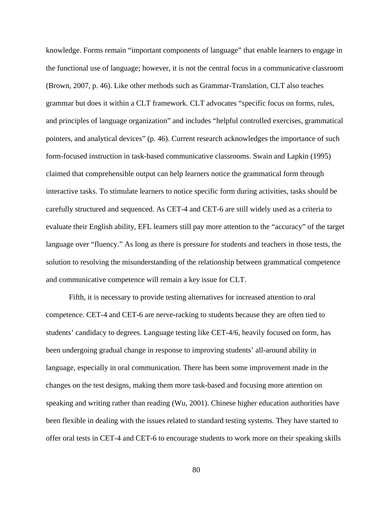knowledge. Forms remain "important components of language" that enable learners to engage in the functional use of language; however, it is not the central focus in a communicative classroom (Brown, 2007, p. 46). Like other methods such as Grammar-Translation, CLT also teaches grammar but does it within a CLT framework. CLT advocates "specific focus on forms, rules, and principles of language organization" and includes "helpful controlled exercises, grammatical pointers, and analytical devices" (p. 46). Current research acknowledges the importance of such form-focused instruction in task-based communicative classrooms. Swain and Lapkin (1995) claimed that comprehensible output can help learners notice the grammatical form through interactive tasks. To stimulate learners to notice specific form during activities, tasks should be carefully structured and sequenced. As CET-4 and CET-6 are still widely used as a criteria to evaluate their English ability, EFL learners still pay more attention to the "accuracy" of the target language over "fluency." As long as there is pressure for students and teachers in those tests, the solution to resolving the misunderstanding of the relationship between grammatical competence and communicative competence will remain a key issue for CLT.

Fifth, it is necessary to provide testing alternatives for increased attention to oral competence. CET-4 and CET-6 are nerve-racking to students because they are often tied to students' candidacy to degrees. Language testing like CET-4/6, heavily focused on form, has been undergoing gradual change in response to improving students' all-around ability in language, especially in oral communication. There has been some improvement made in the changes on the test designs, making them more task-based and focusing more attention on speaking and writing rather than reading (Wu, 2001). Chinese higher education authorities have been flexible in dealing with the issues related to standard testing systems. They have started to offer oral tests in CET-4 and CET-6 to encourage students to work more on their speaking skills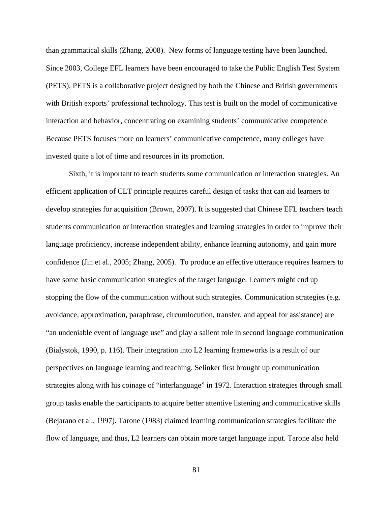than grammatical skills (Zhang, 2008). New forms of language testing have been launched. Since 2003, College EFL learners have been encouraged to take the Public English Test System (PETS). PETS is a collaborative project designed by both the Chinese and British governments with British exports' professional technology. This test is built on the model of communicative interaction and behavior, concentrating on examining students' communicative competence. Because PETS focuses more on learners' communicative competence, many colleges have invested quite a lot of time and resources in its promotion.

Sixth, it is important to teach students some communication or interaction strategies. An efficient application of CLT principle requires careful design of tasks that can aid learners to develop strategies for acquisition (Brown, 2007). It is suggested that Chinese EFL teachers teach students communication or interaction strategies and learning strategies in order to improve their language proficiency, increase independent ability, enhance learning autonomy, and gain more confidence (Jin et al., 2005; Zhang, 2005). To produce an effective utterance requires learners to have some basic communication strategies of the target language. Learners might end up stopping the flow of the communication without such strategies. Communication strategies (e.g. avoidance, approximation, paraphrase, circumlocution, transfer, and appeal for assistance) are "an undeniable event of language use" and play a salient role in second language communication (Bialystok, 1990, p. 116). Their integration into L2 learning frameworks is a result of our perspectives on language learning and teaching. Selinker first brought up communication strategies along with his coinage of "interlanguage" in 1972. Interaction strategies through small group tasks enable the participants to acquire better attentive listening and communicative skills (Bejarano et al., 1997). Tarone (1983) claimed learning communication strategies facilitate the flow of language, and thus, L2 learners can obtain more target language input. Tarone also held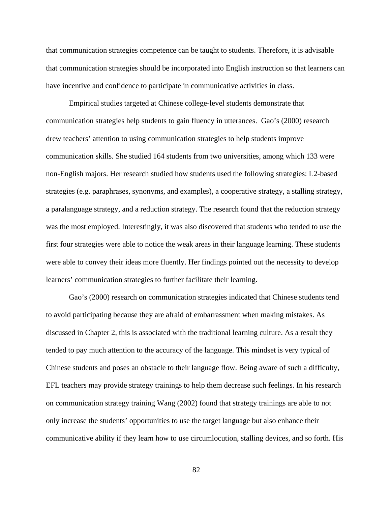that communication strategies competence can be taught to students. Therefore, it is advisable that communication strategies should be incorporated into English instruction so that learners can have incentive and confidence to participate in communicative activities in class.

Empirical studies targeted at Chinese college-level students demonstrate that communication strategies help students to gain fluency in utterances. Gao's (2000) research drew teachers' attention to using communication strategies to help students improve communication skills. She studied 164 students from two universities, among which 133 were non-English majors. Her research studied how students used the following strategies: L2-based strategies (e.g. paraphrases, synonyms, and examples), a cooperative strategy, a stalling strategy, a paralanguage strategy, and a reduction strategy. The research found that the reduction strategy was the most employed. Interestingly, it was also discovered that students who tended to use the first four strategies were able to notice the weak areas in their language learning. These students were able to convey their ideas more fluently. Her findings pointed out the necessity to develop learners' communication strategies to further facilitate their learning.

Gao's (2000) research on communication strategies indicated that Chinese students tend to avoid participating because they are afraid of embarrassment when making mistakes. As discussed in Chapter 2, this is associated with the traditional learning culture. As a result they tended to pay much attention to the accuracy of the language. This mindset is very typical of Chinese students and poses an obstacle to their language flow. Being aware of such a difficulty, EFL teachers may provide strategy trainings to help them decrease such feelings. In his research on communication strategy training Wang (2002) found that strategy trainings are able to not only increase the students' opportunities to use the target language but also enhance their communicative ability if they learn how to use circumlocution, stalling devices, and so forth. His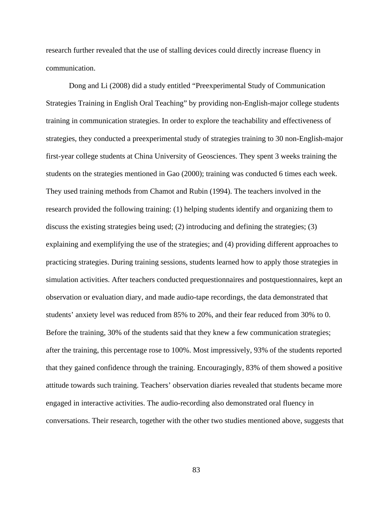research further revealed that the use of stalling devices could directly increase fluency in communication.

Dong and Li (2008) did a study entitled "Preexperimental Study of Communication Strategies Training in English Oral Teaching" by providing non-English-major college students training in communication strategies. In order to explore the teachability and effectiveness of strategies, they conducted a preexperimental study of strategies training to 30 non-English-major first-year college students at China University of Geosciences. They spent 3 weeks training the students on the strategies mentioned in Gao (2000); training was conducted 6 times each week. They used training methods from Chamot and Rubin (1994). The teachers involved in the research provided the following training: (1) helping students identify and organizing them to discuss the existing strategies being used; (2) introducing and defining the strategies; (3) explaining and exemplifying the use of the strategies; and (4) providing different approaches to practicing strategies. During training sessions, students learned how to apply those strategies in simulation activities. After teachers conducted prequestionnaires and postquestionnaires, kept an observation or evaluation diary, and made audio-tape recordings, the data demonstrated that students' anxiety level was reduced from 85% to 20%, and their fear reduced from 30% to 0. Before the training, 30% of the students said that they knew a few communication strategies; after the training, this percentage rose to 100%. Most impressively, 93% of the students reported that they gained confidence through the training. Encouragingly, 83% of them showed a positive attitude towards such training. Teachers' observation diaries revealed that students became more engaged in interactive activities. The audio-recording also demonstrated oral fluency in conversations. Their research, together with the other two studies mentioned above, suggests that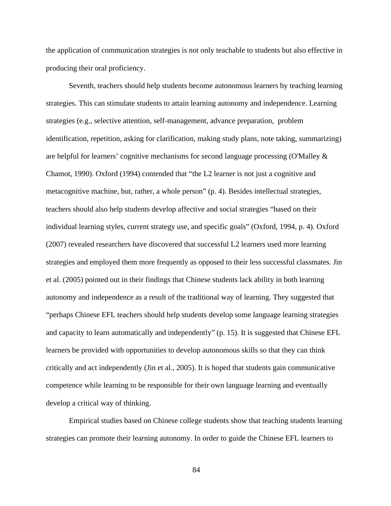the application of communication strategies is not only teachable to students but also effective in producing their oral proficiency.

Seventh, teachers should help students become autonomous learners by teaching learning strategies. This can stimulate students to attain learning autonomy and independence. Learning strategies (e.g., selective attention, self-management, advance preparation, problem identification, repetition, asking for clarification, making study plans, note taking, summarizing) are helpful for learners' cognitive mechanisms for second language processing (O'Malley & Chamot, 1990). Oxford (1994) contended that "the L2 learner is not just a cognitive and metacognitive machine, but, rather, a whole person" (p. 4). Besides intellectual strategies, teachers should also help students develop affective and social strategies "based on their individual learning styles, current strategy use, and specific goals" (Oxford, 1994, p. 4). Oxford (2007) revealed researchers have discovered that successful L2 learners used more learning strategies and employed them more frequently as opposed to their less successful classmates. Jin et al. (2005) pointed out in their findings that Chinese students lack ability in both learning autonomy and independence as a result of the traditional way of learning. They suggested that "perhaps Chinese EFL teachers should help students develop some language learning strategies and capacity to learn automatically and independently" (p. 15). It is suggested that Chinese EFL learners be provided with opportunities to develop autonomous skills so that they can think critically and act independently (Jin et al., 2005). It is hoped that students gain communicative competence while learning to be responsible for their own language learning and eventually develop a critical way of thinking.

Empirical studies based on Chinese college students show that teaching students learning strategies can promote their learning autonomy. In order to guide the Chinese EFL learners to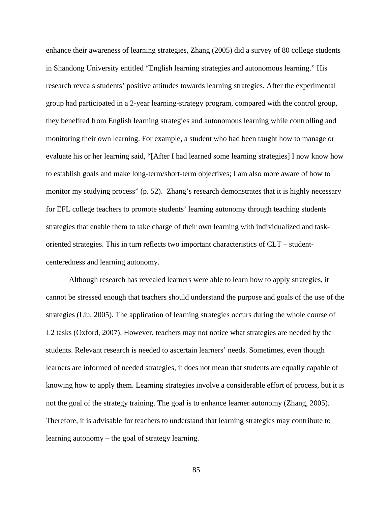enhance their awareness of learning strategies, Zhang (2005) did a survey of 80 college students in Shandong University entitled "English learning strategies and autonomous learning." His research reveals students' positive attitudes towards learning strategies. After the experimental group had participated in a 2-year learning-strategy program, compared with the control group, they benefited from English learning strategies and autonomous learning while controlling and monitoring their own learning. For example, a student who had been taught how to manage or evaluate his or her learning said, "[After I had learned some learning strategies] I now know how to establish goals and make long-term/short-term objectives; I am also more aware of how to monitor my studying process" (p. 52). Zhang's research demonstrates that it is highly necessary for EFL college teachers to promote students' learning autonomy through teaching students strategies that enable them to take charge of their own learning with individualized and taskoriented strategies. This in turn reflects two important characteristics of CLT – studentcenteredness and learning autonomy.

Although research has revealed learners were able to learn how to apply strategies, it cannot be stressed enough that teachers should understand the purpose and goals of the use of the strategies (Liu, 2005). The application of learning strategies occurs during the whole course of L2 tasks (Oxford, 2007). However, teachers may not notice what strategies are needed by the students. Relevant research is needed to ascertain learners' needs. Sometimes, even though learners are informed of needed strategies, it does not mean that students are equally capable of knowing how to apply them. Learning strategies involve a considerable effort of process, but it is not the goal of the strategy training. The goal is to enhance learner autonomy (Zhang, 2005). Therefore, it is advisable for teachers to understand that learning strategies may contribute to learning autonomy – the goal of strategy learning.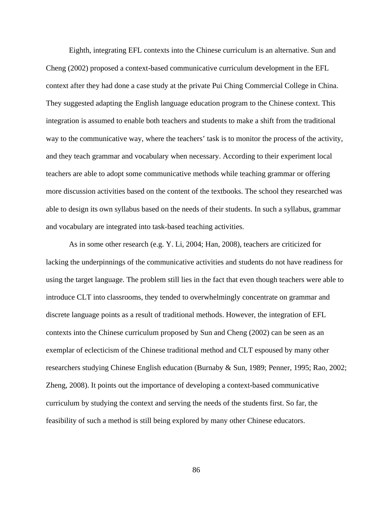Eighth, integrating EFL contexts into the Chinese curriculum is an alternative. Sun and Cheng (2002) proposed a context-based communicative curriculum development in the EFL context after they had done a case study at the private Pui Ching Commercial College in China. They suggested adapting the English language education program to the Chinese context. This integration is assumed to enable both teachers and students to make a shift from the traditional way to the communicative way, where the teachers' task is to monitor the process of the activity, and they teach grammar and vocabulary when necessary. According to their experiment local teachers are able to adopt some communicative methods while teaching grammar or offering more discussion activities based on the content of the textbooks. The school they researched was able to design its own syllabus based on the needs of their students. In such a syllabus, grammar and vocabulary are integrated into task-based teaching activities.

As in some other research (e.g. Y. Li, 2004; Han, 2008), teachers are criticized for lacking the underpinnings of the communicative activities and students do not have readiness for using the target language. The problem still lies in the fact that even though teachers were able to introduce CLT into classrooms, they tended to overwhelmingly concentrate on grammar and discrete language points as a result of traditional methods. However, the integration of EFL contexts into the Chinese curriculum proposed by Sun and Cheng (2002) can be seen as an exemplar of eclecticism of the Chinese traditional method and CLT espoused by many other researchers studying Chinese English education (Burnaby & Sun, 1989; Penner, 1995; Rao, 2002; Zheng, 2008). It points out the importance of developing a context-based communicative curriculum by studying the context and serving the needs of the students first. So far, the feasibility of such a method is still being explored by many other Chinese educators.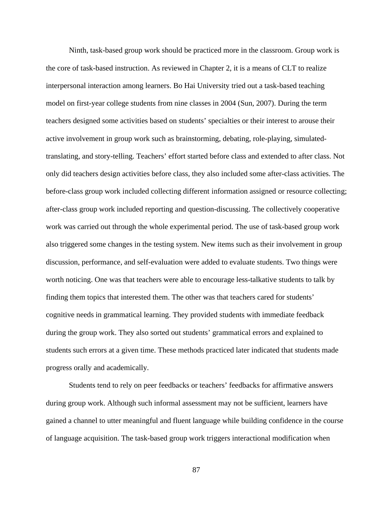Ninth, task-based group work should be practiced more in the classroom. Group work is the core of task-based instruction. As reviewed in Chapter 2, it is a means of CLT to realize interpersonal interaction among learners. Bo Hai University tried out a task-based teaching model on first-year college students from nine classes in 2004 (Sun, 2007). During the term teachers designed some activities based on students' specialties or their interest to arouse their active involvement in group work such as brainstorming, debating, role-playing, simulatedtranslating, and story-telling. Teachers' effort started before class and extended to after class. Not only did teachers design activities before class, they also included some after-class activities. The before-class group work included collecting different information assigned or resource collecting; after-class group work included reporting and question-discussing. The collectively cooperative work was carried out through the whole experimental period. The use of task-based group work also triggered some changes in the testing system. New items such as their involvement in group discussion, performance, and self-evaluation were added to evaluate students. Two things were worth noticing. One was that teachers were able to encourage less-talkative students to talk by finding them topics that interested them. The other was that teachers cared for students' cognitive needs in grammatical learning. They provided students with immediate feedback during the group work. They also sorted out students' grammatical errors and explained to students such errors at a given time. These methods practiced later indicated that students made progress orally and academically.

Students tend to rely on peer feedbacks or teachers' feedbacks for affirmative answers during group work. Although such informal assessment may not be sufficient, learners have gained a channel to utter meaningful and fluent language while building confidence in the course of language acquisition. The task-based group work triggers interactional modification when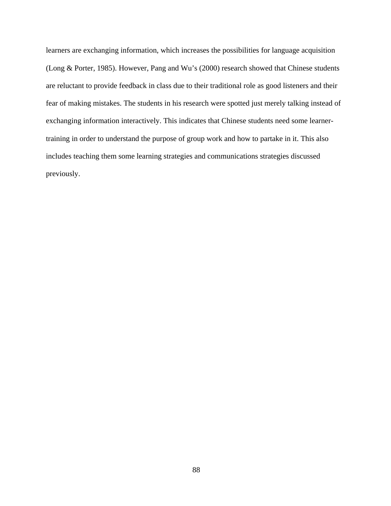learners are exchanging information, which increases the possibilities for language acquisition (Long & Porter, 1985). However, Pang and Wu's (2000) research showed that Chinese students are reluctant to provide feedback in class due to their traditional role as good listeners and their fear of making mistakes. The students in his research were spotted just merely talking instead of exchanging information interactively. This indicates that Chinese students need some learnertraining in order to understand the purpose of group work and how to partake in it. This also includes teaching them some learning strategies and communications strategies discussed previously.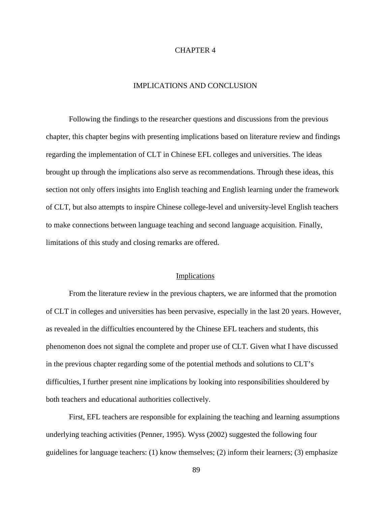# CHAPTER 4

# IMPLICATIONS AND CONCLUSION

Following the findings to the researcher questions and discussions from the previous chapter, this chapter begins with presenting implications based on literature review and findings regarding the implementation of CLT in Chinese EFL colleges and universities. The ideas brought up through the implications also serve as recommendations. Through these ideas, this section not only offers insights into English teaching and English learning under the framework of CLT, but also attempts to inspire Chinese college-level and university-level English teachers to make connections between language teaching and second language acquisition. Finally, limitations of this study and closing remarks are offered.

# Implications

From the literature review in the previous chapters, we are informed that the promotion of CLT in colleges and universities has been pervasive, especially in the last 20 years. However, as revealed in the difficulties encountered by the Chinese EFL teachers and students, this phenomenon does not signal the complete and proper use of CLT. Given what I have discussed in the previous chapter regarding some of the potential methods and solutions to CLT's difficulties, I further present nine implications by looking into responsibilities shouldered by both teachers and educational authorities collectively.

First, EFL teachers are responsible for explaining the teaching and learning assumptions underlying teaching activities (Penner, 1995). Wyss (2002) suggested the following four guidelines for language teachers: (1) know themselves; (2) inform their learners; (3) emphasize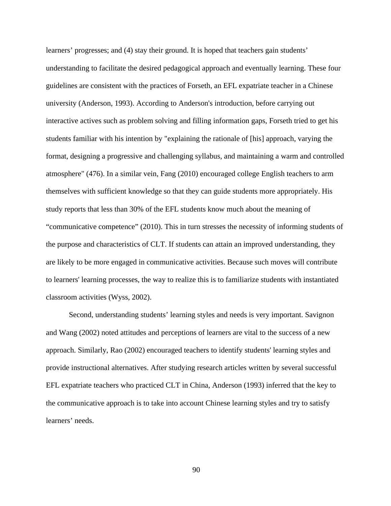learners' progresses; and (4) stay their ground. It is hoped that teachers gain students' understanding to facilitate the desired pedagogical approach and eventually learning. These four guidelines are consistent with the practices of Forseth, an EFL expatriate teacher in a Chinese university (Anderson, 1993). According to Anderson's introduction, before carrying out interactive actives such as problem solving and filling information gaps, Forseth tried to get his students familiar with his intention by "explaining the rationale of [his] approach, varying the format, designing a progressive and challenging syllabus, and maintaining a warm and controlled atmosphere" (476). In a similar vein, Fang (2010) encouraged college English teachers to arm themselves with sufficient knowledge so that they can guide students more appropriately. His study reports that less than 30% of the EFL students know much about the meaning of "communicative competence" (2010). This in turn stresses the necessity of informing students of the purpose and characteristics of CLT. If students can attain an improved understanding, they are likely to be more engaged in communicative activities. Because such moves will contribute to learners' learning processes, the way to realize this is to familiarize students with instantiated classroom activities (Wyss, 2002).

Second, understanding students' learning styles and needs is very important. Savignon and Wang (2002) noted attitudes and perceptions of learners are vital to the success of a new approach. Similarly, Rao (2002) encouraged teachers to identify students' learning styles and provide instructional alternatives. After studying research articles written by several successful EFL expatriate teachers who practiced CLT in China, Anderson (1993) inferred that the key to the communicative approach is to take into account Chinese learning styles and try to satisfy learners' needs.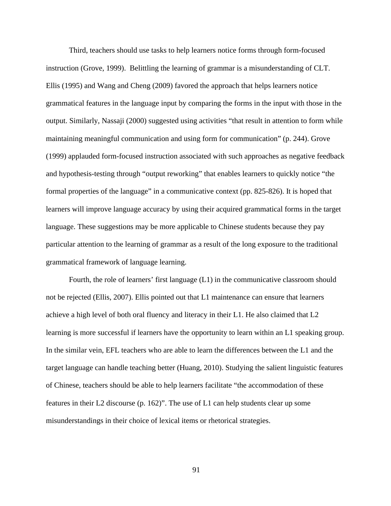Third, teachers should use tasks to help learners notice forms through form-focused instruction (Grove, 1999). Belittling the learning of grammar is a misunderstanding of CLT. Ellis (1995) and Wang and Cheng (2009) favored the approach that helps learners notice grammatical features in the language input by comparing the forms in the input with those in the output. Similarly, Nassaji (2000) suggested using activities "that result in attention to form while maintaining meaningful communication and using form for communication" (p. 244). Grove (1999) applauded form-focused instruction associated with such approaches as negative feedback and hypothesis-testing through "output reworking" that enables learners to quickly notice "the formal properties of the language" in a communicative context (pp. 825-826). It is hoped that learners will improve language accuracy by using their acquired grammatical forms in the target language. These suggestions may be more applicable to Chinese students because they pay particular attention to the learning of grammar as a result of the long exposure to the traditional grammatical framework of language learning.

Fourth, the role of learners' first language (L1) in the communicative classroom should not be rejected (Ellis, 2007). Ellis pointed out that L1 maintenance can ensure that learners achieve a high level of both oral fluency and literacy in their L1. He also claimed that L2 learning is more successful if learners have the opportunity to learn within an L1 speaking group. In the similar vein, EFL teachers who are able to learn the differences between the L1 and the target language can handle teaching better (Huang, 2010). Studying the salient linguistic features of Chinese, teachers should be able to help learners facilitate "the accommodation of these features in their L2 discourse (p. 162)". The use of L1 can help students clear up some misunderstandings in their choice of lexical items or rhetorical strategies.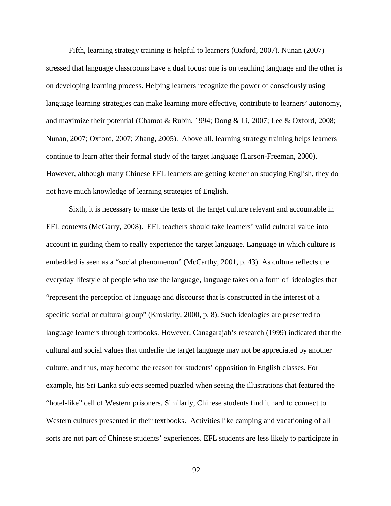Fifth, learning strategy training is helpful to learners (Oxford, 2007). Nunan (2007) stressed that language classrooms have a dual focus: one is on teaching language and the other is on developing learning process. Helping learners recognize the power of consciously using language learning strategies can make learning more effective, contribute to learners' autonomy, and maximize their potential (Chamot & Rubin, 1994; Dong & Li, 2007; Lee & Oxford, 2008; Nunan, 2007; Oxford, 2007; Zhang, 2005). Above all, learning strategy training helps learners continue to learn after their formal study of the target language (Larson-Freeman, 2000). However, although many Chinese EFL learners are getting keener on studying English, they do not have much knowledge of learning strategies of English.

Sixth, it is necessary to make the texts of the target culture relevant and accountable in EFL contexts (McGarry, 2008). EFL teachers should take learners' valid cultural value into account in guiding them to really experience the target language. Language in which culture is embedded is seen as a "social phenomenon" (McCarthy, 2001, p. 43). As culture reflects the everyday lifestyle of people who use the language, language takes on a form of ideologies that "represent the perception of language and discourse that is constructed in the interest of a specific social or cultural group" (Kroskrity, 2000, p. 8). Such ideologies are presented to language learners through textbooks. However, Canagarajah's research (1999) indicated that the cultural and social values that underlie the target language may not be appreciated by another culture, and thus, may become the reason for students' opposition in English classes. For example, his Sri Lanka subjects seemed puzzled when seeing the illustrations that featured the "hotel-like" cell of Western prisoners. Similarly, Chinese students find it hard to connect to Western cultures presented in their textbooks. Activities like camping and vacationing of all sorts are not part of Chinese students' experiences. EFL students are less likely to participate in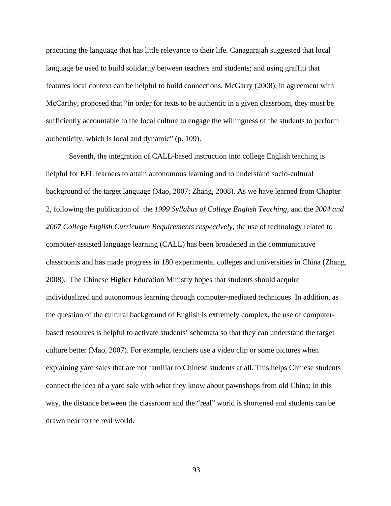practicing the language that has little relevance to their life. Canagarajah suggested that local language be used to build solidarity between teachers and students; and using graffiti that features local context can be helpful to build connections. McGarry (2008), in agreement with McCarthy, proposed that "in order for texts to be authentic in a given classroom, they must be sufficiently accountable to the local culture to engage the willingness of the students to perform authenticity, which is local and dynamic" (p. 109).

Seventh, the integration of CALL-based instruction into college English teaching is helpful for EFL learners to attain autonomous learning and to understand socio-cultural background of the target language (Mao, 2007; Zhang, 2008). As we have learned from Chapter 2, following the publication of the *1999 Syllabus of College English Teaching*, and the *2004 and*  2007 College English Curriculum Requirements respectively, the use of technology related to computer-assisted language learning (CALL) has been broadened in the communicative classrooms and has made progress in 180 experimental colleges and universities in China (Zhang, 2008). The Chinese Higher Education Ministry hopes that students should acquire individualized and autonomous learning through computer-mediated techniques. In addition, as the question of the cultural background of English is extremely complex, the use of computerbased resources is helpful to activate students' schemata so that they can understand the target culture better (Mao, 2007). For example, teachers use a video clip or some pictures when explaining yard sales that are not familiar to Chinese students at all. This helps Chinese students connect the idea of a yard sale with what they know about pawnshops from old China; in this way, the distance between the classroom and the "real" world is shortened and students can be drawn near to the real world.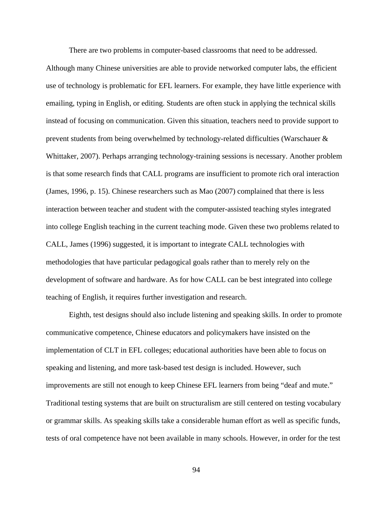There are two problems in computer-based classrooms that need to be addressed.

Although many Chinese universities are able to provide networked computer labs, the efficient use of technology is problematic for EFL learners. For example, they have little experience with emailing, typing in English, or editing. Students are often stuck in applying the technical skills instead of focusing on communication. Given this situation, teachers need to provide support to prevent students from being overwhelmed by technology-related difficulties (Warschauer & Whittaker, 2007). Perhaps arranging technology-training sessions is necessary. Another problem is that some research finds that CALL programs are insufficient to promote rich oral interaction (James, 1996, p. 15). Chinese researchers such as Mao (2007) complained that there is less interaction between teacher and student with the computer-assisted teaching styles integrated into college English teaching in the current teaching mode. Given these two problems related to CALL, James (1996) suggested, it is important to integrate CALL technologies with methodologies that have particular pedagogical goals rather than to merely rely on the development of software and hardware. As for how CALL can be best integrated into college teaching of English, it requires further investigation and research.

Eighth, test designs should also include listening and speaking skills. In order to promote communicative competence, Chinese educators and policymakers have insisted on the implementation of CLT in EFL colleges; educational authorities have been able to focus on speaking and listening, and more task-based test design is included. However, such improvements are still not enough to keep Chinese EFL learners from being "deaf and mute." Traditional testing systems that are built on structuralism are still centered on testing vocabulary or grammar skills. As speaking skills take a considerable human effort as well as specific funds, tests of oral competence have not been available in many schools. However, in order for the test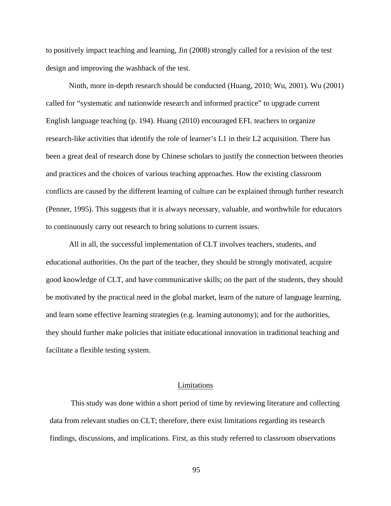to positively impact teaching and learning, Jin (2008) strongly called for a revision of the test design and improving the washback of the test.

Ninth, more in-depth research should be conducted (Huang, 2010; Wu, 2001). Wu (2001) called for "systematic and nationwide research and informed practice" to upgrade current English language teaching (p. 194). Huang (2010) encouraged EFL teachers to organize research-like activities that identify the role of learner's L1 in their L2 acquisition. There has been a great deal of research done by Chinese scholars to justify the connection between theories and practices and the choices of various teaching approaches. How the existing classroom conflicts are caused by the different learning of culture can be explained through further research (Penner, 1995). This suggests that it is always necessary, valuable, and worthwhile for educators to continuously carry out research to bring solutions to current issues.

All in all, the successful implementation of CLT involves teachers, students, and educational authorities. On the part of the teacher, they should be strongly motivated, acquire good knowledge of CLT, and have communicative skills; on the part of the students, they should be motivated by the practical need in the global market, learn of the nature of language learning, and learn some effective learning strategies (e.g. learning autonomy); and for the authorities, they should further make policies that initiate educational innovation in traditional teaching and facilitate a flexible testing system.

### Limitations

This study was done within a short period of time by reviewing literature and collecting data from relevant studies on CLT; therefore, there exist limitations regarding its research findings, discussions, and implications. First, as this study referred to classroom observations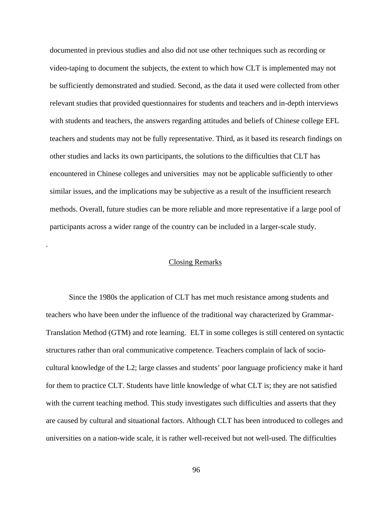documented in previous studies and also did not use other techniques such as recording or video-taping to document the subjects, the extent to which how CLT is implemented may not be sufficiently demonstrated and studied. Second, as the data it used were collected from other relevant studies that provided questionnaires for students and teachers and in-depth interviews with students and teachers, the answers regarding attitudes and beliefs of Chinese college EFL teachers and students may not be fully representative. Third, as it based its research findings on other studies and lacks its own participants, the solutions to the difficulties that CLT has encountered in Chinese colleges and universities may not be applicable sufficiently to other similar issues, and the implications may be subjective as a result of the insufficient research methods. Overall, future studies can be more reliable and more representative if a large pool of participants across a wider range of the country can be included in a larger-scale study.

# Closing Remarks

.

Since the 1980s the application of CLT has met much resistance among students and teachers who have been under the influence of the traditional way characterized by Grammar-Translation Method (GTM) and rote learning. ELT in some colleges is still centered on syntactic structures rather than oral communicative competence. Teachers complain of lack of sociocultural knowledge of the L2; large classes and students' poor language proficiency make it hard for them to practice CLT. Students have little knowledge of what CLT is; they are not satisfied with the current teaching method. This study investigates such difficulties and asserts that they are caused by cultural and situational factors. Although CLT has been introduced to colleges and universities on a nation-wide scale, it is rather well-received but not well-used. The difficulties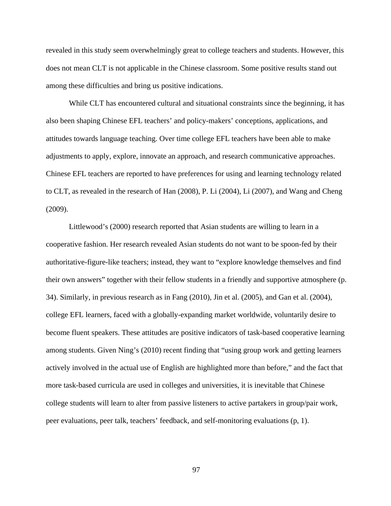revealed in this study seem overwhelmingly great to college teachers and students. However, this does not mean CLT is not applicable in the Chinese classroom. Some positive results stand out among these difficulties and bring us positive indications.

While CLT has encountered cultural and situational constraints since the beginning, it has also been shaping Chinese EFL teachers' and policy-makers' conceptions, applications, and attitudes towards language teaching. Over time college EFL teachers have been able to make adjustments to apply, explore, innovate an approach, and research communicative approaches. Chinese EFL teachers are reported to have preferences for using and learning technology related to CLT, as revealed in the research of Han (2008), P. Li (2004), Li (2007), and Wang and Cheng (2009).

Littlewood's (2000) research reported that Asian students are willing to learn in a cooperative fashion. Her research revealed Asian students do not want to be spoon-fed by their authoritative-figure-like teachers; instead, they want to "explore knowledge themselves and find their own answers" together with their fellow students in a friendly and supportive atmosphere (p. 34). Similarly, in previous research as in Fang (2010), Jin et al. (2005), and Gan et al. (2004), college EFL learners, faced with a globally-expanding market worldwide, voluntarily desire to become fluent speakers. These attitudes are positive indicators of task-based cooperative learning among students. Given Ning's (2010) recent finding that "using group work and getting learners actively involved in the actual use of English are highlighted more than before," and the fact that more task-based curricula are used in colleges and universities, it is inevitable that Chinese college students will learn to alter from passive listeners to active partakers in group/pair work, peer evaluations, peer talk, teachers' feedback, and self-monitoring evaluations (p, 1).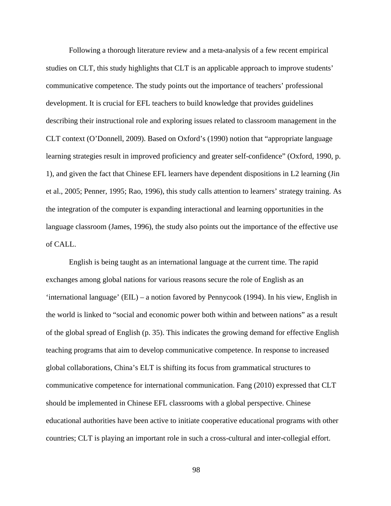Following a thorough literature review and a meta-analysis of a few recent empirical studies on CLT, this study highlights that CLT is an applicable approach to improve students' communicative competence. The study points out the importance of teachers' professional development. It is crucial for EFL teachers to build knowledge that provides guidelines describing their instructional role and exploring issues related to classroom management in the CLT context (O'Donnell, 2009). Based on Oxford's (1990) notion that "appropriate language learning strategies result in improved proficiency and greater self-confidence" (Oxford, 1990, p. 1), and given the fact that Chinese EFL learners have dependent dispositions in L2 learning (Jin et al., 2005; Penner, 1995; Rao, 1996), this study calls attention to learners' strategy training. As the integration of the computer is expanding interactional and learning opportunities in the language classroom (James, 1996), the study also points out the importance of the effective use of CALL.

English is being taught as an international language at the current time. The rapid exchanges among global nations for various reasons secure the role of English as an 'international language' (EIL) – a notion favored by Pennycook (1994). In his view, English in the world is linked to "social and economic power both within and between nations" as a result of the global spread of English (p. 35). This indicates the growing demand for effective English teaching programs that aim to develop communicative competence. In response to increased global collaborations, China's ELT is shifting its focus from grammatical structures to communicative competence for international communication. Fang (2010) expressed that CLT should be implemented in Chinese EFL classrooms with a global perspective. Chinese educational authorities have been active to initiate cooperative educational programs with other countries; CLT is playing an important role in such a cross-cultural and inter-collegial effort.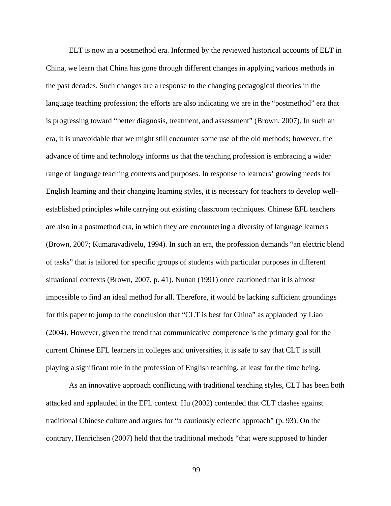ELT is now in a postmethod era. Informed by the reviewed historical accounts of ELT in China, we learn that China has gone through different changes in applying various methods in the past decades. Such changes are a response to the changing pedagogical theories in the language teaching profession; the efforts are also indicating we are in the "postmethod" era that is progressing toward "better diagnosis, treatment, and assessment" (Brown, 2007). In such an era, it is unavoidable that we might still encounter some use of the old methods; however, the advance of time and technology informs us that the teaching profession is embracing a wider range of language teaching contexts and purposes. In response to learners' growing needs for English learning and their changing learning styles, it is necessary for teachers to develop wellestablished principles while carrying out existing classroom techniques. Chinese EFL teachers are also in a postmethod era, in which they are encountering a diversity of language learners (Brown, 2007; Kumaravadivelu, 1994). In such an era, the profession demands "an electric blend of tasks" that is tailored for specific groups of students with particular purposes in different situational contexts (Brown, 2007, p. 41). Nunan (1991) once cautioned that it is almost impossible to find an ideal method for all. Therefore, it would be lacking sufficient groundings for this paper to jump to the conclusion that "CLT is best for China" as applauded by Liao (2004). However, given the trend that communicative competence is the primary goal for the current Chinese EFL learners in colleges and universities, it is safe to say that CLT is still playing a significant role in the profession of English teaching, at least for the time being.

As an innovative approach conflicting with traditional teaching styles, CLT has been both attacked and applauded in the EFL context. Hu (2002) contended that CLT clashes against traditional Chinese culture and argues for "a cautiously eclectic approach" (p. 93). On the contrary, Henrichsen (2007) held that the traditional methods "that were supposed to hinder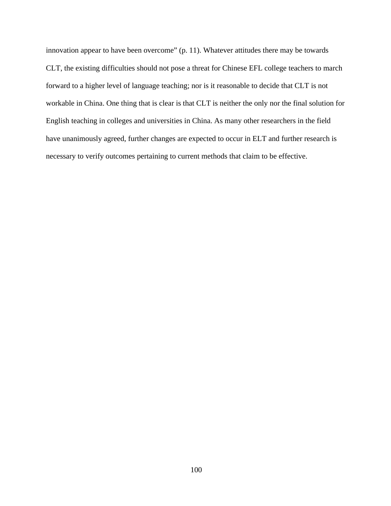innovation appear to have been overcome" (p. 11). Whatever attitudes there may be towards CLT, the existing difficulties should not pose a threat for Chinese EFL college teachers to march forward to a higher level of language teaching; nor is it reasonable to decide that CLT is not workable in China. One thing that is clear is that CLT is neither the only nor the final solution for English teaching in colleges and universities in China. As many other researchers in the field have unanimously agreed, further changes are expected to occur in ELT and further research is necessary to verify outcomes pertaining to current methods that claim to be effective.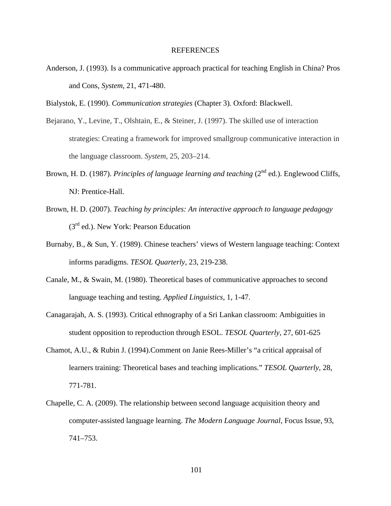# REFERENCES

- Anderson, J. (1993). Is a communicative approach practical for teaching English in China? Pros and Cons, *System*, 21, 471-480.
- Bialystok, E. (1990). *Communication strategies* (Chapter 3)*.* Oxford: Blackwell.
- Bejarano, Y., Levine, T., Olshtain, E., & Steiner, J. (1997). The skilled use of interaction strategies: Creating a framework for improved smallgroup communicative interaction in the language classroom. *System*, 25, 203–214.
- Brown, H. D. (1987). *Principles of language learning and teaching* (2<sup>nd</sup> ed.). Englewood Cliffs, NJ: Prentice-Hall.
- Brown, H. D. (2007). *Teaching by principles: An interactive approach to language pedagogy*   $(3<sup>rd</sup>$  ed.). New York: Pearson Education
- Burnaby, B., & Sun, Y. (1989). Chinese teachers' views of Western language teaching: Context informs paradigms. *TESOL Quarterly,* 23, 219-238.
- Canale, M., & Swain, M. (1980). Theoretical bases of communicative approaches to second language teaching and testing. *Applied Linguistics*, 1, 1-47.
- Canagarajah, A. S. (1993). Critical ethnography of a Sri Lankan classroom: Ambiguities in student opposition to reproduction through ESOL. *TESOL Quarterly,* 27, 601-625
- Chamot, A.U., & Rubin J. (1994).Comment on Janie Rees-Miller's "a critical appraisal of learners training: Theoretical bases and teaching implications." *TESOL Quarterly*, 28, 771-781.
- Chapelle, C. A. (2009). The relationship between second language acquisition theory and computer-assisted language learning. *The Modern Language Journal*, Focus Issue, 93, 741–753.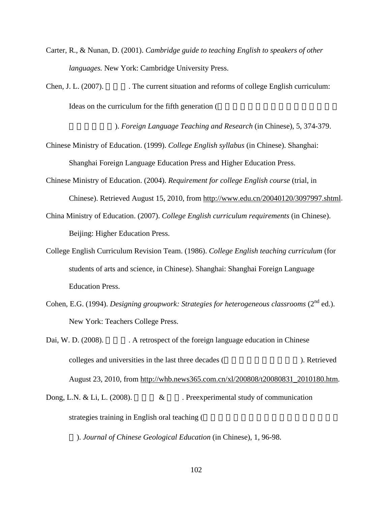- Carter, R., & Nunan, D. (2001). *Cambridge guide to teaching English to speakers of other languages.* New York: Cambridge University Press.
- Chen, J. L. (2007). The current situation and reforms of college English curriculum: Ideas on the curriculum for the fifth generation (

). *Foreign Language Teaching and Research* (in Chinese), 5, 374-379.

- Chinese Ministry of Education. (1999). *College English syllabus* (in Chinese). Shanghai: Shanghai Foreign Language Education Press and Higher Education Press.
- Chinese Ministry of Education. (2004). *Requirement for college English course* (trial, in Chinese). Retrieved August 15, 2010, from http://www.edu.cn/20040120/3097997.shtml.
- China Ministry of Education. (2007). *College English curriculum requirements* (in Chinese). Beijing: Higher Education Press.
- College English Curriculum Revision Team. (1986). *College English teaching curriculum* (for students of arts and science, in Chinese). Shanghai: Shanghai Foreign Language Education Press.
- Cohen, E.G. (1994). *Designing groupwork: Strategies for heterogeneous classrooms* (2<sup>nd</sup> ed.). New York: Teachers College Press.
- Dai, W. D. (2008). A retrospect of the foreign language education in Chinese colleges and universities in the last three decades (
http://www.float.com/integration integration in Retrieved August 23, 2010, from http://whb.news365.com.cn/xl/200808/t20080831\_2010180.htm.
- Dong, L.N. & Li, L. (2008).  $\&\quad$  Preexperimental study of communication strategies training in English oral teaching (

). *Journal of Chinese Geological Education* (in Chinese), 1, 96-98.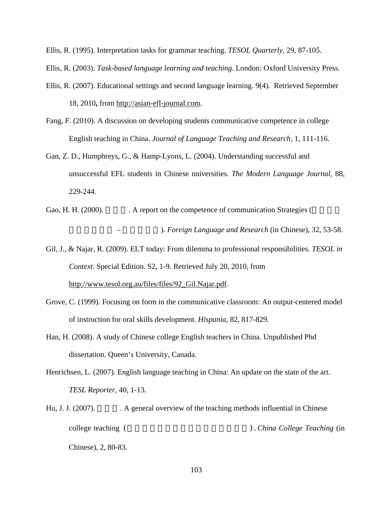Ellis, R. (1995). Interpretation tasks for grammar teaching. *TESOL Quarterly,* 29, 87-105.

Ellis, R. (2003). *Task-based language learning and teaching*. London: Oxford University Press.

- Ellis, R. (2007). Educational settings and second language learning. 9(4). Retrieved September 18, 2010**,** from http://asian-efl-journal.com.
- Fang, F. (2010). A discussion on developing students communicative competence in college English teaching in China. *Journal of Language Teaching and Research*, 1, 111-116.
- Gan, Z. D., Humphreys, G., & Hamp-Lyons, L. (2004). Understanding successful and unsuccessful EFL students in Chinese nniversities. *The Modern Language Journal*, 88, 229-244.
- Gao, H. H. (2000). A report on the competence of communication Strategies ( - **The State of Language and Research (in Chinese), 32, 53-58.**
- Gil, J., & Najar, R. (2009). ELT today: From dilemma to professional responsibilities. *TESOL in Context*. Special Edition. S2, 1-9. Retrieved July 20, 2010, from http://www.tesol.org.au/files/files/92\_Gil.Najar.pdf.
- Grove, C. (1999). Focusing on form in the communicative classroom: An output-centered model of instruction for oral skills development. *Hispania*, 82, 817-829.
- Han, H. (2008). A study of Chinese college English teachers in China. Unpublished Phd dissertation. Queen's University, Canada.
- Henrichsen, L. (2007). English language teaching in China: An update on the state of the art. *TESL Reporter*, 40, 1-13.
- Hu, J. J. (2007). A general overview of the teaching methods influential in Chinese college teaching (
and the college teaching (  $\blacksquare$ ). *China College Teaching* (in Chinese), 2, 80-83.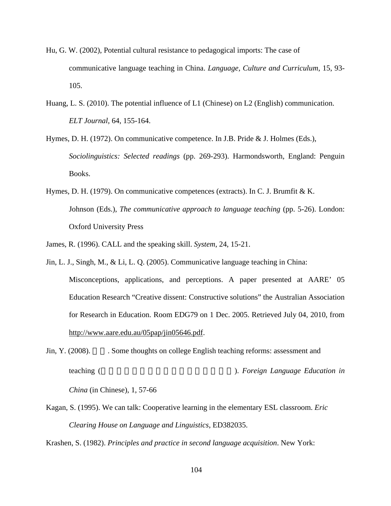- Hu, G. W. (2002), Potential cultural resistance to pedagogical imports: The case of communicative language teaching in China. *Language, Culture and Curriculum*, 15, 93- 105.
- Huang, L. S. (2010). The potential influence of L1 (Chinese) on L2 (English) communication. *ELT Journal*, 64, 155-164.
- Hymes, D. H. (1972). On communicative competence. In J.B. Pride & J. Holmes (Eds.), *Sociolinguistics: Selected readings* (pp. 269-293). Harmondsworth, England: Penguin Books.
- Hymes, D. H. (1979). On communicative competences (extracts). In C. J. Brumfit & K. Johnson (Eds.), *The communicative approach to language teaching* (pp. 5-26). London: Oxford University Press
- James, R. (1996). CALL and the speaking skill. *System*, 24, 15-21.
- Jin, L. J., Singh, M., & Li, L. Q. (2005). Communicative language teaching in China: Misconceptions, applications, and perceptions. A paper presented at AARE' 05 Education Research "Creative dissent: Constructive solutions" the Australian Association for Research in Education. Room EDG79 on 1 Dec. 2005. Retrieved July 04, 2010, from http://www.aare.edu.au/05pap/jin05646.pdf.
- Jin, Y. (2008). Some thoughts on college English teaching reforms: assessment and teaching (
the state of the state of the state of the state of the state of the state of the state of the state of the state of the state of the state of the state of the state of the state of the state of the state of the

*China* (in Chinese), 1, 57-66

Kagan, S. (1995). We can talk: Cooperative learning in the elementary ESL classroom. *Eric Clearing House on Language and Linguistics*, ED382035.

Krashen, S. (1982). *Principles and practice in second language acquisition*. New York: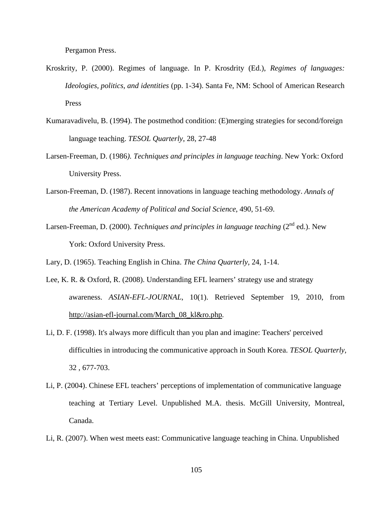Pergamon Press.

- Kroskrity, P. (2000). Regimes of language. In P. Krosdrity (Ed.), *Regimes of languages: Ideologies, politics, and identities* (pp. 1-34). Santa Fe, NM: School of American Research Press
- Kumaravadivelu, B. (1994). The postmethod condition: (E)merging strategies for second/foreign language teaching. *TESOL Quarterly*, 28, 27-48
- Larsen-Freeman, D. (1986*). Techniques and principles in language teaching*. New York: Oxford University Press.
- Larson-Freeman, D. (1987). Recent innovations in language teaching methodology. *Annals of the American Academy of Political and Social Science*, 490, 51-69.
- Larsen-Freeman, D. (2000). *Techniques and principles in language teaching* (2<sup>nd</sup> ed.). New York: Oxford University Press.

Lary, D. (1965). Teaching English in China. *The China Quarterly*, 24, 1-14.

- Lee, K. R. & Oxford, R. (2008). Understanding EFL learners' strategy use and strategy awareness. *ASIAN-EFL-JOURNAL*, 10(1). Retrieved September 19, 2010, from http://asian-efl-journal.com/March\_08\_kl&ro.php.
- Li, D. F. (1998). It's always more difficult than you plan and imagine: Teachers' perceived difficulties in introducing the communicative approach in South Korea. *TESOL Quarterly,* 32 , 677-703.
- Li, P. (2004). Chinese EFL teachers' perceptions of implementation of communicative language teaching at Tertiary Level. Unpublished M.A. thesis. McGill University, Montreal, Canada.
- Li, R. (2007). When west meets east: Communicative language teaching in China. Unpublished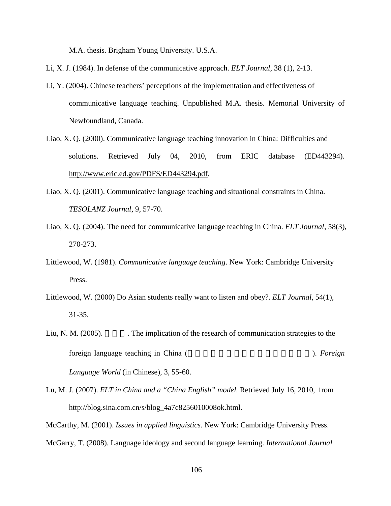M.A. thesis. Brigham Young University. U.S.A.

- Li, X. J. (1984). In defense of the communicative approach. *ELT Journal*, 38 (1), 2-13.
- Li, Y. (2004). Chinese teachers' perceptions of the implementation and effectiveness of communicative language teaching. Unpublished M.A. thesis. Memorial University of Newfoundland, Canada.
- Liao, X. Q. (2000). Communicative language teaching innovation in China: Difficulties and solutions. Retrieved July 04, 2010, from ERIC database (ED443294). http://www.eric.ed.gov/PDFS/ED443294.pdf.
- Liao, X. Q. (2001). Communicative language teaching and situational constraints in China. *TESOLANZ Journal*, 9, 57-70.
- Liao, X. Q. (2004). The need for communicative language teaching in China. *ELT Journal*, 58(3), 270-273.
- Littlewood, W. (1981). *Communicative language teaching*. New York: Cambridge University Press.
- Littlewood, W. (2000) Do Asian students really want to listen and obey?. *ELT Journal*, 54(1), 31-35.
- Liu, N. M. (2005). The implication of the research of communication strategies to the foreign language teaching in China (
The Review of the Security of the Security of the Security of the Security of the Security of the Security of the Security of the Security of the Security of the Security of the Securit *Language World* (in Chinese), 3, 55-60.
- Lu, M. J. (2007). *ELT in China and a "China English" model*. Retrieved July 16, 2010, from http://blog.sina.com.cn/s/blog\_4a7c8256010008ok.html.

McCarthy, M. (2001). *Issues in applied linguistics*. New York: Cambridge University Press. McGarry, T. (2008). Language ideology and second language learning. *International Journal*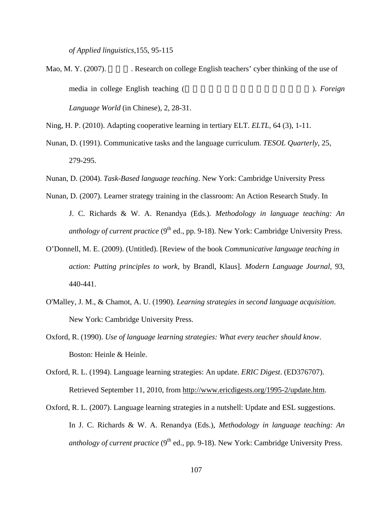*of Applied linguistics,*155, 95-115

- Mao, M. Y. (2007). Research on college English teachers' cyber thinking of the use of media in college English teaching (
The Review of the Secondary of the Secondary of the Secondary of the Secondary of the Secondary of the Secondary of the Secondary of the Secondary of the Secondary of the Secondary of th *Language World* (in Chinese), 2, 28-31.
- Ning, H. P. (2010). Adapting cooperative learning in tertiary ELT. *ELTL,* 64 (3), 1-11.
- Nunan, D. (1991). Communicative tasks and the language curriculum. *TESOL Quarterly*, 25, 279-295.
- Nunan, D. (2004). *Task-Based language teaching*. New York: Cambridge University Press
- Nunan, D. (2007). Learner strategy training in the classroom: An Action Research Study. In J. C. Richards & W. A. Renandya (Eds.). *Methodology in language teaching: An anthology of current practice*  $(9<sup>th</sup>$  ed., pp. 9-18). New York: Cambridge University Press.
- O'Donnell, M. E. (2009). (Untitled). [Review of the book *Communicative language teaching in action: Putting principles to work*, by Brandl, Klaus]. *Modern Language Journal,* 93, 440-441.
- O'Malley, J. M., & Chamot, A. U. (1990). *Learning strategies in second language acquisition*. New York: Cambridge University Press.
- Oxford, R. (1990). *Use of language learning strategies: What every teacher should know*. Boston: Heinle & Heinle.
- Oxford, R. L. (1994). Language learning strategies: An update. *ERIC Digest*. (ED376707). Retrieved September 11, 2010, from http://www.ericdigests.org/1995-2/update.htm.
- Oxford, R. L. (2007). Language learning strategies in a nutshell: Update and ESL suggestions. In J. C. Richards & W. A. Renandya (Eds.), *Methodology in language teaching: An anthology of current practice* ( $9<sup>th</sup>$  ed., pp. 9-18). New York: Cambridge University Press.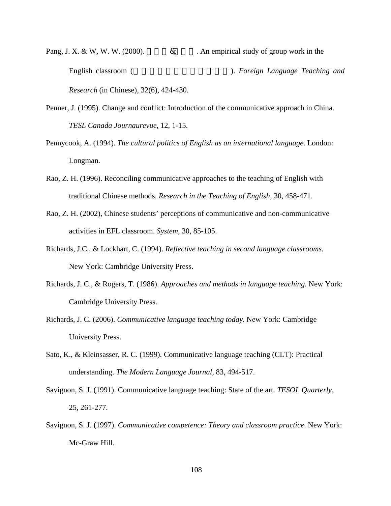- Pang, J. X. & W, W. W. (2000).  $\&$  An empirical study of group work in the English classroom (英语课堂小组活动实证研究). *Foreign Language Teaching and Research* (in Chinese), 32(6), 424-430.
- Penner, J. (1995). Change and conflict: Introduction of the communicative approach in China. *TESL Canada Journaurevue*, 12, 1-15.
- Pennycook, A. (1994). *The cultural politics of English as an international language*. London: Longman.
- Rao, Z. H. (1996). Reconciling communicative approaches to the teaching of English with traditional Chinese methods. *Research in the Teaching of English*, 30, 458-471.
- Rao, Z. H. (2002), Chinese students' perceptions of communicative and non-communicative activities in EFL classroom. *System*, 30, 85-105.
- Richards, J.C., & Lockhart, C. (1994). *Reflective teaching in second language classrooms*. New York: Cambridge University Press.
- Richards, J. C., & Rogers, T. (1986). *Approaches and methods in language teaching*. New York: Cambridge University Press.
- Richards, J. C. (2006). *Communicative language teaching today*. New York: Cambridge University Press.
- Sato, K., & Kleinsasser, R. C. (1999). Communicative language teaching (CLT): Practical understanding. *The Modern Language Journal,* 83, 494-517.
- Savignon, S. J. (1991). Communicative language teaching: State of the art. *TESOL Quarterly*, 25, 261-277.
- Savignon, S. J. (1997). *Communicative competence: Theory and classroom practice*. New York: Mc-Graw Hill.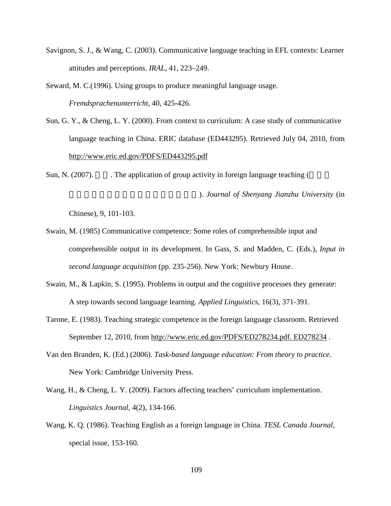- Savignon, S. J., & Wang, C. (2003). Communicative language teaching in EFL contexts: Learner attitudes and perceptions. *IRAL*, 41, 223–249.
- Seward, M. C.(1996). Using groups to produce meaningful language usage. *Fremdsprachenunterricht*, 40, 425-426.
- Sun, G. Y., & Cheng, L. Y. (2000). From context to curriculum: A case study of communicative language teaching in China. ERIC database (ED443295). Retrieved July 04, 2010, from http://www.eric.ed.gov/PDFS/ED443295.pdf
- Sun, N.  $(2007)$ . The application of group activity in foreign language teaching (

). *Journal of Shenyang Jianzhu University* (in

Chinese), 9, 101-103.

- Swain, M. (1985) Communicative competence: Some roles of comprehensible input and comprehensible output in its development. In Gass, S. and Madden, C. (Eds.), *Input in second language acquisition* (pp. 235-256). New York: Newbury House.
- Swain, M., & Lapkin, S. (1995). Problems in output and the cognitive processes they generate: A step towards second language learning. *Applied Linguistics*, 16(3), 371-391.
- Tarone, E. (1983). Teaching strategic competence in the foreign language classroom. Retrieved September 12, 2010, from http://www.eric.ed.gov/PDFS/ED278234.pdf. ED278234.
- Van den Branden, K. (Ed.) (2006). *Task-based language education: From theory to practice*. New York: Cambridge University Press.
- Wang, H., & Cheng, L. Y. (2009). Factors affecting teachers' curriculum implementation. *Linguistics Journal*, 4(2), 134-166.
- Wang, K. Q. (1986). Teaching English as a foreign language in China. *TESL Canada Journal,*  special issue, 153-160.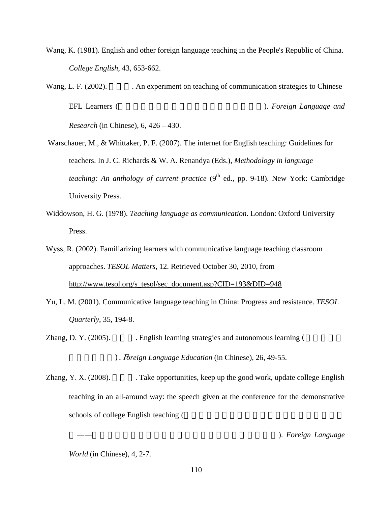- Wang, K. (1981). English and other foreign language teaching in the People's Republic of China. *College English*, 43, 653-662.
- Wang, L. F. (2002). An experiment on teaching of communication strategies to Chinese EFL Learners (
and the second state of the second in the second in the second in the second in the second in the second in the second in the second in the second in the second in the second in the second in the second in t

*Research* (in Chinese), 6, 426 – 430.

- Warschauer, M., & Whittaker, P. F. (2007). The internet for English teaching: Guidelines for teachers. In J. C. Richards & W. A. Renandya (Eds.), *Methodology in language teaching: An anthology of current practice*  $(9<sup>th</sup>$  ed., pp. 9-18). New York: Cambridge University Press.
- Widdowson, H. G. (1978). *Teaching language as communication*. London: Oxford University Press.

Wyss, R. (2002). Familiarizing learners with communicative language teaching classroom approaches. *TESOL Matters*, 12. Retrieved October 30, 2010, from http://www.tesol.org/s\_tesol/sec\_document.asp?CID=193&DID=948

Yu, L. M. (2001). Communicative language teaching in China: Progress and resistance. *TESOL Quarterly*, 35, 194-8.

Zhang, D. Y. (2005).  $\qquad \qquad$  English learning strategies and autonomous learning (

). *Foreign Language Education* (in Chinese), 26, 49-55.

Zhang, Y. X.  $(2008)$ . Take opportunities, keep up the good work, update college English teaching in an all-around way: the speech given at the conference for the demonstrative schools of college English teaching (

). Foreign Language

*World* (in Chinese), 4, 2-7.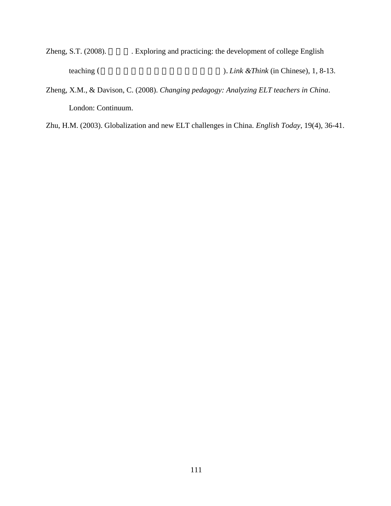- Zheng, S.T. (2008). Exploring and practicing: the development of college English teaching (
The state of the state of the state of the state of the state of the state of the state of the state of the state of the state of the state of the state of the state of the state of the state of the state of the
- Zheng, X.M., & Davison, C. (2008). *Changing pedagogy: Analyzing ELT teachers in China*. London: Continuum.
- Zhu, H.M. (2003). Globalization and new ELT challenges in China. *English Today*, 19(4), 36-41.